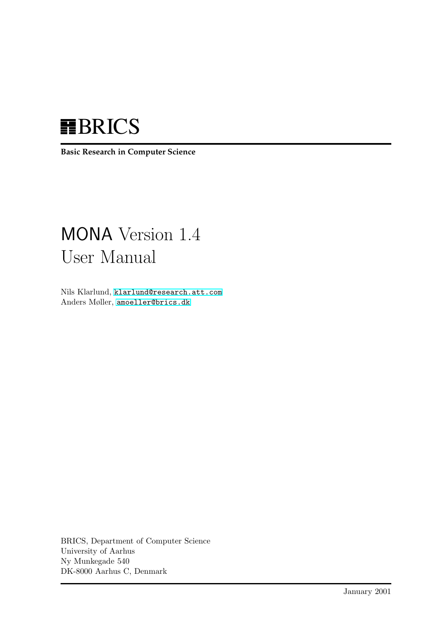# **HBRICS**

**Basic Research in Computer Science**

# MONA Version 1.4 User Manual

Nils Klarlund, [klarlund@research.att.com](mailto:klarlund@research.att.com) Anders Møller, [amoeller@brics.dk](mailto:amoeller@brics.dk)

BRICS, Department of Computer Science University of Aarhus Ny Munkegade 540 DK-8000 Aarhus C, Denmark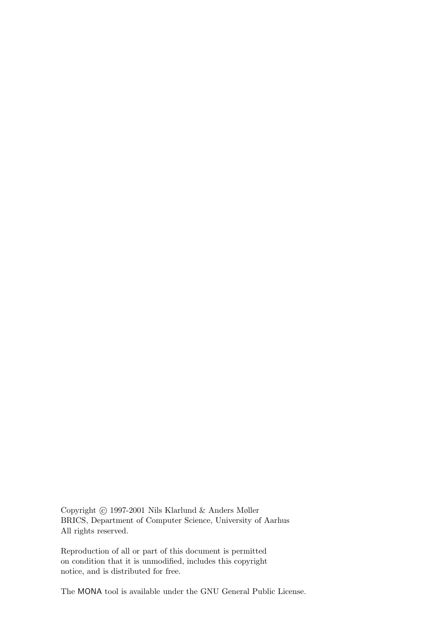Copyright © 1997-2001 Nils Klarlund & Anders Møller BRICS, Department of Computer Science, University of Aarhus All rights reserved.

Reproduction of all or part of this document is permitted on condition that it is unmodified, includes this copyright notice, and is distributed for free.

The MONA tool is available under the GNU General Public License.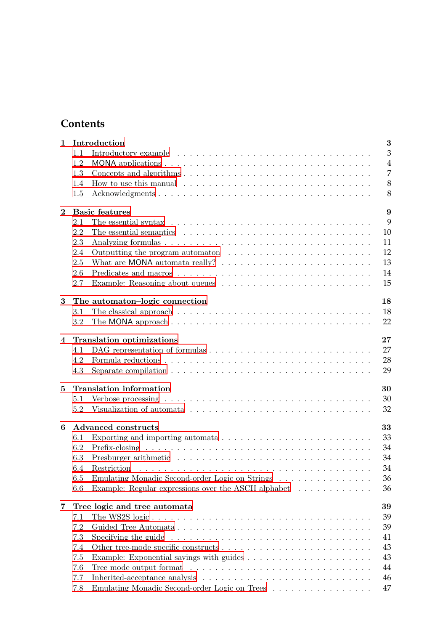# **Contents**

| $\mathbf{1}$   |                                  | Introduction<br>3                                                                                                                                                                                                                    |  |  |  |  |  |  |  |
|----------------|----------------------------------|--------------------------------------------------------------------------------------------------------------------------------------------------------------------------------------------------------------------------------------|--|--|--|--|--|--|--|
|                | 1.1                              | 3                                                                                                                                                                                                                                    |  |  |  |  |  |  |  |
|                | 1.2                              | $\overline{4}$                                                                                                                                                                                                                       |  |  |  |  |  |  |  |
|                | 1.3                              | 7                                                                                                                                                                                                                                    |  |  |  |  |  |  |  |
|                | 1.4                              | 8                                                                                                                                                                                                                                    |  |  |  |  |  |  |  |
|                | 1.5                              | 8                                                                                                                                                                                                                                    |  |  |  |  |  |  |  |
|                |                                  |                                                                                                                                                                                                                                      |  |  |  |  |  |  |  |
| $\overline{2}$ |                                  | <b>Basic features</b><br>9                                                                                                                                                                                                           |  |  |  |  |  |  |  |
|                | 2.1                              | 9<br>The essential syntax $\dots \dots \dots \dots \dots \dots \dots \dots \dots \dots \dots \dots \dots$                                                                                                                            |  |  |  |  |  |  |  |
|                | 2.2                              | 10<br>The essential semantics entering in the set of the set of the set of the set of the set of the set of the set of the set of the set of the set of the set of the set of the set of the set of the set of the set of the set of |  |  |  |  |  |  |  |
|                | 2.3                              | 11                                                                                                                                                                                                                                   |  |  |  |  |  |  |  |
|                | 2.4                              | 12                                                                                                                                                                                                                                   |  |  |  |  |  |  |  |
|                | 2.5                              | 13                                                                                                                                                                                                                                   |  |  |  |  |  |  |  |
|                | 2.6                              | 14                                                                                                                                                                                                                                   |  |  |  |  |  |  |  |
|                | 2.7                              | 15                                                                                                                                                                                                                                   |  |  |  |  |  |  |  |
| 3              |                                  | 18<br>The automaton-logic connection                                                                                                                                                                                                 |  |  |  |  |  |  |  |
|                | 3.1                              | 18                                                                                                                                                                                                                                   |  |  |  |  |  |  |  |
|                | $3.2\,$                          | 22<br>The MONA approach $\ldots$ , $\ldots$ , $\ldots$ , $\ldots$ , $\ldots$ , $\ldots$ , $\ldots$ , $\ldots$ , $\ldots$ , $\ldots$                                                                                                  |  |  |  |  |  |  |  |
|                |                                  |                                                                                                                                                                                                                                      |  |  |  |  |  |  |  |
| 4              |                                  | 27<br><b>Translation optimizations</b>                                                                                                                                                                                               |  |  |  |  |  |  |  |
|                | 4.1                              | 27                                                                                                                                                                                                                                   |  |  |  |  |  |  |  |
|                | 4.2                              | 28                                                                                                                                                                                                                                   |  |  |  |  |  |  |  |
|                | 4.3                              | 29                                                                                                                                                                                                                                   |  |  |  |  |  |  |  |
| $\overline{5}$ |                                  | <b>Translation</b> information<br>30                                                                                                                                                                                                 |  |  |  |  |  |  |  |
|                | 5.1                              | 30                                                                                                                                                                                                                                   |  |  |  |  |  |  |  |
|                | 5.2                              | 32                                                                                                                                                                                                                                   |  |  |  |  |  |  |  |
|                |                                  |                                                                                                                                                                                                                                      |  |  |  |  |  |  |  |
| 6              | 33<br><b>Advanced constructs</b> |                                                                                                                                                                                                                                      |  |  |  |  |  |  |  |
|                | 6.1                              | 33                                                                                                                                                                                                                                   |  |  |  |  |  |  |  |
|                | 6.2                              | 34                                                                                                                                                                                                                                   |  |  |  |  |  |  |  |
|                | 6.3                              | 34                                                                                                                                                                                                                                   |  |  |  |  |  |  |  |
|                | 6.4                              | 34                                                                                                                                                                                                                                   |  |  |  |  |  |  |  |
|                | 6.5                              | Emulating Monadic Second-order Logic on Strings<br>36                                                                                                                                                                                |  |  |  |  |  |  |  |
|                | 6.6                              | Example: Regular expressions over the ASCII alphabet $\ldots \ldots \ldots \ldots$<br>36                                                                                                                                             |  |  |  |  |  |  |  |
| 7              |                                  | 39<br>Tree logic and tree automata                                                                                                                                                                                                   |  |  |  |  |  |  |  |
|                | 7.1                              | 39                                                                                                                                                                                                                                   |  |  |  |  |  |  |  |
|                | 7.2                              | 39                                                                                                                                                                                                                                   |  |  |  |  |  |  |  |
|                | 7.3                              | 41<br>Specifying the guide $\ldots \ldots \ldots \ldots \ldots \ldots \ldots \ldots \ldots \ldots$                                                                                                                                   |  |  |  |  |  |  |  |
|                | 7.4                              | 43                                                                                                                                                                                                                                   |  |  |  |  |  |  |  |
|                | 7.5                              | 43                                                                                                                                                                                                                                   |  |  |  |  |  |  |  |
|                | 7.6                              | 44                                                                                                                                                                                                                                   |  |  |  |  |  |  |  |
|                |                                  |                                                                                                                                                                                                                                      |  |  |  |  |  |  |  |
|                | 7.7                              | 46                                                                                                                                                                                                                                   |  |  |  |  |  |  |  |
|                | 7.8                              | 47<br>Emulating Monadic Second-order Logic on Trees                                                                                                                                                                                  |  |  |  |  |  |  |  |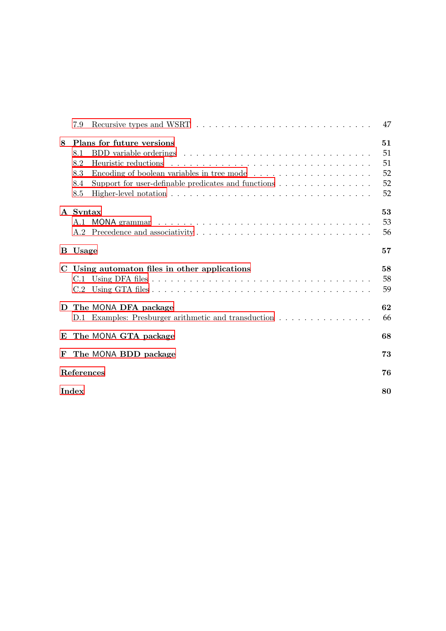|   | 7.9                             |                                                                                                                                                                                                                                                                   | 47                               |  |  |  |  |
|---|---------------------------------|-------------------------------------------------------------------------------------------------------------------------------------------------------------------------------------------------------------------------------------------------------------------|----------------------------------|--|--|--|--|
| 8 | 8.1<br>8.2<br>8.3<br>8.4<br>8.5 | Plans for future versions<br>Encoding of boolean variables in tree mode<br>Support for user-definable predicates and functions $\dots \dots \dots \dots \dots$<br>Higher-level notation $\dots \dots \dots \dots \dots \dots \dots \dots \dots \dots \dots \dots$ | 51<br>51<br>51<br>52<br>52<br>52 |  |  |  |  |
|   | A Syntax                        |                                                                                                                                                                                                                                                                   | 53<br>53<br>56                   |  |  |  |  |
|   | <b>B</b> Usage                  |                                                                                                                                                                                                                                                                   | 57                               |  |  |  |  |
|   | C.2                             | C Using automaton files in other applications                                                                                                                                                                                                                     | 58<br>58<br>59                   |  |  |  |  |
| D |                                 | The MONA DFA package<br>D.1 Examples: Presburger arithmetic and transduction                                                                                                                                                                                      | 62<br>66                         |  |  |  |  |
| E |                                 | The MONA GTA package                                                                                                                                                                                                                                              | 68                               |  |  |  |  |
| F |                                 | The MONA BDD package                                                                                                                                                                                                                                              | 73                               |  |  |  |  |
|   | References<br>76                |                                                                                                                                                                                                                                                                   |                                  |  |  |  |  |
|   | Index<br>80                     |                                                                                                                                                                                                                                                                   |                                  |  |  |  |  |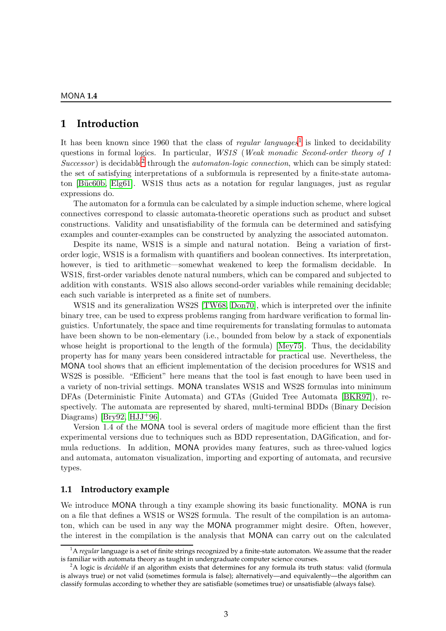# <span id="page-4-0"></span>**1 Introduction**

It has been known since [1](#page-4-2)960 that the class of *regular languages*<sup>1</sup> is linked to decidability questions in formal logics. In particular, WS1S (Weak monadic Second-order theory of 1 Successor) is decidable<sup>[2](#page-4-3)</sup> through the *automaton-logic connection*, which can be simply stated: the set of satisfying interpretations of a subformula is represented by a finite-state automa-ton [Büc60b, [Elg61\]](#page-78-1). WS1S thus acts as a notation for regular languages, just as regular expressions do.

The automaton for a formula can be calculated by a simple induction scheme, where logical connectives correspond to classic automata-theoretic operations such as product and subset constructions. Validity and unsatisfiability of the formula can be determined and satisfying examples and counter-examples can be constructed by analyzing the associated automaton.

Despite its name, WS1S is a simple and natural notation. Being a variation of firstorder logic, WS1S is a formalism with quantifiers and boolean connectives. Its interpretation, however, is tied to arithmetic—somewhat weakened to keep the formalism decidable. In WS1S, first-order variables denote natural numbers, which can be compared and subjected to addition with constants. WS1S also allows second-order variables while remaining decidable; each such variable is interpreted as a finite set of numbers.

WS1S and its generalization WS2S [\[TW68,](#page-80-0) [Don70\]](#page-78-2), which is interpreted over the infinite binary tree, can be used to express problems ranging from hardware verification to formal linguistics. Unfortunately, the space and time requirements for translating formulas to automata have been shown to be non-elementary (i.e., bounded from below by a stack of exponentials whose height is proportional to the length of the formula) [\[Mey75\]](#page-79-0). Thus, the decidability property has for many years been considered intractable for practical use. Nevertheless, the MONA tool shows that an efficient implementation of the decision procedures for WS1S and WS2S is possible. "Efficient" here means that the tool is fast enough to have been used in a variety of non-trivial settings. MONA translates WS1S and WS2S formulas into minimum DFAs (Deterministic Finite Automata) and GTAs (Guided Tree Automata [\[BKR97\]](#page-77-1)), respectively. The automata are represented by shared, multi-terminal BDDs (Binary Decision Diagrams) [\[Bry92,](#page-77-2)  $HJJ^+96$ ].

Version 1.4 of the MONA tool is several orders of magitude more efficient than the first experimental versions due to techniques such as BDD representation, DAGification, and formula reductions. In addition, MONA provides many features, such as three-valued logics and automata, automaton visualization, importing and exporting of automata, and recursive types.

#### <span id="page-4-1"></span>**1.1 Introductory example**

We introduce MONA through a tiny example showing its basic functionality. MONA is run on a file that defines a WS1S or WS2S formula. The result of the compilation is an automaton, which can be used in any way the MONA programmer might desire. Often, however, the interest in the compilation is the analysis that MONA can carry out on the calculated

<span id="page-4-2"></span><sup>&</sup>lt;sup>1</sup>A *regular* language is a set of finite strings recognized by a finite-state automaton. We assume that the reader is familiar with automata theory as taught in undergraduate computer science courses.

<span id="page-4-3"></span><sup>2</sup>A logic is *decidable* if an algorithm exists that determines for any formula its truth status: valid (formula is always true) or not valid (sometimes formula is false); alternatively—and equivalently—the algorithm can classify formulas according to whether they are satisfiable (sometimes true) or unsatisfiable (always false).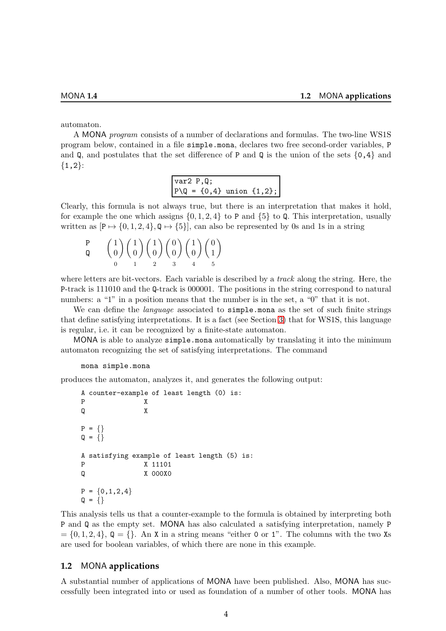automaton.

A MONA program consists of a number of declarations and formulas. The two-line WS1S program below, contained in a file simple.mona, declares two free second-order variables, P and Q, and postulates that the set difference of P and Q is the union of the sets  $\{0,4\}$  and  $\{1,2\}$ :

> var2 P,Q;  $P \setminus Q = \{0, 4\}$  union  $\{1, 2\};$

Clearly, this formula is not always true, but there is an interpretation that makes it hold, for example the one which assigns  $\{0, 1, 2, 4\}$  to P and  $\{5\}$  to Q. This interpretation, usually written as  $[P \mapsto \{0, 1, 2, 4\}, Q \mapsto \{5\}],$  can also be represented by 0s and 1s in a string

$$
\begin{array}{cc}\n\mathbf{P} & \begin{pmatrix} 1 \\ 0 \end{pmatrix} \begin{pmatrix} 1 \\ 0 \end{pmatrix} \begin{pmatrix} 1 \\ 0 \end{pmatrix} \begin{pmatrix} 0 \\ 0 \end{pmatrix} \begin{pmatrix} 1 \\ 0 \end{pmatrix} \begin{pmatrix} 0 \\ 1 \end{pmatrix} \\
0 & 1\n\end{array}
$$

where letters are bit-vectors. Each variable is described by a *track* along the string. Here, the P-track is 111010 and the Q-track is 000001. The positions in the string correspond to natural numbers: a "1" in a position means that the number is in the set, a "0" that it is not.

We can define the *language* associated to **simple**.mona as the set of such finite strings that define satisfying interpretations. It is a fact (see Section [3\)](#page-19-0) that for WS1S, this language is regular, i.e. it can be recognized by a finite-state automaton.

MONA is able to analyze simple.mona automatically by translating it into the minimum automaton recognizing the set of satisfying interpretations. The command

#### mona simple.mona

produces the automaton, analyzes it, and generates the following output:

```
A counter-example of least length (0) is:
P X
Q X
P = \{\}Q = \{\}A satisfying example of least length (5) is:
P X 11101
Q X 000X0
P = \{0, 1, 2, 4\}Q = \{\}
```
This analysis tells us that a counter-example to the formula is obtained by interpreting both P and Q as the empty set. MONA has also calculated a satisfying interpretation, namely P  $=\{0, 1, 2, 4\}, \mathbb{Q}=\{\}.$  An X in a string means "either 0 or 1". The columns with the two Xs are used for boolean variables, of which there are none in this example.

#### <span id="page-5-0"></span>**1.2** MONA **applications**

A substantial number of applications of MONA have been published. Also, MONA has successfully been integrated into or used as foundation of a number of other tools. MONA has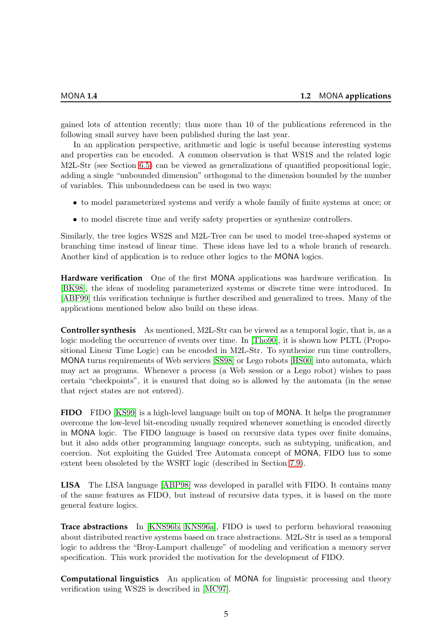gained lots of attention recently; thus more than 10 of the publications referenced in the following small survey have been published during the last year.

In an application perspective, arithmetic and logic is useful because interesting systems and properties can be encoded. A common observation is that WS1S and the related logic M2L-Str (see Section [6.5\)](#page-37-0) can be viewed as generalizations of quantified propositional logic, adding a single "unbounded dimension" orthogonal to the dimension bounded by the number of variables. This unboundedness can be used in two ways:

- to model parameterized systems and verify a whole family of finite systems at once; or
- to model discrete time and verify safety properties or synthesize controllers.

Similarly, the tree logics WS2S and M2L-Tree can be used to model tree-shaped systems or branching time instead of linear time. These ideas have led to a whole branch of research. Another kind of application is to reduce other logics to the MONA logics.

**Hardware verification** One of the first MONA applications was hardware verification. In [\[BK98\]](#page-77-3), the ideas of modeling parameterized systems or discrete time were introduced. In [\[ABF99\]](#page-77-4) this verification technique is further described and generalized to trees. Many of the applications mentioned below also build on these ideas.

**Controller synthesis** As mentioned, M2L-Str can be viewed as a temporal logic, that is, as a logic modeling the occurrence of events over time. In [\[Tho90\]](#page-80-1), it is shown how PLTL (Propositional Linear Time Logic) can be encoded in M2L-Str. To synthesize run time controllers, MONA turns requirements of Web services [\[SS98\]](#page-80-2) or Lego robots [\[HS00\]](#page-78-4) into automata, which may act as programs. Whenever a process (a Web session or a Lego robot) wishes to pass certain "checkpoints", it is ensured that doing so is allowed by the automata (in the sense that reject states are not entered).

**FIDO** FIDO [\[KS99\]](#page-79-1) is a high-level language built on top of MONA. It helps the programmer overcome the low-level bit-encoding usually required whenever something is encoded directly in MONA logic. The FIDO language is based on recursive data types over finite domains, but it also adds other programming language concepts, such as subtyping, unification, and coercion. Not exploiting the Guided Tree Automata concept of MONA, FIDO has to some extent been obsoleted by the WSRT logic (described in Section [7.9\)](#page-48-1).

**LISA** The LISA language [\[ABP98\]](#page-77-5) was developed in parallel with FIDO. It contains many of the same features as FIDO, but instead of recursive data types, it is based on the more general feature logics.

**Trace abstractions** In [\[KNS96b,](#page-79-2) [KNS96a\]](#page-79-3), FIDO is used to perform behavioral reasoning about distributed reactive systems based on trace abstractions. M2L-Str is used as a temporal logic to address the "Broy-Lamport challenge" of modeling and verification a memory server specification. This work provided the motivation for the development of FIDO.

**Computational linguistics** An application of MONA for linguistic processing and theory verification using WS2S is described in [\[MC97\]](#page-79-4).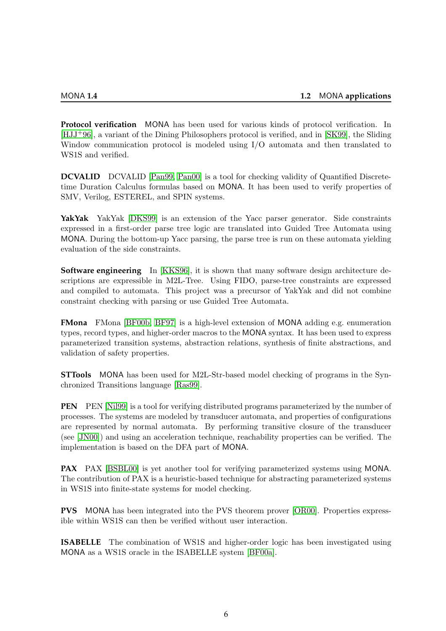**Protocol verification** MONA has been used for various kinds of protocol verification. In [\[HJJ](#page-78-3)+96], a variant of the Dining Philosophers protocol is verified, and in [\[SK99\]](#page-80-3), the Sliding Window communication protocol is modeled using I/O automata and then translated to WS1S and verified.

**DCVALID** DCVALID [\[Pan99,](#page-79-5) [Pan00\]](#page-79-6) is a tool for checking validity of Quantified Discretetime Duration Calculus formulas based on MONA. It has been used to verify properties of SMV, Verilog, ESTEREL, and SPIN systems.

**YakYak** YakYak [\[DKS99\]](#page-78-5) is an extension of the Yacc parser generator. Side constraints expressed in a first-order parse tree logic are translated into Guided Tree Automata using MONA. During the bottom-up Yacc parsing, the parse tree is run on these automata yielding evaluation of the side constraints.

**Software engineering** In [\[KKS96\]](#page-78-6), it is shown that many software design architecture descriptions are expressible in M2L-Tree. Using FIDO, parse-tree constraints are expressed and compiled to automata. This project was a precursor of YakYak and did not combine constraint checking with parsing or use Guided Tree Automata.

**FMona** FMona [\[BF00b,](#page-77-6) [BF97\]](#page-77-7) is a high-level extension of MONA adding e.g. enumeration types, record types, and higher-order macros to the MONA syntax. It has been used to express parameterized transition systems, abstraction relations, synthesis of finite abstractions, and validation of safety properties.

**STTools** MONA has been used for M2L-Str-based model checking of programs in the Synchronized Transitions language [\[Ras99\]](#page-80-4).

**PEN** PEN [\[Nil99\]](#page-79-7) is a tool for verifying distributed programs parameterized by the number of processes. The systems are modeled by transducer automata, and properties of configurations are represented by normal automata. By performing transitive closure of the transducer (see [\[JN00\]](#page-78-7)) and using an acceleration technique, reachability properties can be verified. The implementation is based on the DFA part of MONA.

**PAX** PAX [\[BSBL00\]](#page-77-8) is yet another tool for verifying parameterized systems using MONA. The contribution of PAX is a heuristic-based technique for abstracting parameterized systems in WS1S into finite-state systems for model checking.

**PVS** MONA has been integrated into the PVS theorem prover [\[OR00\]](#page-79-8). Properties expressible within WS1S can then be verified without user interaction.

**ISABELLE** The combination of WS1S and higher-order logic has been investigated using MONA as a WS1S oracle in the ISABELLE system [\[BF00a\]](#page-77-9).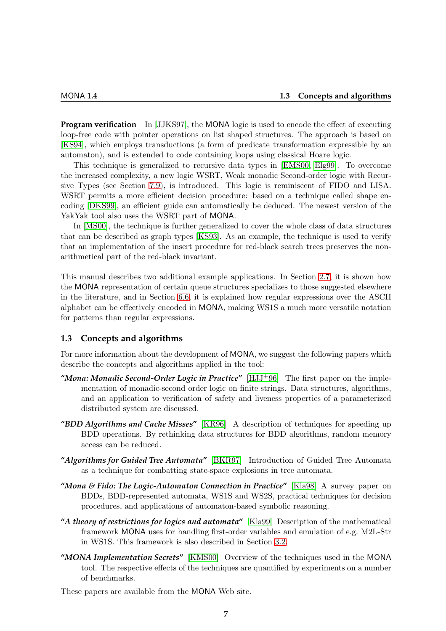**Program verification** In [\[JJKS97\]](#page-78-8), the MONA logic is used to encode the effect of executing loop-free code with pointer operations on list shaped structures. The approach is based on [\[KS94\]](#page-79-9), which employs transductions (a form of predicate transformation expressible by an automaton), and is extended to code containing loops using classical Hoare logic.

This technique is generalized to recursive data types in [\[EMS00,](#page-78-9) [Elg99\]](#page-78-10). To overcome the increased complexity, a new logic WSRT, Weak monadic Second-order logic with Recursive Types (see Section [7.9\)](#page-48-1), is introduced. This logic is reminiscent of FIDO and LISA. WSRT permits a more efficient decision procedure: based on a technique called shape encoding [\[DKS99\]](#page-78-5), an efficient guide can automatically be deduced. The newest version of the YakYak tool also uses the WSRT part of MONA.

In [\[MS00\]](#page-79-10), the technique is further generalized to cover the whole class of data structures that can be described as graph types [\[KS93\]](#page-79-11). As an example, the technique is used to verify that an implementation of the insert procedure for red-black search trees preserves the nonarithmetical part of the red-black invariant.

This manual describes two additional example applications. In Section [2.7,](#page-16-0) it is shown how the MONA representation of certain queue structures specializes to those suggested elsewhere in the literature, and in Section [6.6,](#page-37-1) it is explained how regular expressions over the ASCII alphabet can be effectively encoded in MONA, making WS1S a much more versatile notation for patterns than regular expressions.

#### <span id="page-8-0"></span>**1.3 Concepts and algorithms**

For more information about the development of MONA, we suggest the following papers which describe the concepts and algorithms applied in the tool:

- **"***Mona: Monadic Second-Order Logic in Practice***"** [\[HJJ](#page-78-3)+96] The first paper on the implementation of monadic-second order logic on finite strings. Data structures, algorithms, and an application to verification of safety and liveness properties of a parameterized distributed system are discussed.
- **"***BDD Algorithms and Cache Misses***"** [\[KR96\]](#page-79-12) A description of techniques for speeding up BDD operations. By rethinking data structures for BDD algorithms, random memory access can be reduced.
- **"***Algorithms for Guided Tree Automata***"** [\[BKR97\]](#page-77-1) Introduction of Guided Tree Automata as a technique for combatting state-space explosions in tree automata.
- **"***Mona & Fido: The Logic-Automaton Connection in Practice***"** [\[Kla98\]](#page-78-11) A survey paper on BDDs, BDD-represented automata, WS1S and WS2S, practical techniques for decision procedures, and applications of automaton-based symbolic reasoning.
- **"***A theory of restrictions for logics and automata***"** [\[Kla99\]](#page-78-12) Description of the mathematical framework MONA uses for handling first-order variables and emulation of e.g. M2L-Str in WS1S. This framework is also described in Section [3.2.](#page-24-0)
- **"***MONA Implementation Secrets***"** [\[KMS00\]](#page-78-13) Overview of the techniques used in the MONA tool. The respective effects of the techniques are quantified by experiments on a number of benchmarks.

These papers are available from the MONA Web site.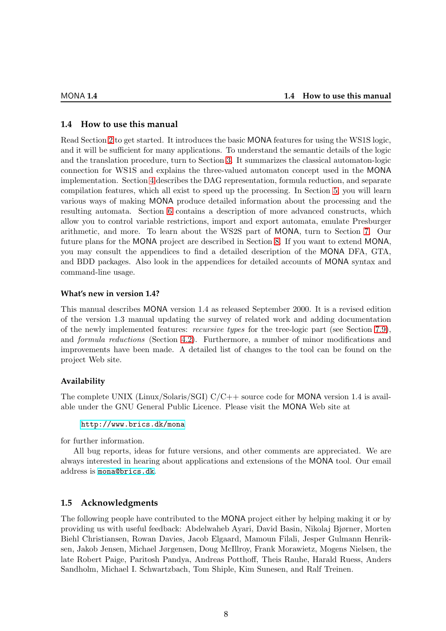#### <span id="page-9-0"></span>**1.4 How to use this manual**

Read Section [2](#page-10-0) to get started. It introduces the basic MONA features for using the WS1S logic, and it will be sufficient for many applications. To understand the semantic details of the logic and the translation procedure, turn to Section [3.](#page-19-0) It summarizes the classical automaton-logic connection for WS1S and explains the three-valued automaton concept used in the MONA implementation. Section [4](#page-28-0) describes the DAG representation, formula reduction, and separate compilation features, which all exist to speed up the processing. In Section [5,](#page-31-0) you will learn various ways of making MONA produce detailed information about the processing and the resulting automata. Section [6](#page-34-0) contains a description of more advanced constructs, which allow you to control variable restrictions, import and export automata, emulate Presburger arithmetic, and more. To learn about the WS2S part of MONA, turn to Section [7.](#page-40-0) Our future plans for the MONA project are described in Section [8.](#page-52-0) If you want to extend MONA, you may consult the appendices to find a detailed description of the MONA DFA, GTA, and BDD packages. Also look in the appendices for detailed accounts of MONA syntax and command-line usage.

#### **What's new in version 1.4?**

This manual describes MONA version 1.4 as released September 2000. It is a revised edition of the version 1.3 manual updating the survey of related work and adding documentation of the newly implemented features: recursive types for the tree-logic part (see Section [7.9\)](#page-48-1), and formula reductions (Section [4.2\)](#page-29-0). Furthermore, a number of minor modifications and improvements have been made. A detailed list of changes to the tool can be found on the project Web site.

#### **Availability**

The complete UNIX (Linux/Solaris/SGI) C/C++ source code for MONA version 1.4 is available under the GNU General Public Licence. Please visit the MONA Web site at

#### <http://www.brics.dk/mona>

for further information.

All bug reports, ideas for future versions, and other comments are appreciated. We are always interested in hearing about applications and extensions of the MONA tool. Our email address is [mona@brics.dk](mailto:mona@brics.dk).

### <span id="page-9-1"></span>**1.5 Acknowledgments**

The following people have contributed to the MONA project either by helping making it or by providing us with useful feedback: Abdelwaheb Ayari, David Basin, Nikolaj Bjørner, Morten Biehl Christiansen, Rowan Davies, Jacob Elgaard, Mamoun Filali, Jesper Gulmann Henriksen, Jakob Jensen, Michael Jørgensen, Doug McIllroy, Frank Morawietz, Mogens Nielsen, the late Robert Paige, Paritosh Pandya, Andreas Potthoff, Theis Rauhe, Harald Ruess, Anders Sandholm, Michael I. Schwartzbach, Tom Shiple, Kim Sunesen, and Ralf Treinen.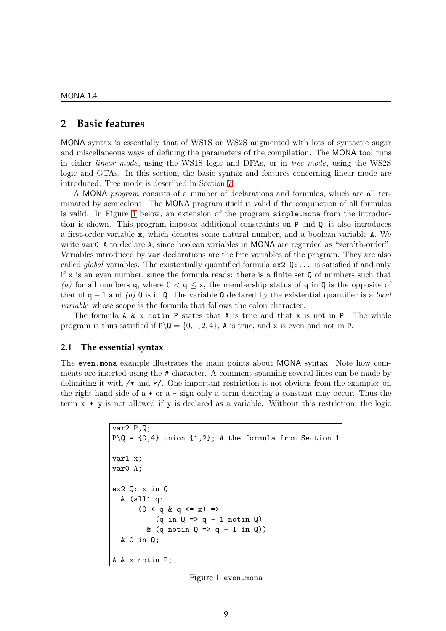## <span id="page-10-0"></span>**2 Basic features**

MONA syntax is essentially that of WS1S or WS2S augmented with lots of syntactic sugar and miscellaneous ways of defining the parameters of the compilation. The MONA tool runs in either linear mode, using the WS1S logic and DFAs, or in tree mode, using the WS2S logic and GTAs. In this section, the basic syntax and features concerning linear mode are introduced. Tree mode is described in Section [7.](#page-40-0)

A MONA program consists of a number of declarations and formulas, which are all terminated by semicolons. The MONA program itself is valid if the conjunction of all formulas is valid. In Figure [1](#page-10-2) below, an extension of the program simple.mona from the introduction is shown. This program imposes additional constraints on P and Q; it also introduces a first-order variable x, which denotes some natural number, and a boolean variable A. We write var0 A to declare A, since boolean variables in MONA are regarded as "zero'th-order". Variables introduced by var declarations are the free variables of the program. They are also called *global* variables. The existentially quantified formula  $ex2 \mathbb{Q}$ :... is satisfied if and only if x is an even number, since the formula reads: there is a finite set Q of numbers such that (a) for all numbers q, where  $0 < q \leq x$ , the membership status of q in Q is the opposite of that of  $q - 1$  and (b) 0 is in Q. The variable Q declared by the existential quantifier is a local variable whose scope is the formula that follows the colon character.

The formula A & x notin P states that A is true and that x is not in P. The whole program is thus satisfied if  $P\Q = \{0, 1, 2, 4\}$ , A is true, and x is even and not in P.

#### <span id="page-10-1"></span>**2.1 The essential syntax**

The even.mona example illustrates the main points about MONA syntax. Note how comments are inserted using the # character. A comment spanning several lines can be made by delimiting it with /\* and \*/. One important restriction is not obvious from the example: on the right hand side of  $a + or a - sign only a term denoting a constant may occur. Thus the$ term  $x + y$  is not allowed if y is declared as a variable. Without this restriction, the logic

```
var2 P,Q;
P\Q = \{0,4\} union \{1,2\}; # the formula from Section 1
var1 x;
var0 A;
ex2 Q: x in Q
  & (all1 q:
        (0 < q & q & q & = x) \Rightarrow(q \in Q \Rightarrow q - 1 \text{ not in } Q)& (q \text{ notin } Q \Rightarrow q - 1 \text{ in } Q))& 0 in Q;
A & x notin P;
```
<span id="page-10-2"></span>Figure 1: even.mona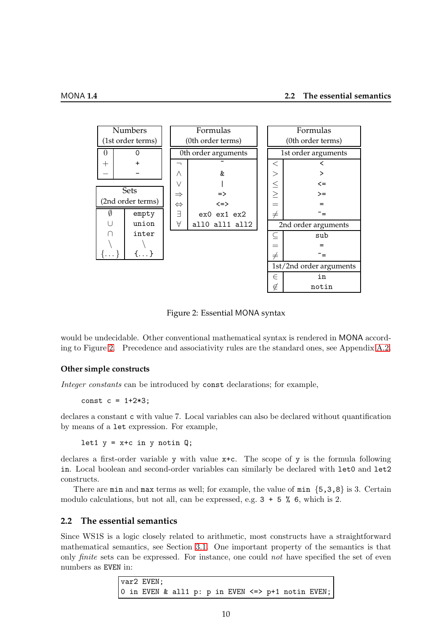| <b>Numbers</b>    |              |  | Formulas            |                |                         | Formulas            |       |  |
|-------------------|--------------|--|---------------------|----------------|-------------------------|---------------------|-------|--|
| (1st order terms) |              |  | (0th order terms)   |                | (0th order terms)       |                     |       |  |
| 0                 | O            |  | 0th order arguments |                | 1st order arguments     |                     |       |  |
| $^{+}$            |              |  |                     |                |                         | $\,<\,$             |       |  |
|                   |              |  | Λ                   | &              |                         |                     | >     |  |
|                   |              |  | V                   |                |                         | $\leq$              | <=    |  |
| Sets              |              |  | $\Rightarrow$       | $\Rightarrow$  |                         | $\geq$              | $>=$  |  |
| (2nd order terms) |              |  | $\Leftrightarrow$   | $\le$ $\ge$    |                         |                     |       |  |
| Ø                 | empty        |  | Ε                   | ex0 ex1 ex2    |                         | $\neq$              |       |  |
|                   | union        |  | А                   | all0 all1 all2 |                         | 2nd order arguments |       |  |
|                   | inter        |  |                     |                |                         |                     | sub   |  |
|                   |              |  |                     |                |                         |                     |       |  |
| $\ldots \}$       | $\{\ldots\}$ |  |                     |                |                         | $\neq$              |       |  |
|                   |              |  |                     |                | 1st/2nd order arguments |                     |       |  |
|                   |              |  |                     |                | E                       | in                  |       |  |
|                   |              |  |                     |                |                         | ∉                   | notin |  |

<span id="page-11-1"></span>Figure 2: Essential MONA syntax

would be undecidable. Other conventional mathematical syntax is rendered in MONA according to Figure [2.](#page-11-1) Precedence and associativity rules are the standard ones, see Appendix [A.2.](#page-57-0)

#### **Other simple constructs**

Integer constants can be introduced by const declarations; for example,

const  $c = 1 + 2 * 3$ :

declares a constant c with value 7. Local variables can also be declared without quantification by means of a let expression. For example,

let1  $y = x+c$  in y notin Q;

declares a first-order variable y with value x+c. The scope of y is the formula following in. Local boolean and second-order variables can similarly be declared with let0 and let2 constructs.

There are min and max terms as well; for example, the value of min  $\{5,3,8\}$  is 3. Certain modulo calculations, but not all, can be expressed, e.g.  $3 + 5$  % 6, which is 2.

#### <span id="page-11-0"></span>**2.2 The essential semantics**

Since WS1S is a logic closely related to arithmetic, most constructs have a straightforward mathematical semantics, see Section [3.1.](#page-19-1) One important property of the semantics is that only *finite* sets can be expressed. For instance, one could *not* have specified the set of even numbers as EVEN in:

> var2 EVEN; 0 in EVEN & all1 p: p in EVEN <=> p+1 notin EVEN;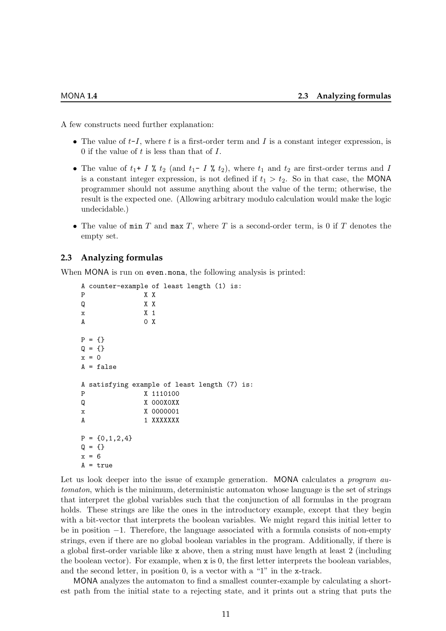A few constructs need further explanation:

- The value of  $t-I$ , where t is a first-order term and I is a constant integer expression, is 0 if the value of  $t$  is less than that of  $I$ .
- The value of  $t_1$ + I %  $t_2$  (and  $t_1$  I %  $t_2$ ), where  $t_1$  and  $t_2$  are first-order terms and I is a constant integer expression, is not defined if  $t_1 > t_2$ . So in that case, the MONA programmer should not assume anything about the value of the term; otherwise, the result is the expected one. (Allowing arbitrary modulo calculation would make the logic undecidable.)
- The value of  $\min T$  and  $\max T$ , where T is a second-order term, is 0 if T denotes the empty set.

#### <span id="page-12-0"></span>**2.3 Analyzing formulas**

When MONA is run on even.mona, the following analysis is printed:

```
A counter-example of least length (1) is:
P X X
Q X X
x X 1
A 0 X
P = \{\}Q = \{\}x = 0A = falseA satisfying example of least length (7) is:
P X 1110100
Q X 000X0XX
x X 0000001
A 1 XXXXXXX
P = \{0, 1, 2, 4\}Q = \{\}x = 6A = true
```
Let us look deeper into the issue of example generation. MONA calculates a *program au*tomaton, which is the minimum, deterministic automaton whose language is the set of strings that interpret the global variables such that the conjunction of all formulas in the program holds. These strings are like the ones in the introductory example, except that they begin with a bit-vector that interprets the boolean variables. We might regard this initial letter to be in position −1. Therefore, the language associated with a formula consists of non-empty strings, even if there are no global boolean variables in the program. Additionally, if there is a global first-order variable like x above, then a string must have length at least 2 (including the boolean vector). For example, when x is 0, the first letter interprets the boolean variables, and the second letter, in position 0, is a vector with a "1" in the x-track.

MONA analyzes the automaton to find a smallest counter-example by calculating a shortest path from the initial state to a rejecting state, and it prints out a string that puts the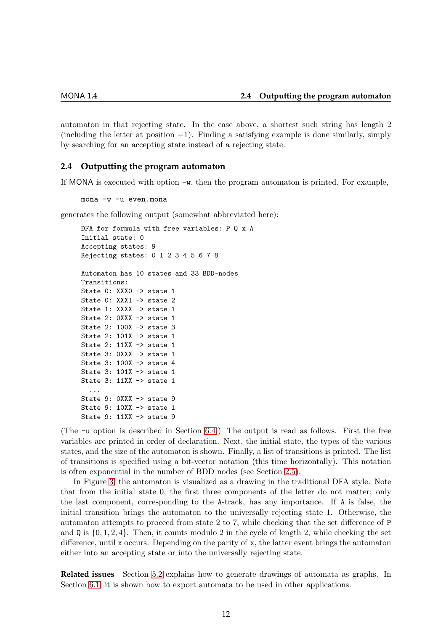automaton in that rejecting state. In the case above, a shortest such string has length 2 (including the letter at position  $-1$ ). Finding a satisfying example is done similarly, simply by searching for an accepting state instead of a rejecting state.

#### <span id="page-13-0"></span>**2.4 Outputting the program automaton**

If MONA is executed with option -w, then the program automaton is printed. For example,

mona -w -u even.mona

generates the following output (somewhat abbreviated here):

```
DFA for formula with free variables: P Q x A
Initial state: 0
Accepting states: 9
Rejecting states: 0 1 2 3 4 5 6 7 8
Automaton has 10 states and 33 BDD-nodes
Transitions:
State 0: XXX0 -> state 1
State 0: XXX1 -> state 2
State 1: XXXX -> state 1
State 2: OXXX -> state 1
State 2: 100X -> state 3
State 2: 101X -> state 1
State 2: 11XX -> state 1
State 3: 0XXX -> state 1
State 3: 100X -> state 4
State 3: 101X -> state 1
State 3: 11XX -> state 1
  ...
State 9: 0XXX -> state 9
State 9: 10XX -> state 1
State 9: 11XX -> state 9
```
(The -u option is described in Section [6.4.](#page-35-2)) The output is read as follows. First the free variables are printed in order of declaration. Next, the initial state, the types of the various states, and the size of the automaton is shown. Finally, a list of transitions is printed. The list of transitions is specified using a bit-vector notation (this time horizontally). This notation is often exponential in the number of BDD nodes (see Section [2.5\)](#page-14-0).

In Figure [3,](#page-14-1) the automaton is visualized as a drawing in the traditional DFA style. Note that from the initial state 0, the first three components of the letter do not matter; only the last component, corresponding to the A-track, has any importance. If A is false, the initial transition brings the automaton to the universally rejecting state 1. Otherwise, the automaton attempts to proceed from state 2 to 7, while checking that the set difference of P and  $\mathbf{Q}$  is  $\{0, 1, 2, 4\}$ . Then, it counts modulo 2 in the cycle of length 2, while checking the set difference, until x occurs. Depending on the parity of x, the latter event brings the automaton either into an accepting state or into the universally rejecting state.

**Related issues** Section [5.2](#page-33-0) explains how to generate drawings of automata as graphs. In Section [6.1,](#page-34-1) it is shown how to export automata to be used in other applications.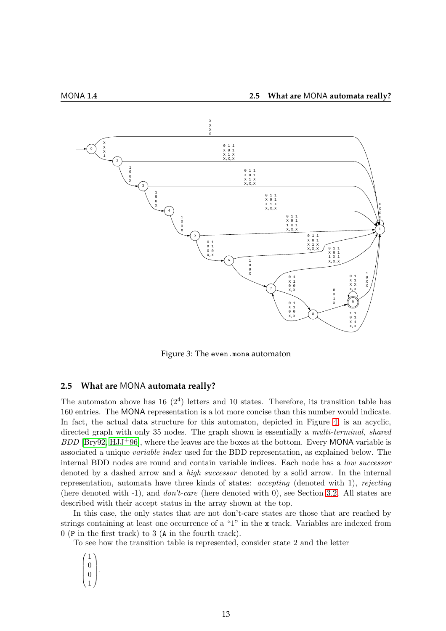



<span id="page-14-1"></span>Figure 3: The even.mona automaton

### <span id="page-14-0"></span>**2.5 What are** MONA **automata really?**

The automaton above has 16  $(2^4)$  letters and 10 states. Therefore, its transition table has 160 entries. The MONA representation is a lot more concise than this number would indicate. In fact, the actual data structure for this automaton, depicted in Figure [4,](#page-15-1) is an acyclic, directed graph with only 35 nodes. The graph shown is essentially a *multi-terminal*, *shared*  $BDD$  [\[Bry92,](#page-77-2) [HJJ](#page-78-3)<sup>+</sup>96], where the leaves are the boxes at the bottom. Every MONA variable is associated a unique variable index used for the BDD representation, as explained below. The internal BDD nodes are round and contain variable indices. Each node has a low successor denoted by a dashed arrow and a high successor denoted by a solid arrow. In the internal representation, automata have three kinds of states: accepting (denoted with 1), rejecting (here denoted with -1), and don't-care (here denoted with 0), see Section [3.2.](#page-23-0) All states are described with their accept status in the array shown at the top.

In this case, the only states that are not don't-care states are those that are reached by strings containing at least one occurrence of a "1" in the x track. Variables are indexed from 0 (P in the first track) to 3 (A in the fourth track).

To see how the transition table is represented, consider state 2 and the letter

 $\sqrt{ }$  $\overline{\phantom{a}}$ 1  $\theta$  $\theta$ 1  $\setminus$  $\overline{\phantom{a}}$ 

.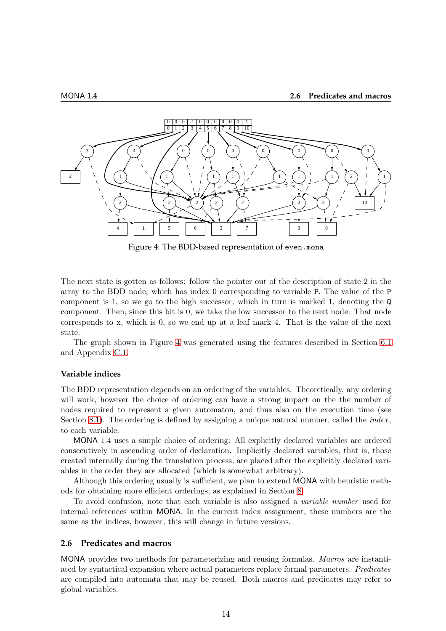

<span id="page-15-1"></span>Figure 4: The BDD-based representation of even.mona

The next state is gotten as follows: follow the pointer out of the description of state 2 in the array to the BDD node, which has index 0 corresponding to variable P. The value of the P component is 1, so we go to the high successor, which in turn is marked 1, denoting the Q component. Then, since this bit is 0, we take the low successor to the next node. That node corresponds to x, which is 0, so we end up at a leaf mark 4. That is the value of the next state.

The graph shown in Figure [4](#page-15-1) was generated using the features described in Section [6.1](#page-34-1) and Appendix [C.1.](#page-59-1)

#### **Variable indices**

The BDD representation depends on an ordering of the variables. Theoretically, any ordering will work, however the choice of ordering can have a strong impact on the the number of nodes required to represent a given automaton, and thus also on the execution time (see Section [8.1\)](#page-52-1). The ordering is defined by assigning a unique natural number, called the *index*, to each variable.

MONA 1.4 uses a simple choice of ordering: All explicitly declared variables are ordered consecutively in ascending order of declaration. Implicitly declared variables, that is, those created internally during the translation process, are placed after the explicitly declared variables in the order they are allocated (which is somewhat arbitrary).

Although this ordering usually is sufficient, we plan to extend MONA with heuristic methods for obtaining more efficient orderings, as explained in Section [8.](#page-52-0)

To avoid confusion, note that each variable is also assigned a variable number used for internal references within MONA. In the current index assignment, these numbers are the same as the indices, however, this will change in future versions.

#### <span id="page-15-0"></span>**2.6 Predicates and macros**

MONA provides two methods for parameterizing and reusing formulas. Macros are instantiated by syntactical expansion where actual parameters replace formal parameters. Predicates are compiled into automata that may be reused. Both macros and predicates may refer to global variables.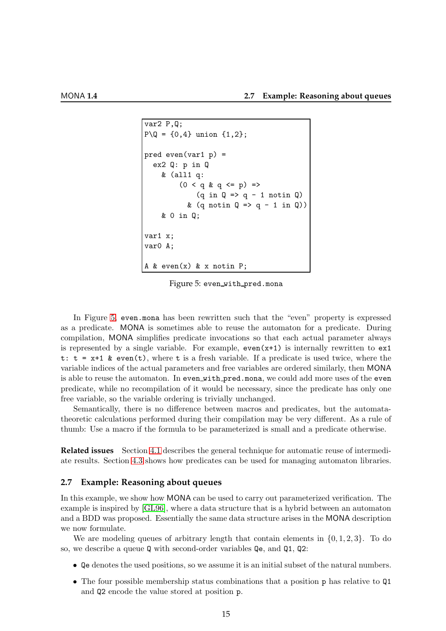```
var2 P,Q;
P \ Q = \{0, 4\} union \{1, 2\};
pred even(var1 p) =
  ex2 Q: p in Q
     & (all1 q:
          (0 < q \& q \le p) =>
               (q \in Q \Rightarrow q - 1 \text{ not in } Q)& (q \text{ notin } Q \Rightarrow q - 1 \text{ in } Q))& 0 in Q;
var1 x;
var0 A;
A & even(x) & x notin P;
```
<span id="page-16-1"></span>Figure 5: even with pred.mona

In Figure [5,](#page-16-1) even.mona has been rewritten such that the "even" property is expressed as a predicate. MONA is sometimes able to reuse the automaton for a predicate. During compilation, MONA simplifies predicate invocations so that each actual parameter always is represented by a single variable. For example,  $even(x+1)$  is internally rewritten to  $ex1$ t:  $t = x+1$  & even(t), where t is a fresh variable. If a predicate is used twice, where the variable indices of the actual parameters and free variables are ordered similarly, then MONA is able to reuse the automaton. In even with pred.mona, we could add more uses of the even predicate, while no recompilation of it would be necessary, since the predicate has only one free variable, so the variable ordering is trivially unchanged.

Semantically, there is no difference between macros and predicates, but the automatatheoretic calculations performed during their compilation may be very different. As a rule of thumb: Use a macro if the formula to be parameterized is small and a predicate otherwise.

**Related issues** Section [4.1](#page-28-1) describes the general technique for automatic reuse of intermediate results. Section [4.3](#page-30-0) shows how predicates can be used for managing automaton libraries.

#### <span id="page-16-0"></span>**2.7 Example: Reasoning about queues**

In this example, we show how MONA can be used to carry out parameterized verification. The example is inspired by [\[GL96\]](#page-78-14), where a data structure that is a hybrid between an automaton and a BDD was proposed. Essentially the same data structure arises in the MONA description we now formulate.

We are modeling queues of arbitrary length that contain elements in  $\{0, 1, 2, 3\}$ . To do so, we describe a queue Q with second-order variables Qe, and Q1, Q2:

- Qe denotes the used positions, so we assume it is an initial subset of the natural numbers.
- The four possible membership status combinations that a position p has relative to Q1 and Q2 encode the value stored at position p.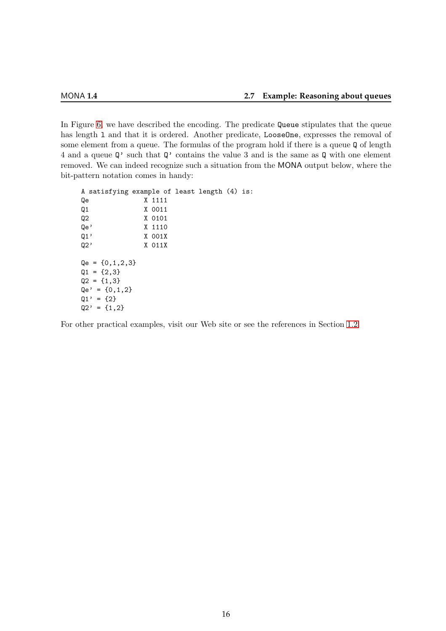In Figure [6,](#page-18-0) we have described the encoding. The predicate Queue stipulates that the queue has length 1 and that it is ordered. Another predicate, LooseOne, expresses the removal of some element from a queue. The formulas of the program hold if there is a queue Q of length 4 and a queue Q' such that Q' contains the value 3 and is the same as Q with one element removed. We can indeed recognize such a situation from the MONA output below, where the bit-pattern notation comes in handy:

```
A satisfying example of least length (4) is:
Qe X 1111
Q1 X 0011
Q2 X 0101
Qe' X 1110
Q1' X 001X
Q2' X 011X
Qe = \{0, 1, 2, 3\}Q1 = \{2,3\}Q2 = \{1,3\}Qe' = \{0, 1, 2\}Q1' = {2}Q2' = \{1,2\}
```
For other practical examples, visit our Web site or see the references in Section [1.2.](#page-5-0)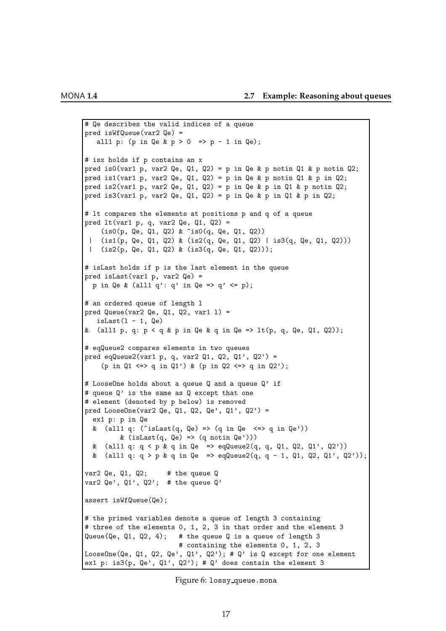```
# Qe describes the valid indices of a queue
pred isWfQueue(var2 Qe) =
   all1 p: (p in Qe & p > 0 => p - 1 in Qe);
# isx holds if p contains an x
pred is0(var1 p, var2 Qe, Q1, Q2) = p in Qe & p notin Q1 & p notin Q2;
pred is1(var1 p, var2 Qe, Q1, Q2) = p in Qe & p notin Q1 & p in Q2;
pred is2(var1 p, var2 Qe, Q1, Q2) = p in Qe & p in Q1 & p notin Q2;
pred is3(var1 p, var2 Qe, Q1, Q2) = p in Qe & p in Q1 & p in Q2;
# lt compares the elements at positions p and q of a queue
pred lt(var1 p, q, var2 Qe, Q1, Q2) =(is0(p, Qe, Q1, Q2) & ~is0(q, Qe, Q1, Q2))
 | (is1(p, Qe, Q1, Q2) & (is2(q, Qe, Q1, Q2) | is3(q, Qe, Q1, Q2)))
 | (is2(p, Qe, Q1, Q2) & (is3(q, Qe, Q1, Q2)));
# isLast holds if p is the last element in the queue
pred isLast(var1 p, var2 Qe) =
  p in Qe & (all1 q': q' in Qe => q' <= p);
# an ordered queue of length l
pred Queue(var2 Qe, Q1, Q2, var1 1) =
   isLast(1 - 1, \mathbb{Q}e)& (all1 p, q: p < q & p in Qe & q in Qe => lt(p, q, Qe, Q1, Q2));
# eqQueue2 compares elements in two queues
pred eqQueue2(var1 p, q, var2 Q1, Q2, Q1', Q2') =
    (p in 01 \le x \le a in 01') & (p in 02 \le x > a in 02');
# LooseOne holds about a queue Q and a queue Q' if
# queue Q' is the same as Q except that one
# element (denoted by p below) is removed
pred LooseOne(var2 Qe, Q1, Q2, Qe', Q1', Q2') =
  ex1 p: p in Qe
  & (all1 q: ("isLast(q, Qe) => (q in Qe \le > q in Qe'))
         & (isLast(q, Qe) =&>(q notin Qe'))& (all1 q: q \leq p \leq q in Qe => eqQueue2(q, q, Q1, Q2, Q1', Q2'))
 & (all1 q: q > p & q in Qe => eqQueue2(q, q - 1, Q1, Q2, Q1', Q2'));
var2 Qe, Q_1, Q_2; # the queue Qvar2 Qe', Q1', Q2'; # the queue Q'assert isWfQueue(Qe);
# the primed variables denote a queue of length 3 containing
# three of the elements 0, 1, 2, 3 in that order and the element 3
Queue(Qe, Q1, Q2, 4); # the queue Q is a queue of length 3
                        # containing the elements 0, 1, 2, 3
LooseOne(Qe, Q1, Q2, Qe', Q1', Q2'); # Q' is Q except for one element
ex1 p: is3(p, Qe', Q1', Q2'); # Q' does contain the element 3
```

```
Figure 6: lossy queue.mona
```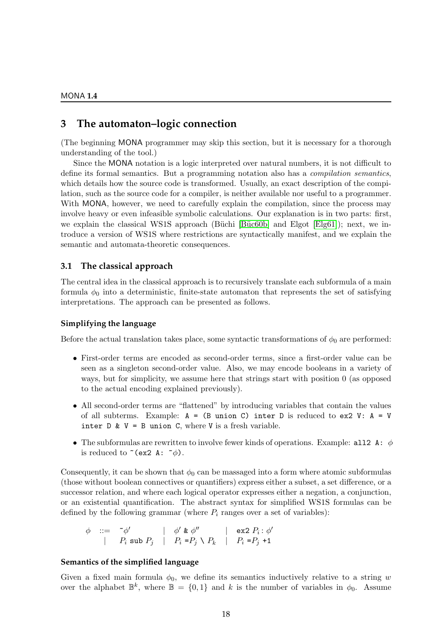# <span id="page-19-0"></span>**3 The automaton–logic connection**

(The beginning MONA programmer may skip this section, but it is necessary for a thorough understanding of the tool.)

Since the MONA notation is a logic interpreted over natural numbers, it is not difficult to define its formal semantics. But a programming notation also has a *compilation semantics*, which details how the source code is transformed. Usually, an exact description of the compilation, such as the source code for a compiler, is neither available nor useful to a programmer. With MONA, however, we need to carefully explain the compilation, since the process may involve heavy or even infeasible symbolic calculations. Our explanation is in two parts: first, we explain the classical WS1S approach (Büchi [Büc $60b$ ] and Elgot [Elg $61$ ]); next, we introduce a version of WS1S where restrictions are syntactically manifest, and we explain the semantic and automata-theoretic consequences.

#### <span id="page-19-1"></span>**3.1 The classical approach**

The central idea in the classical approach is to recursively translate each subformula of a main formula  $\phi_0$  into a deterministic, finite-state automaton that represents the set of satisfying interpretations. The approach can be presented as follows.

#### **Simplifying the language**

Before the actual translation takes place, some syntactic transformations of  $\phi_0$  are performed:

- First-order terms are encoded as second-order terms, since a first-order value can be seen as a singleton second-order value. Also, we may encode booleans in a variety of ways, but for simplicity, we assume here that strings start with position 0 (as opposed to the actual encoding explained previously).
- All second-order terms are "flattened" by introducing variables that contain the values of all subterms. Example:  $A = (B \text{ union } C)$  inter D is reduced to ex2 V:  $A = V$ inter  $D \& V = B$  union C, where V is a fresh variable.
- The subformulas are rewritten to involve fewer kinds of operations. Example: all 2 A:  $\phi$ is reduced to  $\tilde{\text{c}}$  (ex2 A:  $\tilde{\text{c}}$ ).

Consequently, it can be shown that  $\phi_0$  can be massaged into a form where atomic subformulas (those without boolean connectives or quantifiers) express either a subset, a set difference, or a successor relation, and where each logical operator expresses either a negation, a conjunction, or an existential quantification. The abstract syntax for simplified WS1S formulas can be defined by the following grammar (where  $P_i$  ranges over a set of variables):

$$
\begin{array}{cccc}\n\phi & ::= & \tilde{\phantom{a}} \phi' & | & \phi' & \& \phi'' & | & \exp P_i : \phi' \\
| & P_i & \sup P_j & | & P_i & = P_j \setminus P_k & | & P_i & = P_j + 1\n\end{array}
$$

#### **Semantics of the simplified language**

Given a fixed main formula  $\phi_0$ , we define its semantics inductively relative to a string w over the alphabet  $\mathbb{B}^k$ , where  $\mathbb{B} = \{0,1\}$  and k is the number of variables in  $\phi_0$ . Assume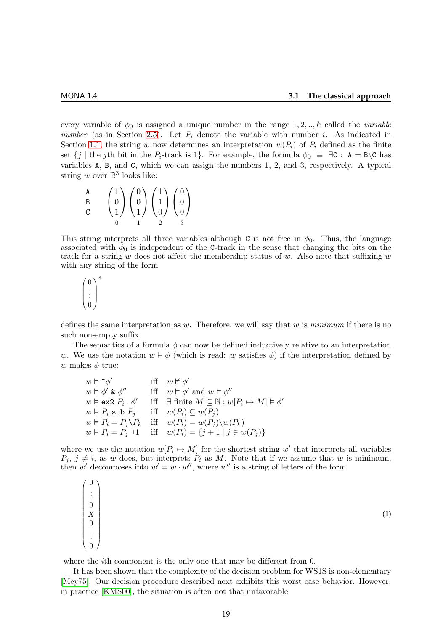every variable of  $\phi_0$  is assigned a unique number in the range 1, 2, ..., k called the *variable* number (as in Section [2.5\)](#page-14-0). Let  $P_i$  denote the variable with number *i*. As indicated in Section [1.1,](#page-4-1) the string w now determines an interpretation  $w(P_i)$  of  $P_i$  defined as the finite set  $\{j \mid \text{the } j\text{th } \text{bit } \text{in } \text{the } P_i\text{-track is } 1\}.$  For example, the formula  $\phi_0 \equiv \exists C : A = B \setminus C$  has variables A, B, and C, which we can assign the numbers 1, 2, and 3, respectively. A typical string  $w$  over  $\mathbb{B}^3$  looks like:

| A            |                                                                                                                                                                           |  |
|--------------|---------------------------------------------------------------------------------------------------------------------------------------------------------------------------|--|
| $\, {\bf B}$ |                                                                                                                                                                           |  |
| C            | $\begin{pmatrix} 1 \\ 0 \\ 1 \end{pmatrix} \begin{pmatrix} 0 \\ 0 \\ 1 \end{pmatrix} \begin{pmatrix} 1 \\ 1 \\ 0 \end{pmatrix} \begin{pmatrix} 0 \\ 0 \\ 0 \end{pmatrix}$ |  |
|              |                                                                                                                                                                           |  |

This string interprets all three variables although C is not free in  $\phi_0$ . Thus, the language associated with  $\phi_0$  is independent of the C-track in the sense that changing the bits on the track for a string w does not affect the membership status of w. Also note that suffixing  $w$ with any string of the form

 $\sqrt{ }$  $\overline{\phantom{a}}$  $\boldsymbol{0}$ . . .  $\theta$  $\setminus$  $\Bigg\}$ ∗

defines the same interpretation as w. Therefore, we will say that w is minimum if there is no such non-empty suffix.

The semantics of a formula  $\phi$  can now be defined inductively relative to an interpretation w. We use the notation  $w \vDash \phi$  (which is read: w satisfies  $\phi$ ) if the interpretation defined by w makes  $\phi$  true:

 $w \models \sim \phi'$  iff  $w \not\vDash \phi'$  $w \vDash \phi' \& \phi''$  iff  $w \vDash \phi'$  and  $w \vDash \phi''$  $w \vDash \textsf{ex2} \; P_i : \phi' \quad \text{ iff } \exists \text{ finite } M \subseteq \mathbb{N} : w[P_i \mapsto M] \vDash \phi'$  $w \vDash P_i$  sub  $P_j$  iff  $w(P_i) \subseteq w(P_j)$  $w \vDash P_i = P_j \ Y_k$  iff  $w(P_i) = w(P_j) \ \ w(P_k)$  $w \vDash P_i = P_j + 1$  iff  $w(P_i) = \{j+1 \mid j \in w(P_j)\}\$ 

where we use the notation  $w[P_i \mapsto M]$  for the shortest string w' that interprets all variables  $P_j, j \neq i$ , as w does, but interprets  $P_i$  as M. Note that if we assume that w is minimum, then w' decomposes into  $w' = w \cdot w''$ , where w'' is a string of letters of the form

<span id="page-20-0"></span>

where the *i*th component is the only one that may be different from 0.

It has been shown that the complexity of the decision problem for WS1S is non-elementary [\[Mey75\]](#page-79-0). Our decision procedure described next exhibits this worst case behavior. However, in practice [\[KMS00\]](#page-78-13), the situation is often not that unfavorable.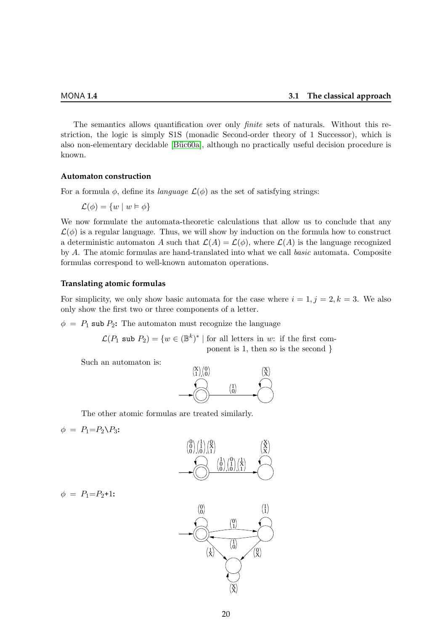The semantics allows quantification over only *finite* sets of naturals. Without this restriction, the logic is simply S1S (monadic Second-order theory of 1 Successor), which is also non-elementary decidable [Büc60a], although no practically useful decision procedure is known.

#### **Automaton construction**

For a formula  $\phi$ , define its *language*  $\mathcal{L}(\phi)$  as the set of satisfying strings:

$$
\mathcal{L}(\phi) = \{w \mid w \vDash \phi\}
$$

We now formulate the automata-theoretic calculations that allow us to conclude that any  $\mathcal{L}(\phi)$  is a regular language. Thus, we will show by induction on the formula how to construct a deterministic automaton A such that  $\mathcal{L}(A) = \mathcal{L}(\phi)$ , where  $\mathcal{L}(A)$  is the language recognized by A. The atomic formulas are hand-translated into what we call basic automata. Composite formulas correspond to well-known automaton operations.

#### **Translating atomic formulas**

For simplicity, we only show basic automata for the case where  $i = 1, j = 2, k = 3$ . We also only show the first two or three components of a letter.

 $\phi = P_1$  sub  $P_2$ : The automaton must recognize the language

 $\mathcal{L}(P_1 \text{ sub } P_2) = \{w \in (\mathbb{B}^k)^* \mid \text{for all letters in } w: \text{ if the first com-} \}$ ponent is 1, then so is the second }

Such an automaton is:



The other atomic formulas are treated similarly.

$$
\phi = P_1 = P_2 \setminus P_3
$$



$$
\phi = P_1 = P_2 + 1
$$

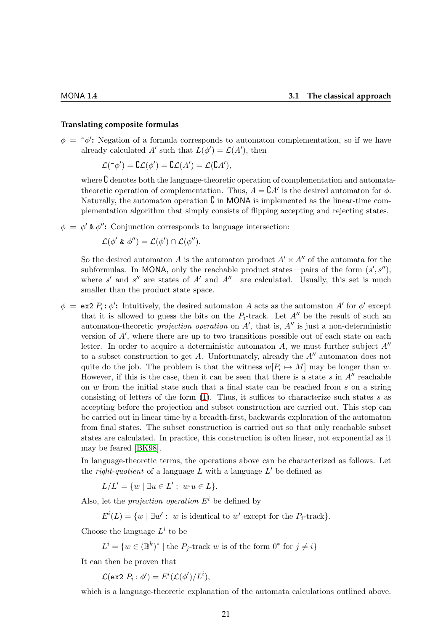#### **Translating composite formulas**

 $\phi = \phi'$ : Negation of a formula corresponds to automaton complementation, so if we have already calculated A' such that  $L(\phi') = \mathcal{L}(A')$ , then

$$
\mathcal{L}(\tilde{\phantom{a}}\phi') = \mathcal{L}(\phi') = \mathcal{L}(\mathcal{A}') = \mathcal{L}(\mathcal{L}\mathcal{A}'),
$$

where **C** denotes both the language-theoretic operation of complementation and automatatheoretic operation of complementation. Thus,  $A = \mathcal{C}A'$  is the desired automaton for  $\phi$ . Naturally, the automaton operation  $\mathcal C$  in MONA is implemented as the linear-time complementation algorithm that simply consists of flipping accepting and rejecting states.

 $\phi = \phi'$  &  $\phi''$ : Conjunction corresponds to language intersection:

$$
\mathcal{L}(\phi' \& \phi'') = \mathcal{L}(\phi') \cap \mathcal{L}(\phi'').
$$

So the desired automaton A is the automaton product  $A' \times A''$  of the automata for the subformulas. In MONA, only the reachable product states—pairs of the form  $(s', s'')$ , where s' and s'' are states of A' and  $A''$ —are calculated. Usually, this set is much smaller than the product state space.

 $\phi = \exp P_i$ :  $\phi'$ : Intuitively, the desired automaton A acts as the automaton A' for  $\phi'$  except that it is allowed to guess the bits on the  $P_i$ -track. Let  $A''$  be the result of such an automaton-theoretic *projection operation* on  $A'$ , that is,  $A''$  is just a non-deterministic version of A′ , where there are up to two transitions possible out of each state on each letter. In order to acquire a deterministic automaton A, we must further subject  $A''$ to a subset construction to get A. Unfortunately, already the  $A''$  automaton does not quite do the job. The problem is that the witness  $w[P_i \mapsto M]$  may be longer than w. However, if this is the case, then it can be seen that there is a state  $s$  in  $A''$  reachable on  $w$  from the initial state such that a final state can be reached from  $s$  on a string consisting of letters of the form  $(1)$ . Thus, it suffices to characterize such states s as accepting before the projection and subset construction are carried out. This step can be carried out in linear time by a breadth-first, backwards exploration of the automaton from final states. The subset construction is carried out so that only reachable subset states are calculated. In practice, this construction is often linear, not exponential as it may be feared [\[BK98\]](#page-77-3).

In language-theoretic terms, the operations above can be characterized as follows. Let the *right-quotient* of a language  $L$  with a language  $L'$  be defined as

 $L/L' = \{w \mid \exists u \in L' : w \cdot u \in L\}.$ 

Also, let the *projection operation*  $E^i$  be defined by

 $E^{i}(L) = \{w \mid \exists w' : w \text{ is identical to } w' \text{ except for the } P_{i}\text{-track}\}.$ 

Choose the language  $L^i$  to be

 $L^i = \{w \in (\mathbb{B}^k)^* \mid \text{the } P_j\text{-track } w \text{ is of the form } 0^* \text{ for } j \neq i\}$ 

It can then be proven that

 $\mathcal{L}(\texttt{ex2}\;P_i:\phi')=E^i(\mathcal{L}(\phi')/L^i),$ 

which is a language-theoretic explanation of the automata calculations outlined above.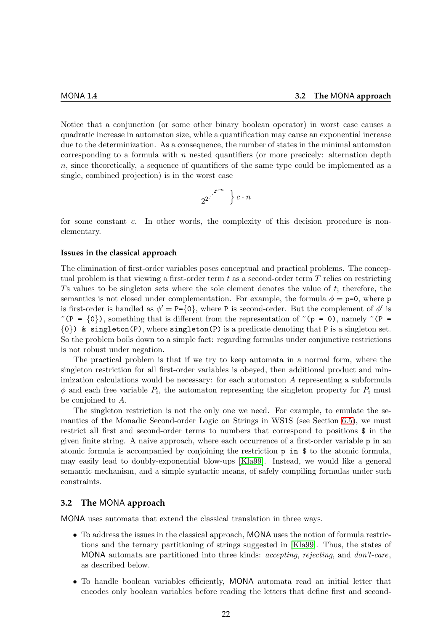Notice that a conjunction (or some other binary boolean operator) in worst case causes a quadratic increase in automaton size, while a quantification may cause an exponential increase due to the determinization. As a consequence, the number of states in the minimal automaton corresponding to a formula with  $n$  nested quantifiers (or more precicely: alternation depth n, since theoretically, a sequence of quantifiers of the same type could be implemented as a single, combined projection) is in the worst case

$$
2^{2^{\cdot^{\cdot^{\cdot^{2^{c\cdot n}}}}}}\big\} \, c \cdot n
$$

for some constant c. In other words, the complexity of this decision procedure is nonelementary.

#### **Issues in the classical approach**

The elimination of first-order variables poses conceptual and practical problems. The conceptual problem is that viewing a first-order term  $t$  as a second-order term  $T$  relies on restricting Ts values to be singleton sets where the sole element denotes the value of t; therefore, the semantics is not closed under complementation. For example, the formula  $\phi = \mathbf{p} = 0$ , where  $\mathbf{p}$ is first-order is handled as  $\phi' = P = \{0\}$ , where P is second-order. But the complement of  $\phi'$  is  $\tilde{}$  (P = {0}), something that is different from the representation of  $\tilde{}$  (p = 0), namely  $\tilde{}$  (P =  $\{0\}$ ) & singleton(P), where singleton(P) is a predicate denoting that P is a singleton set. So the problem boils down to a simple fact: regarding formulas under conjunctive restrictions is not robust under negation.

The practical problem is that if we try to keep automata in a normal form, where the singleton restriction for all first-order variables is obeyed, then additional product and minimization calculations would be necessary: for each automaton A representing a subformula  $\phi$  and each free variable  $P_i$ , the automaton representing the singleton property for  $P_i$  must be conjoined to A.

The singleton restriction is not the only one we need. For example, to emulate the semantics of the Monadic Second-order Logic on Strings in WS1S (see Section [6.5\)](#page-37-0), we must restrict all first and second-order terms to numbers that correspond to positions \$ in the given finite string. A naive approach, where each occurrence of a first-order variable p in an atomic formula is accompanied by conjoining the restriction p in \$ to the atomic formula, may easily lead to doubly-exponential blow-ups [\[Kla99\]](#page-78-12). Instead, we would like a general semantic mechanism, and a simple syntactic means, of safely compiling formulas under such constraints.

#### <span id="page-23-0"></span>**3.2 The** MONA **approach**

MONA uses automata that extend the classical translation in three ways.

- To address the issues in the classical approach, MONA uses the notion of formula restrictions and the ternary partitioning of strings suggested in [\[Kla99\]](#page-78-12). Thus, the states of MONA automata are partitioned into three kinds: *accepting, rejecting, and don't-care*, as described below.
- To handle boolean variables efficiently, MONA automata read an initial letter that encodes only boolean variables before reading the letters that define first and second-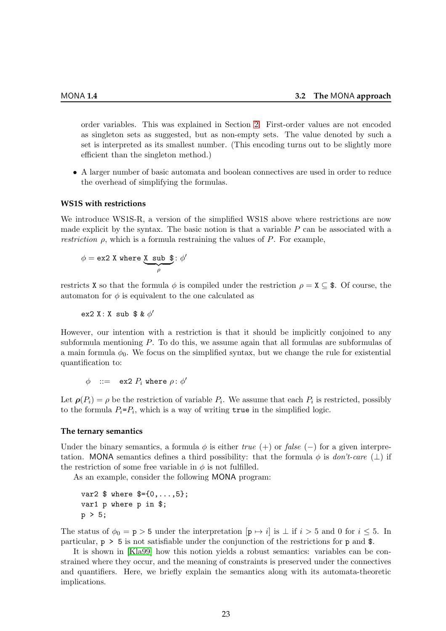order variables. This was explained in Section [2.](#page-10-0) First-order values are not encoded as singleton sets as suggested, but as non-empty sets. The value denoted by such a set is interpreted as its smallest number. (This encoding turns out to be slightly more efficient than the singleton method.)

• A larger number of basic automata and boolean connectives are used in order to reduce the overhead of simplifying the formulas.

#### <span id="page-24-0"></span>**WS1S with restrictions**

We introduce WS1S-R, a version of the simplified WS1S above where restrictions are now made explicit by the syntax. The basic notion is that a variable  $P$  can be associated with a *restriction*  $\rho$ , which is a formula restraining the values of P. For example,

$$
\phi = \texttt{ex2 X where} \underset{\rho}{\underbrace{\textbf{X} \ \ \text{sub} \ \ \textbf{\$}}};\ \phi'
$$

restricts X so that the formula  $\phi$  is compiled under the restriction  $\rho = X \subseteq$  \$. Of course, the automaton for  $\phi$  is equivalent to the one calculated as

ex2 X: X sub  $$~\&~\phi'$ 

However, our intention with a restriction is that it should be implicitly conjoined to any subformula mentioning P. To do this, we assume again that all formulas are subformulas of a main formula  $\phi_0$ . We focus on the simplified syntax, but we change the rule for existential quantification to:

 $\phi$  : = ex2  $P_i$  where  $\rho$ :  $\phi'$ 

Let  $\rho(P_i) = \rho$  be the restriction of variable  $P_i$ . We assume that each  $P_i$  is restricted, possibly to the formula  $P_i = P_i$ , which is a way of writing  $true$  in the simplified logic.

#### **The ternary semantics**

Under the binary semantics, a formula  $\phi$  is either true (+) or false (-) for a given interpretation. MONA semantics defines a third possibility: that the formula  $\phi$  is *don't-care* ( $\perp$ ) if the restriction of some free variable in  $\phi$  is not fulfilled.

As an example, consider the following MONA program:

```
var2 $ where $={0,...,5};
var1 p where p in $;
p > 5;
```
The status of  $\phi_0 = \mathbf{p} > 5$  under the interpretation  $[\mathbf{p} \mapsto i]$  is  $\perp$  if  $i > 5$  and 0 for  $i \leq 5$ . In particular, p > 5 is not satisfiable under the conjunction of the restrictions for p and \$.

It is shown in [\[Kla99\]](#page-78-12) how this notion yields a robust semantics: variables can be constrained where they occur, and the meaning of constraints is preserved under the connectives and quantifiers. Here, we briefly explain the semantics along with its automata-theoretic implications.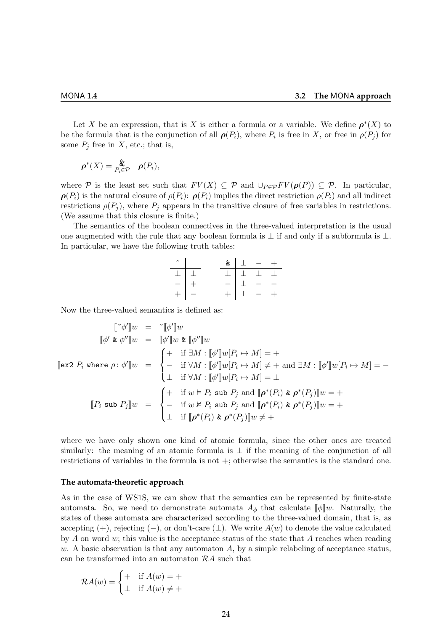Let X be an expression, that is X is either a formula or a variable. We define  $\rho^*(X)$  to be the formula that is the conjunction of all  $\rho(P_i)$ , where  $P_i$  is free in X, or free in  $\rho(P_j)$  for some  $P_j$  free in X, etc.; that is,

$$
\boldsymbol{\rho}^*(X) = \underset{P_i \in \mathcal{P}}{\mathbf{L}} \boldsymbol{\rho}(P_i),
$$

where P is the least set such that  $FV(X) \subseteq \mathcal{P}$  and  $\cup_{P \in \mathcal{P}} FV(\rho(P)) \subseteq \mathcal{P}$ . In particular,  $\rho(P_i)$  is the natural closure of  $\rho(P_i)$ :  $\rho(P_i)$  implies the direct restriction  $\rho(P_i)$  and all indirect restrictions  $\rho(P_j)$ , where  $P_j$  appears in the transitive closure of free variables in restrictions. (We assume that this closure is finite.)

The semantics of the boolean connectives in the three-valued interpretation is the usual one augmented with the rule that any boolean formula is  $\perp$  if and only if a subformula is  $\perp$ . In particular, we have the following truth tables:

|                                                                                            |  |                                                             | & $\perp$ - + |
|--------------------------------------------------------------------------------------------|--|-------------------------------------------------------------|---------------|
| $\begin{array}{c c c c} \hline \quad \, & \, \, \perp & \, \, \perp \\ \hline \end{array}$ |  | $\boxed{\bot}$ $\boxed{\bot}$ $\boxed{\bot}$ $\boxed{\bot}$ |               |
| $-$   +                                                                                    |  | $ \perp$ $ -$                                               |               |
| $+$   $-$                                                                                  |  | $+$ $\perp$ - +                                             |               |

Now the three-valued semantics is defined as:

$$
\begin{aligned}\n\llbracket \tilde{\phi}' \rrbracket w &= \tilde{\phi}' \rrbracket w \\
\llbracket \phi' \mathbf{k} \phi'' \rrbracket w &= \begin{bmatrix} \phi' \rrbracket w \mathbf{k} \llbracket \phi'' \rrbracket w \\
+ \quad \text{if } \exists M : \llbracket \phi' \rrbracket w [P_i \mapsto M] = + \\
- \quad \text{if } \forall M : \llbracket \phi' \rrbracket w [P_i \mapsto M] \neq + \text{ and } \exists M : \llbracket \phi' \rrbracket w [P_i \mapsto M] = - \\
\perp \quad \text{if } \forall M : \llbracket \phi' \rrbracket w [P_i \mapsto M] = \perp\n\end{bmatrix} \\
\llbracket P_i \text{ sub } P_j \rrbracket w &= \n\begin{cases}\n+ \quad \text{if } w \models P_i \text{ sub } P_j \text{ and } \llbracket \boldsymbol{\rho}^*(P_i) \mathbf{k} \ \boldsymbol{\rho}^*(P_j) \rrbracket w = + \\
- \quad \text{if } w \nvDash P_i \text{ sub } P_j \text{ and } \llbracket \boldsymbol{\rho}^*(P_i) \mathbf{k} \ \boldsymbol{\rho}^*(P_j) \rrbracket w = + \\
\perp \quad \text{if } \llbracket \boldsymbol{\rho}^*(P_i) \mathbf{k} \ \boldsymbol{\rho}^*(P_j) \rrbracket w \neq +\n\end{cases}\n\end{aligned}
$$

where we have only shown one kind of atomic formula, since the other ones are treated similarly: the meaning of an atomic formula is  $\perp$  if the meaning of the conjunction of all restrictions of variables in the formula is not +; otherwise the semantics is the standard one.

#### **The automata-theoretic approach**

As in the case of WS1S, we can show that the semantics can be represented by finite-state automata. So, we need to demonstrate automata  $A_{\phi}$  that calculate  $\|\phi\|$ w. Naturally, the states of these automata are characterized according to the three-valued domain, that is, as accepting (+), rejecting (-), or don't-care  $(\perp)$ . We write  $A(w)$  to denote the value calculated by  $A$  on word  $w$ ; this value is the acceptance status of the state that  $A$  reaches when reading w. A basic observation is that any automaton  $A$ , by a simple relabeling of acceptance status, can be transformed into an automaton  $RA$  such that

$$
\mathcal{R}A(w) = \begin{cases} + & \text{if } A(w) = + \\ \bot & \text{if } A(w) \neq + \end{cases}
$$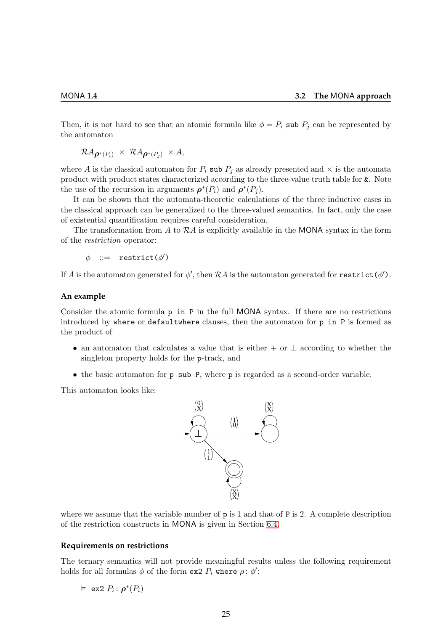Then, it is not hard to see that an atomic formula like  $\phi = P_i$  sub  $P_j$  can be represented by the automaton

$$
\mathcal{R} A_{\boldsymbol{\rho}^*(P_i)} \times \mathcal{R} A_{\boldsymbol{\rho}^*(P_j)} \times A,
$$

where A is the classical automaton for  $P_i$  sub  $P_j$  as already presented and  $\times$  is the automata product with product states characterized according to the three-value truth table for &. Note the use of the recursion in arguments  $\rho^*(P_i)$  and  $\rho^*(P_j)$ .

It can be shown that the automata-theoretic calculations of the three inductive cases in the classical approach can be generalized to the three-valued semantics. In fact, only the case of existential quantification requires careful consideration.

The transformation from  $A$  to  $R\overline{A}$  is explicitly available in the MONA syntax in the form of the restriction operator:

 $\phi$  : = restrict( $\phi'$ )

If  $A$  is the automaton generated for  $\phi',$  then  ${\mathcal{R}} A$  is the automaton generated for  $\mathbf{restrict}(\phi').$ 

#### **An example**

Consider the atomic formula p in P in the full MONA syntax. If there are no restrictions introduced by where or defaultwhere clauses, then the automaton for  $p$  in  $P$  is formed as the product of

- an automaton that calculates a value that is either + or  $\perp$  according to whether the singleton property holds for the p-track, and
- the basic automaton for p sub P, where p is regarded as a second-order variable.

This automaton looks like:



where we assume that the variable number of  $p$  is 1 and that of P is 2. A complete description of the restriction constructs in MONA is given in Section [6.4.](#page-35-2)

#### **Requirements on restrictions**

The ternary semantics will not provide meaningful results unless the following requirement holds for all formulas  $\phi$  of the form ex2  $P_i$  where  $\rho: \phi'$ :

 $\vDash$  ex2  $P_i: \boldsymbol{\rho}^*(P_i)$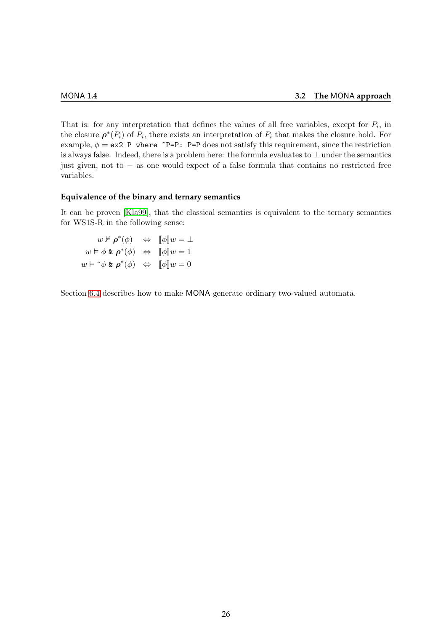That is: for any interpretation that defines the values of all free variables, except for  $P_i$ , in the closure  $\rho^*(P_i)$  of  $P_i$ , there exists an interpretation of  $P_i$  that makes the closure hold. For example,  $\phi = e \times 2$  P where  $\tilde{P} = P$ : P=P does not satisfy this requirement, since the restriction is always false. Indeed, there is a problem here: the formula evaluates to  $\perp$  under the semantics just given, not to − as one would expect of a false formula that contains no restricted free variables.

#### **Equivalence of the binary and ternary semantics**

It can be proven [\[Kla99\]](#page-78-12), that the classical semantics is equivalent to the ternary semantics for WS1S-R in the following sense:

 $w \nvDash \rho^*(\phi) \Leftrightarrow [\![\phi]\!] w = \bot$  $w \vDash \phi \& \mathbf{p}^*(\phi) \Leftrightarrow \llbracket \phi \rrbracket w = 1$  $w \models \tilde{\neg} \phi \& \rho^*(\phi) \Leftrightarrow \llbracket \phi \rrbracket w = 0$ 

Section [6.4](#page-35-2) describes how to make MONA generate ordinary two-valued automata.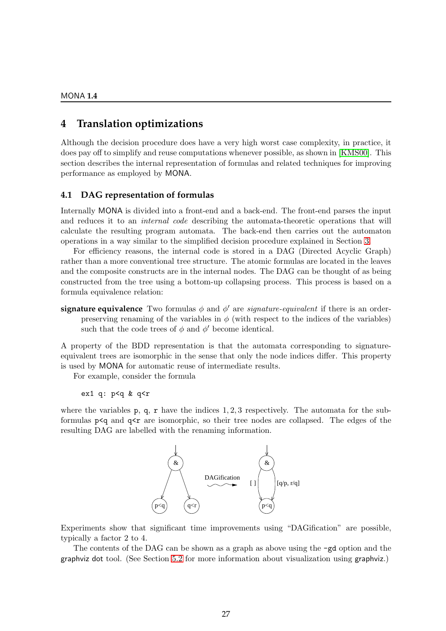# <span id="page-28-0"></span>**4 Translation optimizations**

Although the decision procedure does have a very high worst case complexity, in practice, it does pay off to simplify and reuse computations whenever possible, as shown in [\[KMS00\]](#page-78-13). This section describes the internal representation of formulas and related techniques for improving performance as employed by MONA.

#### <span id="page-28-1"></span>**4.1 DAG representation of formulas**

Internally MONA is divided into a front-end and a back-end. The front-end parses the input and reduces it to an *internal code* describing the automata-theoretic operations that will calculate the resulting program automata. The back-end then carries out the automaton operations in a way similar to the simplified decision procedure explained in Section [3.](#page-19-0)

For efficiency reasons, the internal code is stored in a DAG (Directed Acyclic Graph) rather than a more conventional tree structure. The atomic formulas are located in the leaves and the composite constructs are in the internal nodes. The DAG can be thought of as being constructed from the tree using a bottom-up collapsing process. This process is based on a formula equivalence relation:

**signature equivalence** Two formulas  $\phi$  and  $\phi'$  are *signature-equivalent* if there is an orderpreserving renaming of the variables in  $\phi$  (with respect to the indices of the variables) such that the code trees of  $\phi$  and  $\phi'$  become identical.

A property of the BDD representation is that the automata corresponding to signatureequivalent trees are isomorphic in the sense that only the node indices differ. This property is used by MONA for automatic reuse of intermediate results.

For example, consider the formula

ex1 q: p<q & q<r

where the variables  $p, q, r$  have the indices  $1, 2, 3$  respectively. The automata for the subformulas  $p \leq q$  and  $q \leq r$  are isomorphic, so their tree nodes are collapsed. The edges of the resulting DAG are labelled with the renaming information.



Experiments show that significant time improvements using "DAGification" are possible, typically a factor 2 to 4.

The contents of the DAG can be shown as a graph as above using the -gd option and the graphviz dot tool. (See Section [5.2](#page-33-0) for more information about visualization using graphviz.)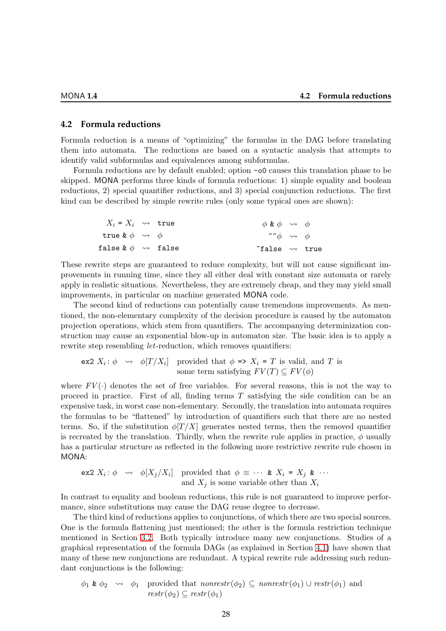#### <span id="page-29-0"></span>**4.2 Formula reductions**

Formula reduction is a means of "optimizing" the formulas in the DAG before translating them into automata. The reductions are based on a syntactic analysis that attempts to identify valid subformulas and equivalences among subformulas.

Formula reductions are by default enabled; option -o0 causes this translation phase to be skipped. MONA performs three kinds of formula reductions: 1) simple equality and boolean reductions, 2) special quantifier reductions, and 3) special conjunction reductions. The first kind can be described by simple rewrite rules (only some typical ones are shown):

| $X_i = X_i$ $\leadsto$ true    | $\phi \& \phi \leadsto \phi$ |             |
|--------------------------------|------------------------------|-------------|
| true $\& \phi \leadsto \phi$   | $\sim \phi$                  | $\sim \phi$ |
| false $\& \phi \leadsto$ false | $\sim$ true                  |             |

These rewrite steps are guaranteed to reduce complexity, but will not cause significant improvements in running time, since they all either deal with constant size automata or rarely apply in realistic situations. Nevertheless, they are extremely cheap, and they may yield small improvements, in particular on machine generated MONA code.

The second kind of reductions can potentially cause tremendous improvements. As mentioned, the non-elementary complexity of the decision procedure is caused by the automaton projection operations, which stem from quantifiers. The accompanying determinization construction may cause an exponential blow-up in automaton size. The basic idea is to apply a rewrite step resembling *let*-reduction, which removes quantifiers:

ex2  $X_i: \phi \rightarrow \phi[T/X_i]$  provided that  $\phi \Rightarrow X_i = T$  is valid, and T is some term satisfying  $FV(T) \subseteq FV(\phi)$ 

where  $FV(\cdot)$  denotes the set of free variables. For several reasons, this is not the way to proceed in practice. First of all, finding terms T satisfying the side condition can be an expensive task, in worst case non-elementary. Secondly, the translation into automata requires the formulas to be "flattened" by introduction of quantifiers such that there are no nested terms. So, if the substitution  $\phi[T/X]$  generates nested terms, then the removed quantifier is recreated by the translation. Thirdly, when the rewrite rule applies in practice,  $\phi$  usually has a particular structure as reflected in the following more restrictive rewrite rule chosen in MONA:

$$
\text{ex2 } X_i: \phi \quad \leadsto \quad \phi[X_j/X_i] \quad \text{provided that } \phi \equiv \cdots \quad \& \quad X_i = X_j \quad \& \quad \cdots
$$
\n
$$
\text{and } X_j \text{ is some variable other than } X_i
$$

In contrast to equality and boolean reductions, this rule is not guaranteed to improve performance, since substitutions may cause the DAG reuse degree to decrease.

The third kind of reductions applies to conjunctions, of which there are two special sources. One is the formula flattening just mentioned; the other is the formula restriction technique mentioned in Section [3.2.](#page-24-0) Both typically introduce many new conjunctions. Studies of a graphical representation of the formula DAGs (as explained in Section [4.1\)](#page-28-1) have shown that many of these new conjunctions are redundant. A typical rewrite rule addressing such redundant conjunctions is the following:

$$
\phi_1 \& \phi_2 \rightarrow \phi_1
$$
 provided that  $nonrestr(\phi_2) \subseteq nonrestr(\phi_1) \cup restr(\phi_1)$  and  
\n $restr(\phi_2) \subseteq restr(\phi_1)$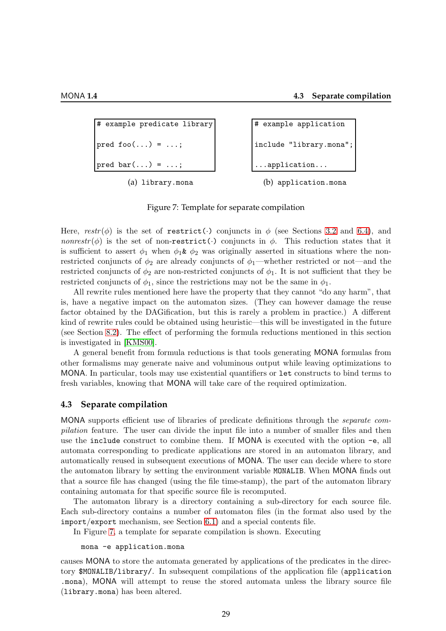```
# example predicate library
pred foo(...) = ...;pred bar(...) = ...;
```

```
(a) library.mona
```

```
# example application
include "library.mona";
 ...application...
```

```
(b) application.mona
```

```
Figure 7: Template for separate compilation
```
Here,  $restr(\phi)$  is the set of restrict(.) conjuncts in  $\phi$  (see Sections [3.2](#page-24-0) and [6.4\)](#page-35-2), and nonrestr( $\phi$ ) is the set of non-restrict( $\cdot$ ) conjuncts in  $\phi$ . This reduction states that it is sufficient to assert  $\phi_1$  when  $\phi_1 \& \phi_2$  was originally asserted in situations where the nonrestricted conjuncts of  $\phi_2$  are already conjuncts of  $\phi_1$ —whether restricted or not—and the restricted conjuncts of  $\phi_2$  are non-restricted conjuncts of  $\phi_1$ . It is not sufficient that they be restricted conjuncts of  $\phi_1$ , since the restrictions may not be the same in  $\phi_1$ .

All rewrite rules mentioned here have the property that they cannot "do any harm", that is, have a negative impact on the automaton sizes. (They can however damage the reuse factor obtained by the DAGification, but this is rarely a problem in practice.) A different kind of rewrite rules could be obtained using heuristic—this will be investigated in the future (see Section [8.2\)](#page-52-2). The effect of performing the formula reductions mentioned in this section is investigated in [\[KMS00\]](#page-78-13).

A general benefit from formula reductions is that tools generating MONA formulas from other formalisms may generate naive and voluminous output while leaving optimizations to MONA. In particular, tools may use existential quantifiers or let constructs to bind terms to fresh variables, knowing that MONA will take care of the required optimization.

#### <span id="page-30-0"></span>**4.3 Separate compilation**

MONA supports efficient use of libraries of predicate definitions through the separate compilation feature. The user can divide the input file into a number of smaller files and then use the include construct to combine them. If MONA is executed with the option -e, all automata corresponding to predicate applications are stored in an automaton library, and automatically reused in subsequent executions of MONA. The user can decide where to store the automaton library by setting the environment variable MONALIB. When MONA finds out that a source file has changed (using the file time-stamp), the part of the automaton library containing automata for that specific source file is recomputed.

The automaton library is a directory containing a sub-directory for each source file. Each sub-directory contains a number of automaton files (in the format also used by the import/export mechanism, see Section [6.1\)](#page-34-1) and a special contents file.

In Figure [7,](#page-30-1) a template for separate compilation is shown. Executing

#### mona -e application.mona

causes MONA to store the automata generated by applications of the predicates in the directory \$MONALIB/library/. In subsequent compilations of the application file (application .mona), MONA will attempt to reuse the stored automata unless the library source file (library.mona) has been altered.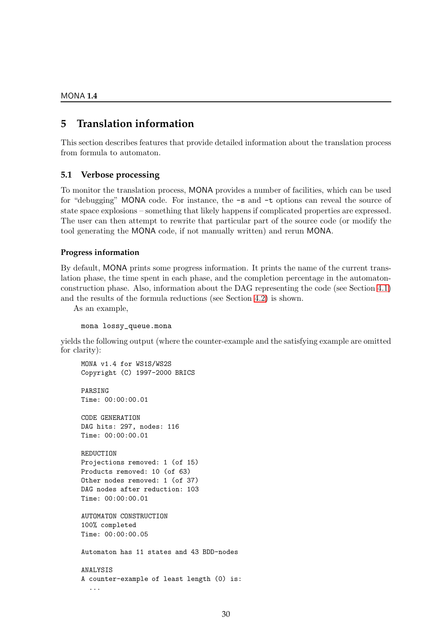# <span id="page-31-0"></span>**5 Translation information**

This section describes features that provide detailed information about the translation process from formula to automaton.

### <span id="page-31-1"></span>**5.1 Verbose processing**

To monitor the translation process, MONA provides a number of facilities, which can be used for "debugging" MONA code. For instance, the -s and -t options can reveal the source of state space explosions – something that likely happens if complicated properties are expressed. The user can then attempt to rewrite that particular part of the source code (or modify the tool generating the MONA code, if not manually written) and rerun MONA.

#### **Progress information**

By default, MONA prints some progress information. It prints the name of the current translation phase, the time spent in each phase, and the completion percentage in the automatonconstruction phase. Also, information about the DAG representing the code (see Section [4.1\)](#page-28-1) and the results of the formula reductions (see Section [4.2\)](#page-29-0) is shown.

As an example,

mona lossy\_queue.mona

yields the following output (where the counter-example and the satisfying example are omitted for clarity):

MONA v1.4 for WS1S/WS2S Copyright (C) 1997-2000 BRICS

PARSING Time: 00:00:00.01

CODE GENERATION DAG hits: 297, nodes: 116 Time: 00:00:00.01

REDUCTION Projections removed: 1 (of 15) Products removed: 10 (of 63) Other nodes removed: 1 (of 37) DAG nodes after reduction: 103 Time: 00:00:00.01

AUTOMATON CONSTRUCTION 100% completed Time: 00:00:00.05

Automaton has 11 states and 43 BDD-nodes

ANALYSIS A counter-example of least length (0) is: ...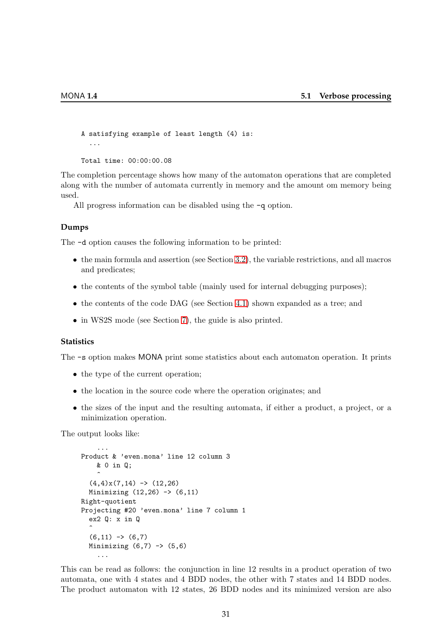```
A satisfying example of least length (4) is:
  ...
Total time: 00:00:00.08
```
The completion percentage shows how many of the automaton operations that are completed along with the number of automata currently in memory and the amount om memory being used.

All progress information can be disabled using the  $-q$  option.

#### **Dumps**

The -d option causes the following information to be printed:

- the main formula and assertion (see Section [3.2\)](#page-24-0), the variable restrictions, and all macros and predicates;
- the contents of the symbol table (mainly used for internal debugging purposes);
- the contents of the code DAG (see Section [4.1\)](#page-28-1) shown expanded as a tree; and
- in WS2S mode (see Section [7\)](#page-40-0), the guide is also printed.

#### **Statistics**

The -s option makes MONA print some statistics about each automaton operation. It prints

- the type of the current operation;
- the location in the source code where the operation originates; and
- the sizes of the input and the resulting automata, if either a product, a project, or a minimization operation.

The output looks like:

```
...
Product & 'even.mona' line 12 column 3
     & 0 in Q;
     \hat{\phantom{1}}(4,4)x(7,14) \rightarrow (12,26)Minimizing (12,26) \rightarrow (6,11)Right-quotient
Projecting #20 'even.mona' line 7 column 1
  ex2 Q: x in Q
   \hat{ }(6,11) \rightarrow (6,7)Minimizing (6,7) \rightarrow (5,6)...
```
This can be read as follows: the conjunction in line 12 results in a product operation of two automata, one with 4 states and 4 BDD nodes, the other with 7 states and 14 BDD nodes. The product automaton with 12 states, 26 BDD nodes and its minimized version are also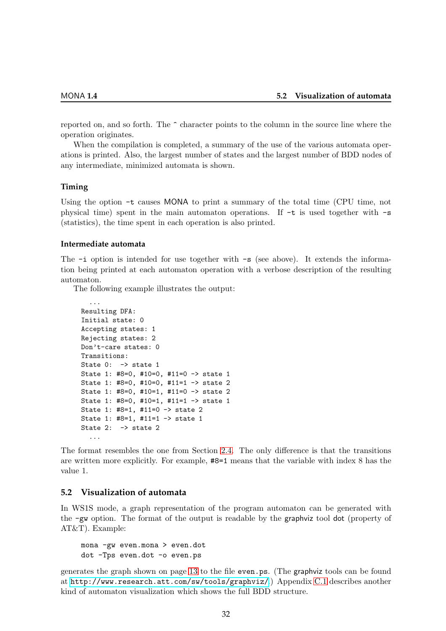reported on, and so forth. The  $\hat{\ }$  character points to the column in the source line where the operation originates.

When the compilation is completed, a summary of the use of the various automata operations is printed. Also, the largest number of states and the largest number of BDD nodes of any intermediate, minimized automata is shown.

#### **Timing**

Using the option  $-t$  causes MONA to print a summary of the total time (CPU time, not physical time) spent in the main automaton operations. If  $-t$  is used together with  $-s$ (statistics), the time spent in each operation is also printed.

#### **Intermediate automata**

The  $-i$  option is intended for use together with  $-s$  (see above). It extends the information being printed at each automaton operation with a verbose description of the resulting automaton.

The following example illustrates the output:

```
...
Resulting DFA:
Initial state: 0
Accepting states: 1
Rejecting states: 2
Don't-care states: 0
Transitions:
State 0: -> state 1
State 1: #8=0, #10=0, #11=0 -> state 1
State 1: #8=0, #10=0, #11=1 -> state 2
State 1: #8=0, #10=1, #11=0 -> state 2
State 1: #8=0, #10=1, #11=1 -> state 1
State 1: #8=1, #11=0 -> state 2
State 1: #8=1, #11=1 -> state 1
State 2: \rightarrow state 2
  ...
```
The format resembles the one from Section [2.4.](#page-13-0) The only difference is that the transitions are written more explicitly. For example, #8=1 means that the variable with index 8 has the value 1.

#### <span id="page-33-0"></span>**5.2 Visualization of automata**

In WS1S mode, a graph representation of the program automaton can be generated with the -gw option. The format of the output is readable by the graphviz tool dot (property of AT&T). Example:

mona -gw even.mona > even.dot dot -Tps even.dot -o even.ps

generates the graph shown on page [13](#page-14-1) to the file even.ps. (The graphviz tools can be found at <http://www.research.att.com/sw/tools/graphviz/>.) Appendix [C.1](#page-59-1) describes another kind of automaton visualization which shows the full BDD structure.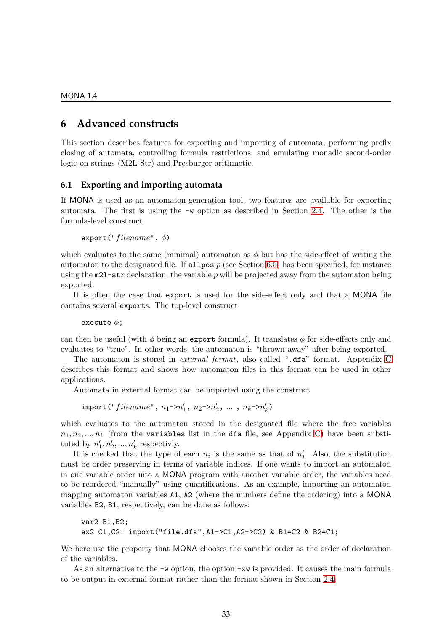# <span id="page-34-0"></span>**6 Advanced constructs**

This section describes features for exporting and importing of automata, performing prefix closing of automata, controlling formula restrictions, and emulating monadic second-order logic on strings (M2L-Str) and Presburger arithmetic.

#### <span id="page-34-1"></span>**6.1 Exporting and importing automata**

If MONA is used as an automaton-generation tool, two features are available for exporting automata. The first is using the -w option as described in Section [2.4.](#page-13-0) The other is the formula-level construct

export(" $filename$ ",  $\phi$ )

which evaluates to the same (minimal) automaton as  $\phi$  but has the side-effect of writing the automaton to the designated file. If all pos  $p$  (see Section [6.5\)](#page-37-0) has been specified, for instance using the  $m21$ -str declaration, the variable p will be projected away from the automaton being exported.

It is often the case that export is used for the side-effect only and that a MONA file contains several exports. The top-level construct

execute  $\phi$ ;

can then be useful (with  $\phi$  being an export formula). It translates  $\phi$  for side-effects only and evaluates to "true". In other words, the automaton is "thrown away" after being exported.

The automaton is stored in external format, also called ".dfa" format. Appendix [C](#page-59-0) describes this format and shows how automaton files in this format can be used in other applications.

Automata in external format can be imported using the construct

 $\mathtt{import("filename", n_1->n'_1, n_2->n'_2, ..., n_k->n'_k)}$  $'_{k}$ 

which evaluates to the automaton stored in the designated file where the free variables  $n_1, n_2, ..., n_k$  (from the variables list in the dfa file, see Appendix [C\)](#page-59-0) have been substituted by  $n'_1, n'_2, ..., n'_k$  respectivly.

It is checked that the type of each  $n_i$  is the same as that of  $n'_i$ . Also, the substitution must be order preserving in terms of variable indices. If one wants to import an automaton in one variable order into a MONA program with another variable order, the variables need to be reordered "manually" using quantifications. As an example, importing an automaton mapping automaton variables A1, A2 (where the numbers define the ordering) into a MONA variables B2, B1, respectively, can be done as follows:

```
var2 B1,B2;
ex2 C1,C2: import("file.dfa",A1->C1,A2->C2) & B1=C2 & B2=C1;
```
We here use the property that MONA chooses the variable order as the order of declaration of the variables.

As an alternative to the  $-\mathbf{w}$  option, the option  $-\mathbf{x}\mathbf{w}$  is provided. It causes the main formula to be output in external format rather than the format shown in Section [2.4.](#page-13-0)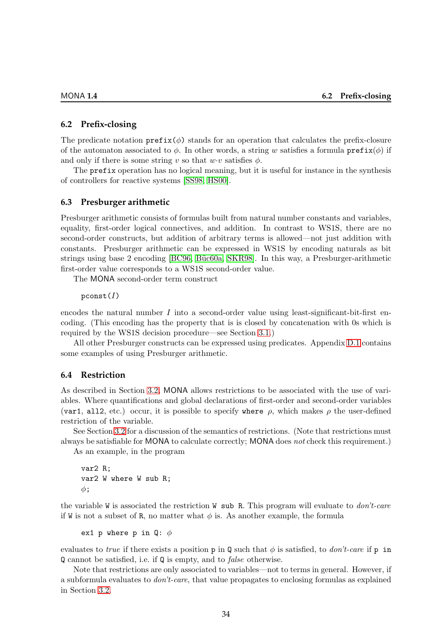#### <span id="page-35-0"></span>**6.2 Prefix-closing**

The predicate notation  $\text{prefix}(\phi)$  stands for an operation that calculates the prefix-closure of the automaton associated to  $\phi$ . In other words, a string w satisfies a formula prefix $(\phi)$  if and only if there is some string v so that  $w \cdot v$  satisfies  $\phi$ .

The prefix operation has no logical meaning, but it is useful for instance in the synthesis of controllers for reactive systems [\[SS98,](#page-80-2) [HS00\]](#page-78-4).

#### <span id="page-35-1"></span>**6.3 Presburger arithmetic**

Presburger arithmetic consists of formulas built from natural number constants and variables, equality, first-order logical connectives, and addition. In contrast to WS1S, there are no second-order constructs, but addition of arbitrary terms is allowed—not just addition with constants. Presburger arithmetic can be expressed in WS1S by encoding naturals as bit strings using base 2 encoding [\[BC96,](#page-77-11) Büc60a, [SKR98\]](#page-80-5). In this way, a Presburger-arithmetic first-order value corresponds to a WS1S second-order value.

The MONA second-order term construct

 $p$ const $(I)$ 

encodes the natural number  $I$  into a second-order value using least-significant-bit-first encoding. (This encoding has the property that is is closed by concatenation with 0s which is required by the WS1S decision procedure—see Section [3.1.](#page-19-1))

All other Presburger constructs can be expressed using predicates. Appendix [D.1](#page-67-0) contains some examples of using Presburger arithmetic.

#### <span id="page-35-2"></span>**6.4 Restriction**

As described in Section [3.2,](#page-24-0) MONA allows restrictions to be associated with the use of variables. Where quantifications and global declarations of first-order and second-order variables (var1, all2, etc.) occur, it is possible to specify where  $\rho$ , which makes  $\rho$  the user-defined restriction of the variable.

See Section [3.2](#page-24-0) for a discussion of the semantics of restrictions. (Note that restrictions must always be satisfiable for MONA to calculate correctly; MONA does not check this requirement.)

As an example, in the program

var2 R; var2 W where W sub R;  $\phi$ :

the variable W is associated the restriction W sub R. This program will evaluate to  $don't-care$ if W is not a subset of R, no matter what  $\phi$  is. As another example, the formula

ex1 p where p in Q:  $\phi$ 

evaluates to true if there exists a position p in Q such that  $\phi$  is satisfied, to *don't-care* if p in Q cannot be satisfied, i.e. if Q is empty, and to false otherwise.

Note that restrictions are only associated to variables—not to terms in general. However, if a subformula evaluates to don't-care, that value propagates to enclosing formulas as explained in Section [3.2.](#page-24-0)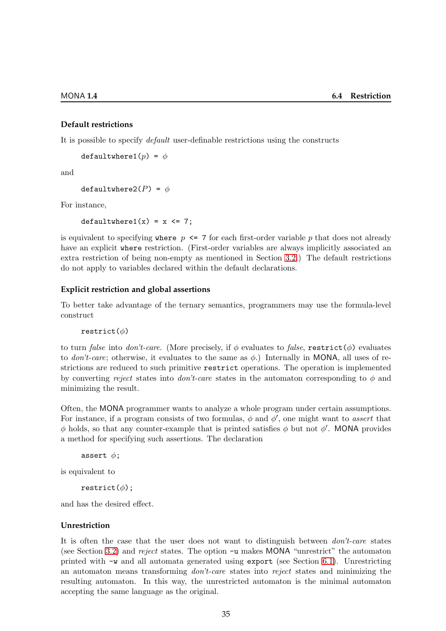#### **Default restrictions**

It is possible to specify default user-definable restrictions using the constructs

defaultwhere1( $p$ ) =  $\phi$ 

and

defaultwhere  $2(P) = \phi$ 

For instance,

 $defaultwhere1(x) = x \leq 7;$ 

is equivalent to specifying where  $p \le 7$  for each first-order variable p that does not already have an explicit where restriction. (First-order variables are always implicitly associated an extra restriction of being non-empty as mentioned in Section [3.2.](#page-24-0)) The default restrictions do not apply to variables declared within the default declarations.

#### **Explicit restriction and global assertions**

To better take advantage of the ternary semantics, programmers may use the formula-level construct

restrict $(\phi)$ 

to turn false into don't-care. (More precisely, if  $\phi$  evaluates to false, restrict( $\phi$ ) evaluates to *don't-care*; otherwise, it evaluates to the same as  $\phi$ .) Internally in MONA, all uses of restrictions are reduced to such primitive restrict operations. The operation is implemented by converting reject states into don't-care states in the automaton corresponding to  $\phi$  and minimizing the result.

Often, the MONA programmer wants to analyze a whole program under certain assumptions. For instance, if a program consists of two formulas,  $\phi$  and  $\phi'$ , one might want to assert that  $\phi$  holds, so that any counter-example that is printed satisfies  $\phi$  but not  $\phi'$ . MONA provides a method for specifying such assertions. The declaration

```
assert \phi;
```
is equivalent to

restrict $(\phi)$ ;

and has the desired effect.

#### **Unrestriction**

It is often the case that the user does not want to distinguish between *don't-care* states (see Section [3.2\)](#page-23-0) and reject states. The option -u makes MONA "unrestrict" the automaton printed with -w and all automata generated using export (see Section [6.1\)](#page-34-0). Unrestricting an automaton means transforming don't-care states into reject states and minimizing the resulting automaton. In this way, the unrestricted automaton is the minimal automaton accepting the same language as the original.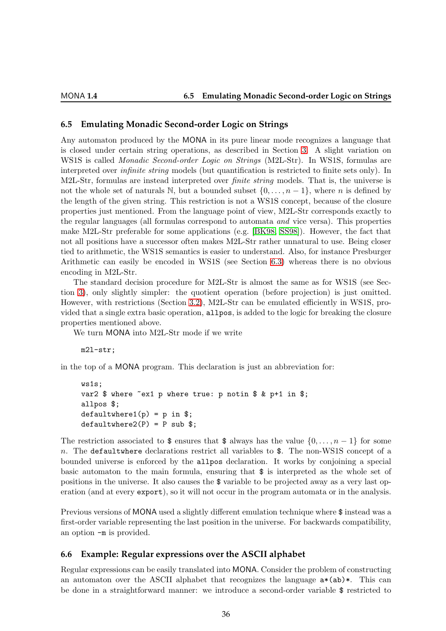# <span id="page-37-0"></span>**6.5 Emulating Monadic Second-order Logic on Strings**

Any automaton produced by the MONA in its pure linear mode recognizes a language that is closed under certain string operations, as described in Section [3.](#page-19-0) A slight variation on WS1S is called *Monadic Second-order Logic on Strings* (M2L-Str). In WS1S, formulas are interpreted over *infinite string* models (but quantification is restricted to finite sets only). In M2L-Str, formulas are instead interpreted over *finite string* models. That is, the universe is not the whole set of naturals N, but a bounded subset  $\{0, \ldots, n-1\}$ , where n is defined by the length of the given string. This restriction is not a WS1S concept, because of the closure properties just mentioned. From the language point of view, M2L-Str corresponds exactly to the regular languages (all formulas correspond to automata and vice versa). This properties make M2L-Str preferable for some applications (e.g. [\[BK98,](#page-77-0) [SS98\]](#page-80-0)). However, the fact that not all positions have a successor often makes M2L-Str rather unnatural to use. Being closer tied to arithmetic, the WS1S semantics is easier to understand. Also, for instance Presburger Arithmetic can easily be encoded in WS1S (see Section [6.3\)](#page-35-0) whereas there is no obvious encoding in M2L-Str.

The standard decision procedure for M2L-Str is almost the same as for WS1S (see Section [3\)](#page-19-0), only slightly simpler: the quotient operation (before projection) is just omitted. However, with restrictions (Section [3.2\)](#page-24-0), M2L-Str can be emulated efficiently in WS1S, provided that a single extra basic operation, allpos, is added to the logic for breaking the closure properties mentioned above.

We turn MONA into M2L-Str mode if we write

m2l-str;

in the top of a MONA program. This declaration is just an abbreviation for:

```
ws1s;
var2 $ where ~ex1 p where true: p notin $ & p+1 in $;
allpos $;
defaultwhere1(p) = p in $;
defaultwhere2(P) = P sub$;
```
The restriction associated to  $\frac{1}{2}$  ensures that  $\frac{1}{2}$  always has the value  $\{0, \ldots, n-1\}$  for some n. The defaultwhere declarations restrict all variables to \$. The non-WS1S concept of a bounded universe is enforced by the allpos declaration. It works by conjoining a special basic automaton to the main formula, ensuring that \$ is interpreted as the whole set of positions in the universe. It also causes the \$ variable to be projected away as a very last operation (and at every export), so it will not occur in the program automata or in the analysis.

Previous versions of MONA used a slightly different emulation technique where \$ instead was a first-order variable representing the last position in the universe. For backwards compatibility, an option -m is provided.

# **6.6 Example: Regular expressions over the ASCII alphabet**

Regular expressions can be easily translated into MONA. Consider the problem of constructing an automaton over the ASCII alphabet that recognizes the language  $a*(ab)*$ . This can be done in a straightforward manner: we introduce a second-order variable \$ restricted to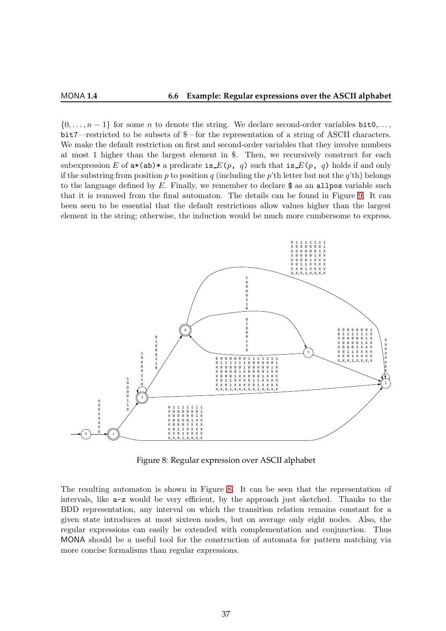$\{0,\ldots,n-1\}$  for some *n* to denote the string. We declare second-order variables **bit0**,... bit7—restricted to be subsets of \$—for the representation of a string of ASCII characters. We make the default restriction on first and second-order variables that they involve numbers at most 1 higher than the largest element in \$. Then, we recursively construct for each subexpression E of  $a*(ab)*(a)$  a predicate is  $E(p, q)$  such that is  $E(p, q)$  holds if and only if the substring from position p to position q (including the p'th letter but not the q'th) belongs to the language defined by  $E$ . Finally, we remember to declare  $\$ as an allpos variable such that it is removed from the final automaton. The details can be found in Figure [9.](#page-39-0) It can been seen to be essential that the default restrictions allow values higher than the largest element in the string; otherwise, the induction would be much more cumbersome to express.



<span id="page-38-0"></span>Figure 8: Regular expression over ASCII alphabet

The resulting automaton is shown in Figure [8.](#page-38-0) It can be seen that the representation of intervals, like a-z would be very efficient, by the approach just sketched. Thanks to the BDD representation, any interval on which the transition relation remains constant for a given state introduces at most sixteen nodes, but on average only eight nodes. Also, the regular expressions can easily be extended with complementation and conjunction. Thus MONA should be a useful tool for the construction of automata for pattern matching via more concise formalisms than regular expressions.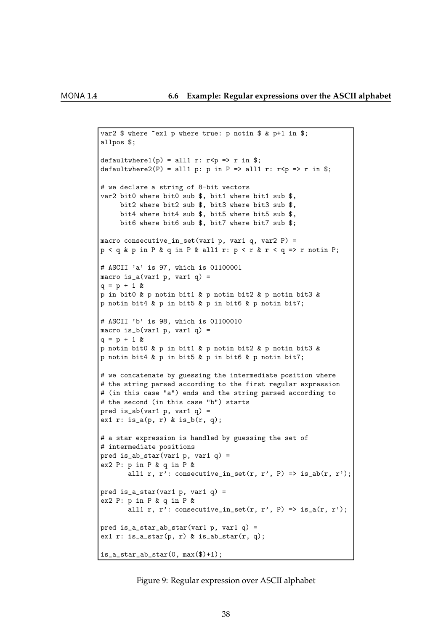```
var2 $ where \tilde{ } ex1 p where true: p notin $ & p+1 in $;
allpos $;
defaultwhere1(p) = all1 r: r <p => r in $;
defaultwhere2(P) = all1 p: p in P => all1 r: r < p => r in $;
# we declare a string of 8-bit vectors
var2 bit0 where bit0 sub $, bit1 where bit1 sub $,
     bit2 where bit2 sub $, bit3 where bit3 sub $,
     bit4 where bit4 sub $, bit5 where bit5 sub $,
     bit6 where bit6 sub $, bit7 where bit7 sub $;
macro consecutive_in_set(var1 p, var1 q, var2 P) =
p < q & p in P & q in P & all1 r: p < r & r < q => r notin P;
# ASCII 'a' is 97, which is 01100001
macro is_a(var1 p, var1 q) =
q = p + 1 &p in bit0 & p notin bit1 & p notin bit2 & p notin bit3 &
p notin bit4 & p in bit5 & p in bit6 & p notin bit7;
# ASCII 'b' is 98, which is 01100010
macro is_b(var1 p, var1 q) =
q = p + 1 &p notin bit0 & p in bit1 & p notin bit2 & p notin bit3 &
p notin bit4 & p in bit5 & p in bit6 & p notin bit7;
# we concatenate by guessing the intermediate position where
# the string parsed according to the first regular expression
# (in this case "a") ends and the string parsed according to
# the second (in this case "b") starts
pred is_ab(var1 p, var1 q) =
ex1 r: is_a(p, r) & is_b(r, q);
# a star expression is handled by guessing the set of
# intermediate positions
pred is_ab_star(var1 p, var1 q) =
ex2 P: p in P & q in P &
       all1 r, r': consecutive_in_set(r, r', P) => is_ab(r, r');
pred is_a_star(var1 p, var1 q) =
ex2 P: p in P & q in P &
       all1 r, r': consecutive_in_set(r, r', P) => is_a(r, r');
pred is_a_star_ab_star(var1 p, var1 q) =
ex1 r: is_a_star(p, r) & is_ab_star(r, q);
is_a_{star_ab_{star}(0, max($)+1);
```
<span id="page-39-0"></span>Figure 9: Regular expression over ASCII alphabet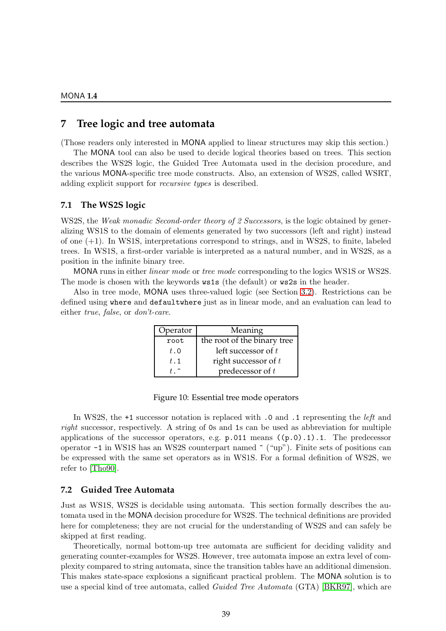# **7 Tree logic and tree automata**

(Those readers only interested in MONA applied to linear structures may skip this section.)

The MONA tool can also be used to decide logical theories based on trees. This section describes the WS2S logic, the Guided Tree Automata used in the decision procedure, and the various MONA-specific tree mode constructs. Also, an extension of WS2S, called WSRT, adding explicit support for recursive types is described.

# **7.1 The WS2S logic**

WS2S, the *Weak monadic Second-order theory of 2 Successors*, is the logic obtained by generalizing WS1S to the domain of elements generated by two successors (left and right) instead of one (+1). In WS1S, interpretations correspond to strings, and in WS2S, to finite, labeled trees. In WS1S, a first-order variable is interpreted as a natural number, and in WS2S, as a position in the infinite binary tree.

MONA runs in either *linear mode* or *tree mode* corresponding to the logics WS1S or WS2S. The mode is chosen with the keywords ws1s (the default) or ws2s in the header.

Also in tree mode, MONA uses three-valued logic (see Section [3.2\)](#page-23-0). Restrictions can be defined using where and defaultwhere just as in linear mode, and an evaluation can lead to either true, false, or don't-care.

| Operator | Meaning                     |  |
|----------|-----------------------------|--|
| root     | the root of the binary tree |  |
| t.0      | left successor of $t$       |  |
| t.1      | right successor of $t$      |  |
|          | predecessor of $t$          |  |

| Figure 10: Essential tree mode operators |  |  |
|------------------------------------------|--|--|
|------------------------------------------|--|--|

In WS2S, the +1 successor notation is replaced with .0 and .1 representing the *left* and right successor, respectively. A string of 0s and 1s can be used as abbreviation for multiple applications of the successor operators, e.g. p.011 means ((p.0).1).1. The predecessor operator  $-1$  in WS1S has an WS2S counterpart named  $\hat{ }$  ("up"). Finite sets of positions can be expressed with the same set operators as in WS1S. For a formal definition of WS2S, we refer to [\[Tho90\]](#page-80-1).

# <span id="page-40-0"></span>**7.2 Guided Tree Automata**

Just as WS1S, WS2S is decidable using automata. This section formally describes the automata used in the MONA decision procedure for WS2S. The technical definitions are provided here for completeness; they are not crucial for the understanding of WS2S and can safely be skipped at first reading.

Theoretically, normal bottom-up tree automata are sufficient for deciding validity and generating counter-examples for WS2S. However, tree automata impose an extra level of complexity compared to string automata, since the transition tables have an additional dimension. This makes state-space explosions a significant practical problem. The MONA solution is to use a special kind of tree automata, called Guided Tree Automata (GTA) [\[BKR97\]](#page-77-1), which are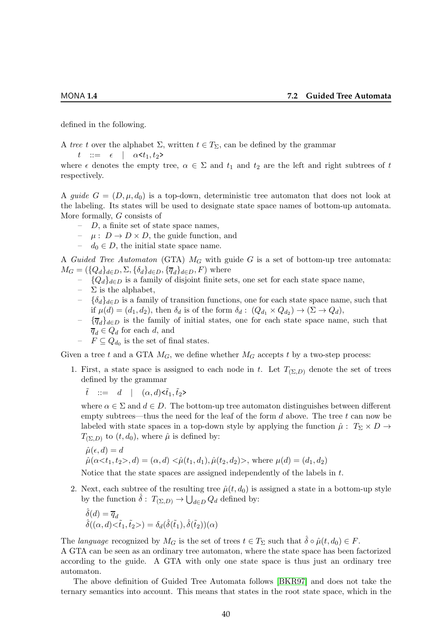defined in the following.

A tree t over the alphabet  $\Sigma$ , written  $t \in T_{\Sigma}$ , can be defined by the grammar  $t$  ::=  $\epsilon$  |  $\alpha \leq t_1, t_2$ >

where  $\epsilon$  denotes the empty tree,  $\alpha \in \Sigma$  and  $t_1$  and  $t_2$  are the left and right subtrees of t respectively.

A quide  $G = (D, \mu, d_0)$  is a top-down, deterministic tree automaton that does not look at the labeling. Its states will be used to designate state space names of bottom-up automata. More formally, G consists of

- $-D$ , a finite set of state space names,
- $\mu : D \to D \times D$ , the guide function, and
- $d_0 \in D$ , the initial state space name.

A Guided Tree Automaton (GTA)  $M_G$  with guide G is a set of bottom-up tree automata:  $M_G = (\{Q_d\}_{d\in D}, \Sigma, \{\delta_d\}_{d\in D}, \{\overline{q}_d\}_{d\in D}, F)$  where

- ${Q_d}_{d∈D}$  is a family of disjoint finite sets, one set for each state space name,
- $\Sigma$  is the alphabet,
- $-$  {δ<sub>d</sub>}<sub>d∈D</sub> is a family of transition functions, one for each state space name, such that if  $\mu(d) = (d_1, d_2)$ , then  $\delta_d$  is of the form  $\delta_d: (Q_{d_1} \times Q_{d_2}) \to (\Sigma \to Q_d)$ ,
- $-\{\overline{q}_d\}_{d\in D}$  is the family of initial states, one for each state space name, such that  $\overline{q}_d \in Q_d$  for each d, and
- $F \subseteq Q_{d_0}$  is the set of final states.

Given a tree t and a GTA  $M_G$ , we define whether  $M_G$  accepts t by a two-step process:

1. First, a state space is assigned to each node in t. Let  $T_{(\Sigma,D)}$  denote the set of trees defined by the grammar

 $\tilde{t}$  ::= d |  $(\alpha, d) \leq \tilde{t}_1, \tilde{t}_2$ >

where  $\alpha \in \Sigma$  and  $d \in D$ . The bottom-up tree automaton distinguishes between different empty subtrees—thus the need for the leaf of the form  $d$  above. The tree  $t$  can now be labeled with state spaces in a top-down style by applying the function  $\hat{\mu}$  :  $T_{\Sigma} \times D \rightarrow$  $T_{(\Sigma,D)}$  to  $(t,d_0)$ , where  $\hat{\mu}$  is defined by:

$$
\hat{\mu}(\epsilon, d) = d
$$
  
\n
$$
\hat{\mu}(\alpha < t_1, t_2>, d) = (\alpha, d) < \hat{\mu}(t_1, d_1), \hat{\mu}(t_2, d_2)>, \text{ where } \mu(d) = (d_1, d_2)
$$

Notice that the state spaces are assigned independently of the labels in t.

2. Next, each subtree of the resulting tree  $\hat{\mu}(t, d_0)$  is assigned a state in a bottom-up style by the function  $\hat{\delta}$ :  $T_{(\Sigma,D)} \to \bigcup_{d \in D} Q_d$  defined by:

$$
\hat{\delta}(d) = \overline{q}_d \n\hat{\delta}((\alpha, d) < \tilde{t}_1, \tilde{t}_2) = \delta_d(\hat{\delta}(\tilde{t}_1), \hat{\delta}(\tilde{t}_2))(\alpha)
$$

The language recognized by  $M_G$  is the set of trees  $t \in T_\Sigma$  such that  $\hat{\delta} \circ \hat{\mu}(t, d_0) \in F$ .

A GTA can be seen as an ordinary tree automaton, where the state space has been factorized according to the guide. A GTA with only one state space is thus just an ordinary tree automaton.

The above definition of Guided Tree Automata follows [\[BKR97\]](#page-77-1) and does not take the ternary semantics into account. This means that states in the root state space, which in the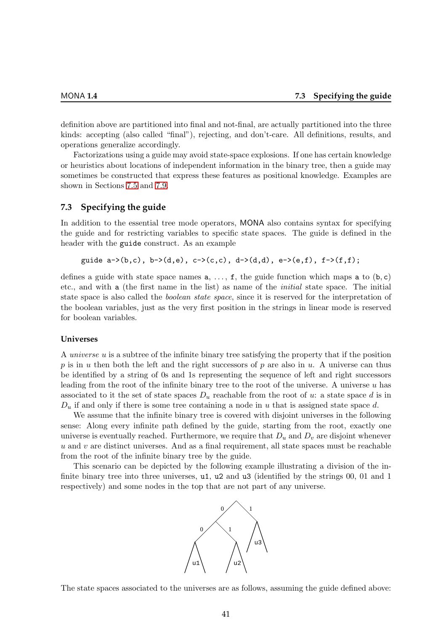definition above are partitioned into final and not-final, are actually partitioned into the three kinds: accepting (also called "final"), rejecting, and don't-care. All definitions, results, and operations generalize accordingly.

Factorizations using a guide may avoid state-space explosions. If one has certain knowledge or heuristics about locations of independent information in the binary tree, then a guide may sometimes be constructed that express these features as positional knowledge. Examples are shown in Sections [7.5](#page-44-0) and [7.9.](#page-48-0)

# <span id="page-42-0"></span>**7.3 Specifying the guide**

In addition to the essential tree mode operators, MONA also contains syntax for specifying the guide and for restricting variables to specific state spaces. The guide is defined in the header with the guide construct. As an example

```
guide a->(b,c), b->(d,e), c->(c,c), d->(d,d), e->(e,f), f->(f,f);
```
defines a guide with state space names  $a, \ldots, f$ , the guide function which maps a to  $(b, c)$ etc., and with a (the first name in the list) as name of the initial state space. The initial state space is also called the *boolean state space*, since it is reserved for the interpretation of the boolean variables, just as the very first position in the strings in linear mode is reserved for boolean variables.

#### **Universes**

A universe u is a subtree of the infinite binary tree satisfying the property that if the position p is in u then both the left and the right successors of p are also in u. A universe can thus be identified by a string of 0s and 1s representing the sequence of left and right successors leading from the root of the infinite binary tree to the root of the universe. A universe u has associated to it the set of state spaces  $D_u$  reachable from the root of u: a state space d is in  $D_u$  if and only if there is some tree containing a node in u that is assigned state space d.

We assume that the infinite binary tree is covered with disjoint universes in the following sense: Along every infinite path defined by the guide, starting from the root, exactly one universe is eventually reached. Furthermore, we require that  $D_u$  and  $D_v$  are disjoint whenever  $u$  and  $v$  are distinct universes. And as a final requirement, all state spaces must be reachable from the root of the infinite binary tree by the guide.

This scenario can be depicted by the following example illustrating a division of the infinite binary tree into three universes, **u1**, **u2** and **u3** (identified by the strings 00, 01 and 1 respectively) and some nodes in the top that are not part of any universe.



The state spaces associated to the universes are as follows, assuming the guide defined above: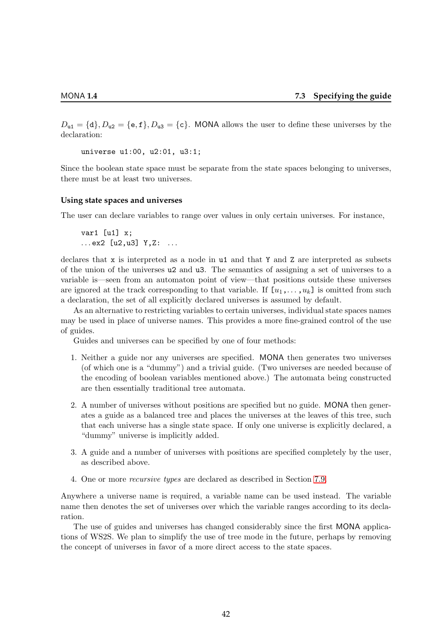$D_{u1} = \{d\}, D_{u2} = \{e, f\}, D_{u3} = \{c\}.$  MONA allows the user to define these universes by the declaration:

universe u1:00, u2:01, u3:1;

Since the boolean state space must be separate from the state spaces belonging to universes, there must be at least two universes.

# **Using state spaces and universes**

The user can declare variables to range over values in only certain universes. For instance,

var1 [u1] x;  $...$  ex2 [u2, u3] Y, Z:  $...$ 

declares that x is interpreted as a node in u1 and that Y and Z are interpreted as subsets of the union of the universes u2 and u3. The semantics of assigning a set of universes to a variable is—seen from an automaton point of view—that positions outside these universes are ignored at the track corresponding to that variable. If  $[u_1, \ldots, u_k]$  is omitted from such a declaration, the set of all explicitly declared universes is assumed by default.

As an alternative to restricting variables to certain universes, individual state spaces names may be used in place of universe names. This provides a more fine-grained control of the use of guides.

Guides and universes can be specified by one of four methods:

- 1. Neither a guide nor any universes are specified. MONA then generates two universes (of which one is a "dummy") and a trivial guide. (Two universes are needed because of the encoding of boolean variables mentioned above.) The automata being constructed are then essentially traditional tree automata.
- 2. A number of universes without positions are specified but no guide. MONA then generates a guide as a balanced tree and places the universes at the leaves of this tree, such that each universe has a single state space. If only one universe is explicitly declared, a "dummy" universe is implicitly added.
- 3. A guide and a number of universes with positions are specified completely by the user, as described above.
- 4. One or more recursive types are declared as described in Section [7.9.](#page-48-0)

Anywhere a universe name is required, a variable name can be used instead. The variable name then denotes the set of universes over which the variable ranges according to its declaration.

The use of guides and universes has changed considerably since the first MONA applications of WS2S. We plan to simplify the use of tree mode in the future, perhaps by removing the concept of universes in favor of a more direct access to the state spaces.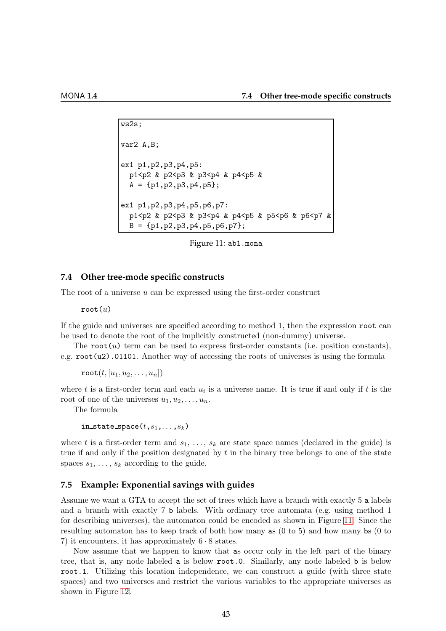```
ws2s;
var2 A,B;
ex1 p1,p2,p3,p4,p5:
 p1<p2 & p2<p3 & p3<p4 & p4<p5 &
  A = \{p1, p2, p3, p4, p5\};ex1 p1,p2,p3,p4,p5,p6,p7:
  p1<p2 & p2<p3 & p3<p4 & p4<p5 & p5<p6 & p6<p7 &
  B = \{p1, p2, p3, p4, p5, p6, p7\};
```
<span id="page-44-1"></span>Figure 11: ab1.mona

# **7.4 Other tree-mode specific constructs**

The root of a universe  $u$  can be expressed using the first-order construct

 $root(u)$ 

If the guide and universes are specified according to method 1, then the expression root can be used to denote the root of the implicitly constructed (non-dummy) universe.

The root $(u)$  term can be used to express first-order constants (i.e. position constants), e.g. root(u2).01101. Another way of accessing the roots of universes is using the formula

 $\mathtt{root}(t, [u_1, u_2, \ldots, u_n])$ 

where t is a first-order term and each  $u_i$  is a universe name. It is true if and only if t is the root of one of the universes  $u_1, u_2, \ldots, u_n$ .

The formula

in\_state\_space $(t,s_1,\ldots,s_k)$ 

where t is a first-order term and  $s_1, \ldots, s_k$  are state space names (declared in the guide) is true if and only if the position designated by  $t$  in the binary tree belongs to one of the state spaces  $s_1, \ldots, s_k$  according to the guide.

# <span id="page-44-0"></span>**7.5 Example: Exponential savings with guides**

Assume we want a GTA to accept the set of trees which have a branch with exactly 5 a labels and a branch with exactly 7 b labels. With ordinary tree automata (e.g. using method 1 for describing universes), the automaton could be encoded as shown in Figure [11.](#page-44-1) Since the resulting automaton has to keep track of both how many as (0 to 5) and how many bs (0 to 7) it encounters, it has approximately  $6 \cdot 8$  states.

Now assume that we happen to know that as occur only in the left part of the binary tree, that is, any node labeled a is below root.0. Similarly, any node labeled b is below root.1. Utilizing this location independence, we can construct a guide (with three state spaces) and two universes and restrict the various variables to the appropriate universes as shown in Figure [12.](#page-45-0)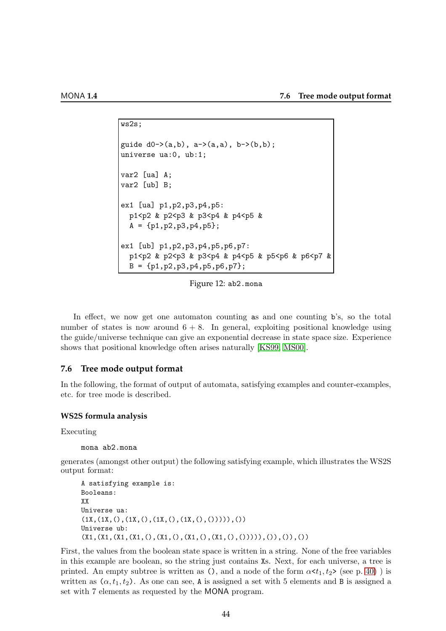```
ws2s;
guide d0 \rightarrow (a,b), a \rightarrow (a,a), b \rightarrow (b,b);
universe ua:0, ub:1;
var2 [ua] A;
var2 [ub] B;
ex1 [ua] p1,p2,p3,p4,p5:
  p1<p2 & p2<p3 & p3<p4 & p4<p5 &
  A = \{p1, p2, p3, p4, p5\};ex1 [ub] p1,p2,p3,p4,p5,p6,p7:
  p1<p2 & p2<p3 & p3<p4 & p4<p5 & p5<p6 & p6<p7 &
  B = \{p1, p2, p3, p4, p5, p6, p7\};
```
<span id="page-45-0"></span>Figure 12: ab2.mona

In effect, we now get one automaton counting as and one counting b's, so the total number of states is now around  $6 + 8$ . In general, exploiting positional knowledge using the guide/universe technique can give an exponential decrease in state space size. Experience shows that positional knowledge often arises naturally [\[KS99,](#page-79-0) [MS00\]](#page-79-1).

# <span id="page-45-1"></span>**7.6 Tree mode output format**

In the following, the format of output of automata, satisfying examples and counter-examples, etc. for tree mode is described.

#### **WS2S formula analysis**

Executing

```
mona ab2.mona
```
generates (amongst other output) the following satisfying example, which illustrates the WS2S output format:

```
A satisfying example is:
Booleans:
XX
Universe ua:
(1X,(1X,(),(1X,(),(1X,(),(1X,(),(1X,(),))))Universe ub:
(X1,(X1,(X1,(X1,(),(X1,(),(X1,(),(X1,(),())))),()),()),())
```
First, the values from the boolean state space is written in a string. None of the free variables in this example are boolean, so the string just contains Xs. Next, for each universe, a tree is printed. An empty subtree is written as (), and a node of the form  $\alpha \langle t_1, t_2 \rangle$  (see p. [40\)](#page-40-0)) is written as  $(\alpha, t_1, t_2)$ . As one can see, A is assigned a set with 5 elements and B is assigned a set with 7 elements as requested by the MONA program.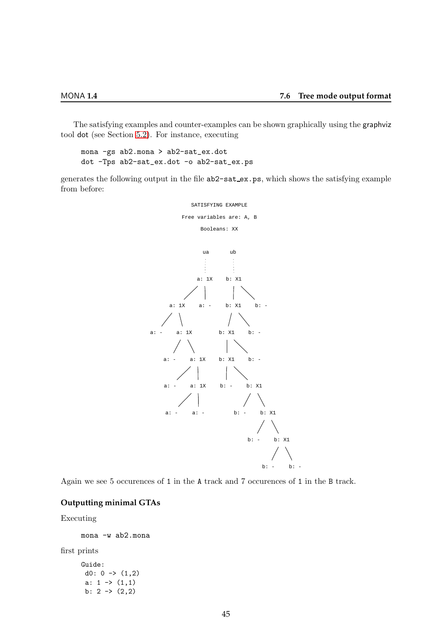The satisfying examples and counter-examples can be shown graphically using the graphviz tool dot (see Section [5.2\)](#page-33-0). For instance, executing

mona -gs ab2.mona > ab2-sat\_ex.dot dot -Tps ab2-sat\_ex.dot -o ab2-sat\_ex.ps

generates the following output in the file ab2-sat ex.ps, which shows the satisfying example from before:



Again we see 5 occurences of 1 in the A track and 7 occurences of 1 in the B track.

# **Outputting minimal GTAs**

# Executing

mona -w ab2.mona

first prints

Guide: d0:  $0 \rightarrow (1,2)$ a:  $1 \rightarrow (1,1)$ b:  $2 \rightarrow (2,2)$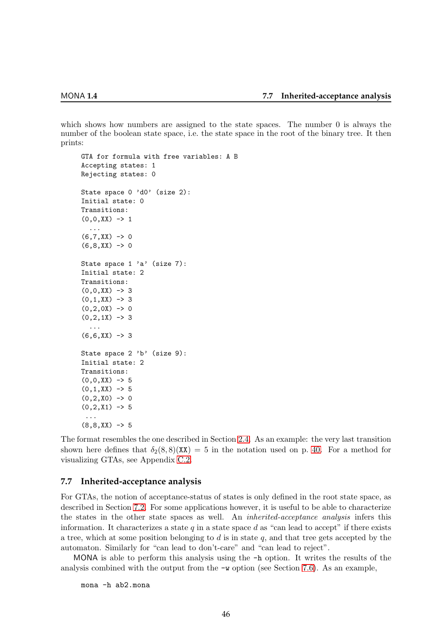which shows how numbers are assigned to the state spaces. The number 0 is always the number of the boolean state space, i.e. the state space in the root of the binary tree. It then prints:

```
GTA for formula with free variables: A B
Accepting states: 1
Rejecting states: 0
State space 0 'd0' (size 2):
Initial state: 0
Transitions:
(0,0,XX) \rightarrow 1...
(6,7,XX) \rightarrow 0(6,8,XX) \rightarrow 0State space 1 'a' (size 7):
Initial state: 2
Transitions:
(0,0,XX) \rightarrow 3(0,1,XX) \rightarrow 3(0,2,0X) \rightarrow 0(0,2,1X) \rightarrow 3...
(6,6,XX) \rightarrow 3State space 2 'b' (size 9):
Initial state: 2
Transitions:
(0,0,XX) \rightarrow 5(0,1,XX) \rightarrow 5(0,2,X0) \rightarrow 0(0,2,X1) \rightarrow 5...
(8,8,XX) \rightarrow 5
```
The format resembles the one described in Section [2.4.](#page-13-0) As an example: the very last transition shown here defines that  $\delta_2(8,8)(\mathbf{XX}) = 5$  in the notation used on p. [40.](#page-40-0) For a method for visualizing GTAs, see Appendix [C.2.](#page-60-0)

# <span id="page-47-0"></span>**7.7 Inherited-acceptance analysis**

For GTAs, the notion of acceptance-status of states is only defined in the root state space, as described in Section [7.2.](#page-40-0) For some applications however, it is useful to be able to characterize the states in the other state spaces as well. An inherited-acceptance analysis infers this information. It characterizes a state q in a state space d as "can lead to accept" if there exists a tree, which at some position belonging to  $d$  is in state  $q$ , and that tree gets accepted by the automaton. Similarly for "can lead to don't-care" and "can lead to reject".

MONA is able to perform this analysis using the -h option. It writes the results of the analysis combined with the output from the -w option (see Section [7.6\)](#page-45-1). As an example,

mona -h ab2.mona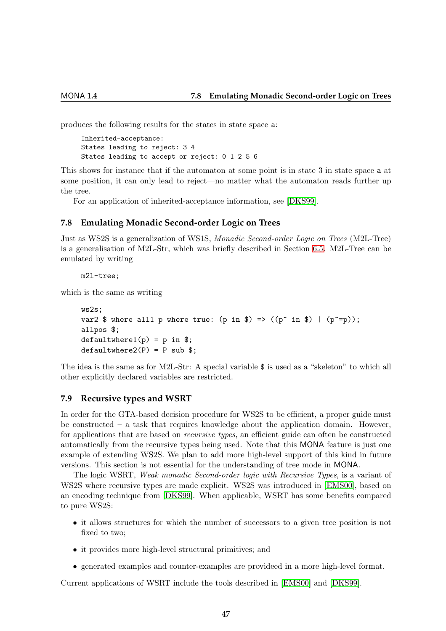produces the following results for the states in state space a:

```
Inherited-acceptance:
States leading to reject: 3 4
States leading to accept or reject: 0 1 2 5 6
```
This shows for instance that if the automaton at some point is in state 3 in state space a at some position, it can only lead to reject—no matter what the automaton reads further up the tree.

For an application of inherited-acceptance information, see [\[DKS99\]](#page-78-0).

# **7.8 Emulating Monadic Second-order Logic on Trees**

Just as WS2S is a generalization of WS1S, Monadic Second-order Logic on Trees (M2L-Tree) is a generalisation of M2L-Str, which was briefly described in Section [6.5.](#page-37-0) M2L-Tree can be emulated by writing

m2l-tree;

which is the same as writing

```
ws2s;
var2 $ where all1 p where true: (p \in \mathbb{S}) => ((p^* \in \mathbb{S}) | (p^* = p));allpos $;
defaultwhere1(p) = p in $;defaultwhere2(P) = P sub$;
```
The idea is the same as for M2L-Str: A special variable \$ is used as a "skeleton" to which all other explicitly declared variables are restricted.

# <span id="page-48-0"></span>**7.9 Recursive types and WSRT**

In order for the GTA-based decision procedure for WS2S to be efficient, a proper guide must be constructed – a task that requires knowledge about the application domain. However, for applications that are based on *recursive types*, an efficient guide can often be constructed automatically from the recursive types being used. Note that this MONA feature is just one example of extending WS2S. We plan to add more high-level support of this kind in future versions. This section is not essential for the understanding of tree mode in MONA.

The logic WSRT, Weak monadic Second-order logic with Recursive Types, is a variant of WS2S where recursive types are made explicit. WS2S was introduced in [\[EMS00\]](#page-78-1), based on an encoding technique from [\[DKS99\]](#page-78-0). When applicable, WSRT has some benefits compared to pure WS2S:

- it allows structures for which the number of successors to a given tree position is not fixed to two;
- it provides more high-level structural primitives; and
- generated examples and counter-examples are provideed in a more high-level format.

Current applications of WSRT include the tools described in [\[EMS00\]](#page-78-1) and [\[DKS99\]](#page-78-0).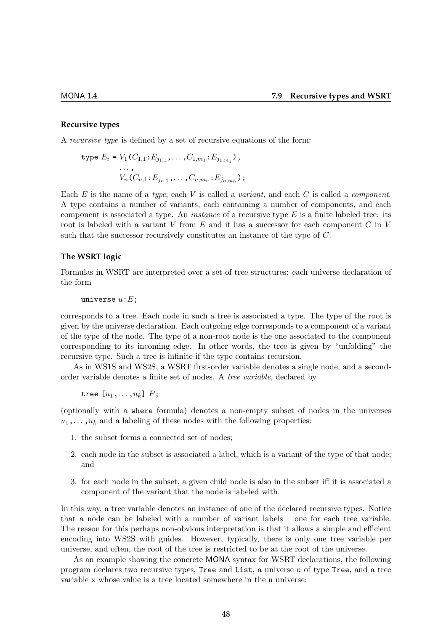#### **Recursive types**

A recursive type is defined by a set of recursive equations of the form:

$$
\text{type } E_i = V_1(C_{1,1}:E_{j_{1,1}},\ldots,C_{1,m_1}:E_{j_{1,m_1}}),\\ \ldots,\\ V_n(C_{n,1}:E_{j_{n,1}},\ldots,C_{n,m_n}:E_{j_{n,m_n}});
$$

Each E is the name of a type, each V is called a variant, and each C is called a component. A type contains a number of variants, each containing a number of components, and each component is associated a type. An *instance* of a recursive type  $E$  is a finite labeled tree: its root is labeled with a variant V from  $E$  and it has a successor for each component  $C$  in V such that the successor recursively constitutes an instance of the type of C.

#### **The WSRT logic**

Formulas in WSRT are interpreted over a set of tree structures: each universe declaration of the form

```
universe u: E;
```
corresponds to a tree. Each node in such a tree is associated a type. The type of the root is given by the universe declaration. Each outgoing edge corresponds to a component of a variant of the type of the node. The type of a non-root node is the one associated to the component corresponding to its incoming edge. In other words, the tree is given by "unfolding" the recursive type. Such a tree is infinite if the type contains recursion.

As in WS1S and WS2S, a WSRT first-order variable denotes a single node, and a secondorder variable denotes a finite set of nodes. A tree variable, declared by

tree  $[u_1,\ldots,u_k]$   $P$ ;

(optionally with a where formula) denotes a non-empty subset of nodes in the universes  $u_1, \ldots, u_k$  and a labeling of these nodes with the following properties:

- 1. the subset forms a connected set of nodes;
- 2. each node in the subset is associated a label, which is a variant of the type of that node; and
- 3. for each node in the subset, a given child node is also in the subset iff it is associated a component of the variant that the node is labeled with.

In this way, a tree variable denotes an instance of one of the declared recursive types. Notice that a node can be labeled with a number of variant labels – one for each tree variable. The reason for this perhaps non-obvious interpretation is that it allows a simple and efficient encoding into WS2S with guides. However, typically, there is only one tree variable per universe, and often, the root of the tree is restricted to be at the root of the universe.

As an example showing the concrete MONA syntax for WSRT declarations, the following program declares two recursive types, Tree and List, a universe u of type Tree, and a tree variable x whose value is a tree located somewhere in the u universe: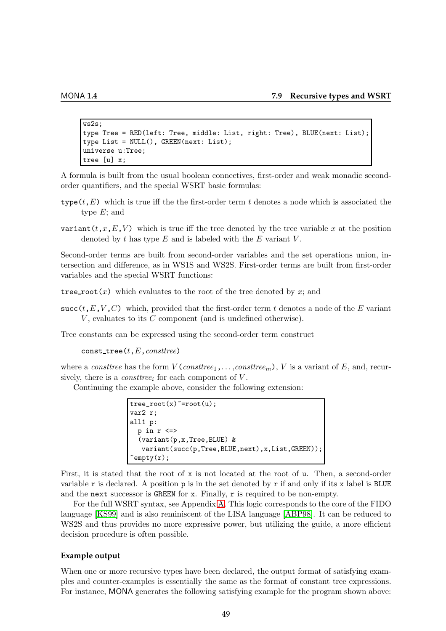```
ws2s;
type Tree = RED(left: Tree, middle: List, right: Tree), BLUE(next: List);
type List = NULL(), GREEN(next: List);
universe u:Tree;
tree [u] x;
```
A formula is built from the usual boolean connectives, first-order and weak monadic secondorder quantifiers, and the special WSRT basic formulas:

- type  $(t, E)$  which is true iff the the first-order term t denotes a node which is associated the type  $E$ ; and
- variant  $(t, x, E, V)$  which is true iff the tree denoted by the tree variable x at the position denoted by t has type  $E$  and is labeled with the  $E$  variant  $V$ .

Second-order terms are built from second-order variables and the set operations union, intersection and difference, as in WS1S and WS2S. First-order terms are built from first-order variables and the special WSRT functions:

tree root(x) which evaluates to the root of the tree denoted by x; and

succ(t,E,V,C) which, provided that the first-order term t denotes a node of the E variant  $V$ , evaluates to its  $C$  component (and is undefined otherwise).

Tree constants can be expressed using the second-order term construct

 $const$ <sub>tree</sub> $(t,E,consttree)$ 

where a constree has the form  $V$  (constree<sub>1</sub>,...,constree<sub>m</sub>), V is a variant of E, and, recursively, there is a *constiree*<sub>i</sub> for each component of  $V$ .

Continuing the example above, consider the following extension:

```
tree\_root(x) = root(u);var2 r;
all1 p:
 p in r <=>
  (variant(p,x,Tree,BLUE) &
   variant(succ(p,Tree,BLUE,next),x,List,GREEN));
\texttt{`empty}(r);
```
First, it is stated that the root of x is not located at the root of u. Then, a second-order variable r is declared. A position  $p$  is in the set denoted by r if and only if its x label is BLUE and the next successor is GREEN for  $x$ . Finally,  $r$  is required to be non-empty.

For the full WSRT syntax, see Appendix [A.](#page-54-0) This logic corresponds to the core of the FIDO language [\[KS99\]](#page-79-0) and is also reminiscent of the LISA language [\[ABP98\]](#page-77-2). It can be reduced to WS2S and thus provides no more expressive power, but utilizing the guide, a more efficient decision procedure is often possible.

# **Example output**

When one or more recursive types have been declared, the output format of satisfying examples and counter-examples is essentially the same as the format of constant tree expressions. For instance, MONA generates the following satisfying example for the program shown above: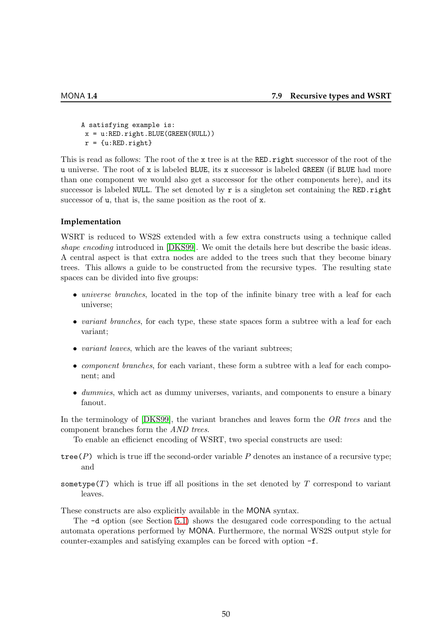A satisfying example is:  $x = u:RED.right.BLUE(GREFN(NULL))$  $r = \{u: RED.right\}$ 

This is read as follows: The root of the x tree is at the RED. right successor of the root of the u universe. The root of  $x$  is labeled BLUE, its  $x$  successor is labeled GREEN (if BLUE had more than one component we would also get a successor for the other components here), and its successor is labeled NULL. The set denoted by  $r$  is a singleton set containing the RED.right successor of  $u$ , that is, the same position as the root of  $x$ .

# **Implementation**

WSRT is reduced to WS2S extended with a few extra constructs using a technique called shape encoding introduced in [\[DKS99\]](#page-78-0). We omit the details here but describe the basic ideas. A central aspect is that extra nodes are added to the trees such that they become binary trees. This allows a guide to be constructed from the recursive types. The resulting state spaces can be divided into five groups:

- *universe branches*, located in the top of the infinite binary tree with a leaf for each universe;
- variant branches, for each type, these state spaces form a subtree with a leaf for each variant;
- variant leaves, which are the leaves of the variant subtrees;
- *component branches*, for each variant, these form a subtree with a leaf for each component; and
- dummies, which act as dummy universes, variants, and components to ensure a binary fanout.

In the terminology of  $[DKS99]$ , the variant branches and leaves form the  $OR$  trees and the component branches form the AND trees.

To enable an efficienct encoding of WSRT, two special constructs are used:

- tree( $P$ ) which is true iff the second-order variable  $P$  denotes an instance of a recursive type; and
- sometype $(T)$  which is true iff all positions in the set denoted by T correspond to variant leaves.

These constructs are also explicitly available in the MONA syntax.

The -d option (see Section [5.1\)](#page-32-0) shows the desugared code corresponding to the actual automata operations performed by MONA. Furthermore, the normal WS2S output style for counter-examples and satisfying examples can be forced with option -f.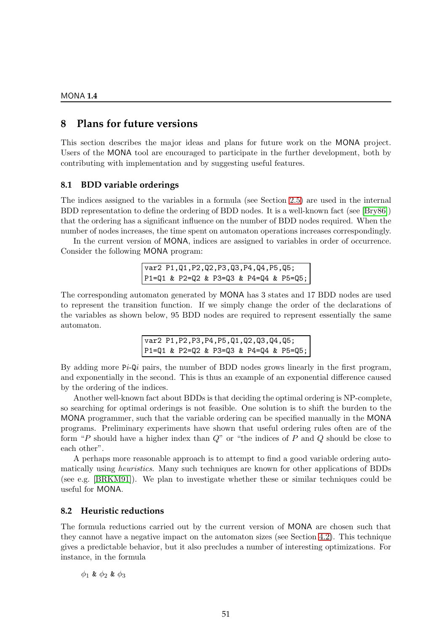# **8 Plans for future versions**

This section describes the major ideas and plans for future work on the MONA project. Users of the MONA tool are encouraged to participate in the further development, both by contributing with implementation and by suggesting useful features.

# **8.1 BDD variable orderings**

The indices assigned to the variables in a formula (see Section [2.5\)](#page-14-0) are used in the internal BDD representation to define the ordering of BDD nodes. It is a well-known fact (see [\[Bry86\]](#page-77-3)) that the ordering has a significant influence on the number of BDD nodes required. When the number of nodes increases, the time spent on automaton operations increases correspondingly.

In the current version of MONA, indices are assigned to variables in order of occurrence. Consider the following MONA program:

```
var2 P1,Q1,P2,Q2,P3,Q3,P4,Q4,P5,Q5;
P1=Q1 & P2=Q2 & P3=Q3 & P4=Q4 & P5=Q5;
```
The corresponding automaton generated by MONA has 3 states and 17 BDD nodes are used to represent the transition function. If we simply change the order of the declarations of the variables as shown below, 95 BDD nodes are required to represent essentially the same automaton.

> var2 P1,P2,P3,P4,P5,Q1,Q2,Q3,Q4,Q5; P1=Q1 & P2=Q2 & P3=Q3 & P4=Q4 & P5=Q5;

By adding more  $P_i$ -Q<sub>i</sub> pairs, the number of BDD nodes grows linearly in the first program, and exponentially in the second. This is thus an example of an exponential difference caused by the ordering of the indices.

Another well-known fact about BDDs is that deciding the optimal ordering is NP-complete, so searching for optimal orderings is not feasible. One solution is to shift the burden to the MONA programmer, such that the variable ordering can be specified manually in the MONA programs. Preliminary experiments have shown that useful ordering rules often are of the form "P should have a higher index than  $Q$ " or "the indices of P and Q should be close to each other".

A perhaps more reasonable approach is to attempt to find a good variable ordering automatically using heuristics. Many such techniques are known for other applications of BDDs (see e.g. [\[BRKM91\]](#page-77-4)). We plan to investigate whether these or similar techniques could be useful for MONA.

# **8.2 Heuristic reductions**

The formula reductions carried out by the current version of MONA are chosen such that they cannot have a negative impact on the automaton sizes (see Section [4.2\)](#page-29-0). This technique gives a predictable behavior, but it also precludes a number of interesting optimizations. For instance, in the formula

 $\phi_1$  &  $\phi_2$  &  $\phi_3$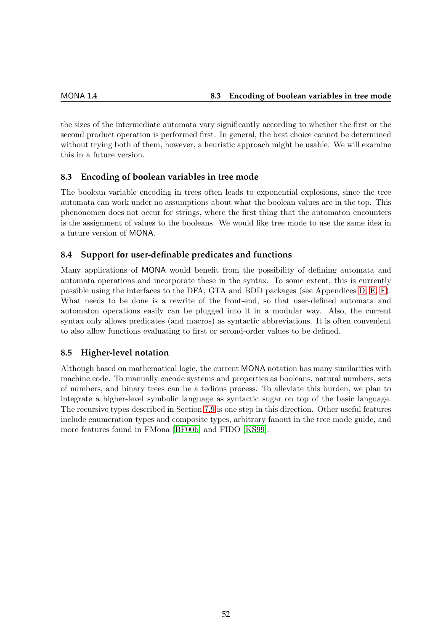the sizes of the intermediate automata vary significantly according to whether the first or the second product operation is performed first. In general, the best choice cannot be determined without trying both of them, however, a heuristic approach might be usable. We will examine this in a future version.

# **8.3 Encoding of boolean variables in tree mode**

The boolean variable encoding in trees often leads to exponential explosions, since the tree automata can work under no assumptions about what the boolean values are in the top. This phenonomen does not occur for strings, where the first thing that the automaton encounters is the assignment of values to the booleans. We would like tree mode to use the same idea in a future version of MONA.

# **8.4 Support for user-definable predicates and functions**

Many applications of MONA would benefit from the possibility of defining automata and automata operations and incorporate these in the syntax. To some extent, this is currently possible using the interfaces to the DFA, GTA and BDD packages (see Appendices [D,](#page-63-0) [E,](#page-69-0) [F\)](#page-74-0). What needs to be done is a rewrite of the front-end, so that user-defined automata and automaton operations easily can be plugged into it in a modular way. Also, the current syntax only allows predicates (and macros) as syntactic abbreviations. It is often convenient to also allow functions evaluating to first or second-order values to be defined.

# **8.5 Higher-level notation**

Although based on mathematical logic, the current MONA notation has many similarities with machine code. To manually encode systems and properties as booleans, natural numbers, sets of numbers, and binary trees can be a tedious process. To alleviate this burden, we plan to integrate a higher-level symbolic language as syntactic sugar on top of the basic language. The recursive types described in Section [7.9](#page-48-0) is one step in this direction. Other useful features include enumeration types and composite types, arbitrary fanout in the tree mode guide, and more features found in FMona [\[BF00b\]](#page-77-5) and FIDO [\[KS99\]](#page-79-0).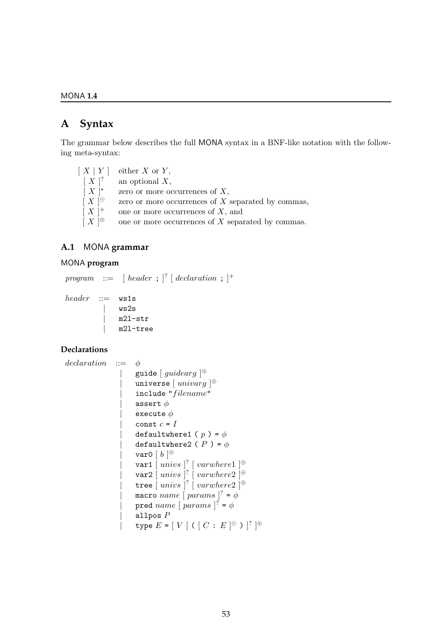# <span id="page-54-0"></span>**A Syntax**

The grammar below describes the full MONA syntax in a BNF-like notation with the following meta-syntax:

 $[X | Y]$  either X or Y,  $[X]$ ? an optional  $X$ ,  $[X]^*$ zero or more occurrences of  $X$ ,  $[X]^\odot$ zero or more occurrences of  $X$  separated by commas,  $[X]^+$ one or more occurrences of  $X$ , and  $[X]^\oplus$ one or more occurrences of  $X$  separated by commas.

# **A.1** MONA **grammar**

# MONA **program**

```
program \ ::=\ \ [\textit{header} \ ; \ ]^? \ [\textit{ declaration} \ ; \ ]^+header ::= ws1s| ws2s
                   m2l-str
```
| m2l-tree

# **Declarations**

```
declaration ::= \phi| guide [\,guidearg\,]^\oplus| universe [ univarg ]<sup>\oplus</sup>
                        include "filename"assert \phiexecute \phiconst c = Idefaultwhere1 ( p ) = \phidefaultwhere2 (P) = \phi| var0 [ b ]<sup>\oplus</sup>
                   | var1 [ univs ]<sup>?</sup> [ varwhere1 ]<sup>\oplus</sup>
                   | var2 \left[\right] univs \left]<sup>?</sup> \left[\right] varwhere2 \left]<sup>\oplus</sup>
                   | tree [ univs ]? [ varwhere 2]\oplus| macro name [params ]^2 = \phi| pred name [params ]^2 = \phiallpos P| type E = [V [ ( [ C : E ]^{\odot} ) ]^? ]^{\oplus}
```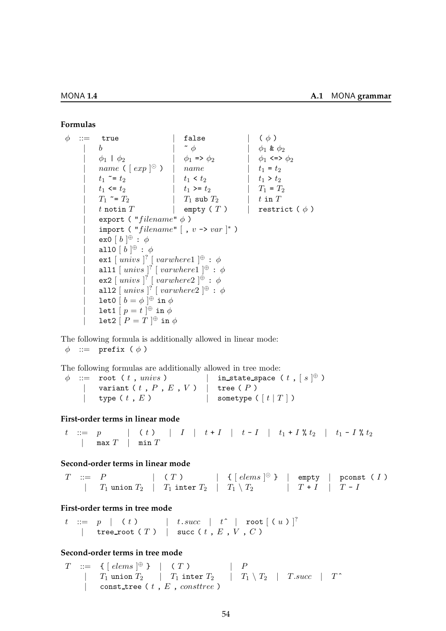#### **Formulas**

 $\phi$  ::= true | false | (  $\phi$  ) | b |  $\phi_1$  &  $\phi_2$  $|\phi_1 | \phi_2 | |\phi_1 \Rightarrow \phi_2 | |\phi_1 \Rightarrow \phi_3 |$ | name (  $[ exp ]^{\odot}$  ) | name |  $t_1 = t_2$ | t<sup>1</sup> ~= t<sup>2</sup> | t<sup>1</sup> < t<sup>2</sup> | t<sup>1</sup> > t<sup>2</sup> | t<sup>1</sup> <= t<sup>2</sup> | t<sup>1</sup> >= t<sup>2</sup> | T<sup>1</sup> = T<sup>2</sup>  $\begin{array}{ccc} \n| & T_1 \leq T_2 \n\end{array}$   $\begin{array}{ccc} \n| & T_1 \text{ sub } T_2 \n\end{array}$   $\begin{array}{ccc} t \text{ in } T_1 \n\end{array}$ | t notin T | empty ( T ) | restrict ( φ ) export ( " $filename$ "  $\phi$ ) | import ( "filename"  $[$ ,  $v \rightarrow var ]^*$  )  $|\qquad \text{ex} 0 \mid b \mid^{\oplus} : \phi$  $|\quad \textrm{all0} [b]^\oplus : \phi$  $\left[ \begin{array}{c} \texttt{ex1} \end{array} \right]$  [  $\texttt{varwhere1}$  ] $\oplus$  :  $\phi$ | all1  $[$  univs  $]$ <sup>?</sup>  $[$  varwhere1  $]$ <sup> $\oplus$ </sup> :  $\phi$  $|\qquad \text{ex2}\;[\;univs\;]^{?}\;[\;varwhere2\;]^\oplus\;:\; \phi$ | all2  $[$  univs  $]$ <sup>?</sup>  $[$  varwhere2  $]$ <sup> $\oplus$ </sup> :  $\phi$ | let0  $\left[b = \phi\right]^\oplus$  in  $\phi$  $\begin{bmatrix} 1 & 1 \end{bmatrix}$  let1  $\begin{bmatrix} p = t \end{bmatrix}$   $\oplus$  in  $\phi$  $\begin{bmatrix} 1 & \text{let2} \end{bmatrix}$   $\begin{bmatrix} P = T \end{bmatrix}$   $\oplus$  in  $\phi$ 

The following formula is additionally allowed in linear mode:

 $\phi$  ::= prefix  $(\phi)$ 

The following formulas are additionally allowed in tree mode:

 $\phi$  := root (*t*, *univs* ) | in\_state\_space (*t*, [ $s$ ]<sup> $\oplus$ </sup>)  $\begin{array}{|l|} \hline \end{array}$  variant (  $t$  ,  $P$  ,  $E$  ,  $V$  )  $\begin{array}{|l|} \hline \end{array}$  tree (  $P$  ) | type (  $t$  ,  $E$  ) | sometype (  $\lceil$   $t$   $|$   $T$   $|$   $\rangle$ 

# **First-order terms in linear mode**

 $t$  ::= p | ( t ) | I | t + I | t - I | t<sub>1</sub> + I % t<sub>2</sub> | t<sub>1</sub> - I % t<sub>2</sub> | max  $T$  | min  $T$ 

# **Second-order terms in linear mode**

 $T$  ::=  $P$  | (T) | {  $[ \text{ elements } ]^{\odot}$  } | empty | pconst (I) |  $T_1$  union  $T_2$  |  $T_1$  inter  $T_2$  |  $T_1 \setminus T_2$  |  $T + I$  |  $T - I$ 

# **First-order terms in tree mode**

 $t$  ::=  $p$  | (t) | t.succ | t^ | root[(u)] $^?$ | tree\_root ( $T$ ) | succ ( $t$ ,  $E$ ,  $V$ ,  $C$ )

# **Second-order terms in tree mode**

 $T \ ::= \ \ \{\ [\ \textit{elements}\ ]^{\oplus} \ \} \ \ \ |\ \ \ \texttt{(T)}$  $\oplus$  } | ( T ) | P  $\begin{array}{|l|c|c|c|c|}\hline \quad & T_1 \text{ union } T_2 \quad & T_1 \text{ inter } T_2 \quad & T_1 \setminus T_2 \quad & T.succ & T^* \ \hline \end{array}$ | const\_tree ( $t$ ,  $E$ , constree)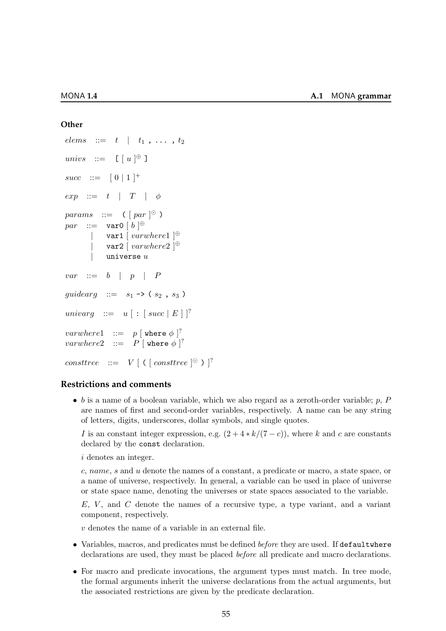#### **Other**

```
elems ::= t \mid t_1, \ldots, t_2univs ::= \left[\begin{array}{cc} u & \rightarrow \end{array}\right]succ ::= [0 \ 1]^+exp ::= t | T | \phiparams ::= ([par]^\odot)par \ ::=\ \ \texttt{var0} \ [ \ b \ ]^{\oplus}| var1 \left[ varwhere1 \right]<sup>⊕</sup>
          | var2 \left[ varwhere2 \right]<sup>⊕</sup>
          | universe uvar ::= b \mid p \mid Pguidearg ::= s_1 -> (s_2, s_3)
univarg ::= u [ : [succ | E ] ]^?\textit{varwhere} 1 \quad ::= \quad p \ [ \ \mathtt{where} \ \phi \ ]^?\textit{varwhere2} \quad ::= \quad P \; [\; \mathtt{where}\; \phi \; ]^?consttree ::= V [ ( [consttree]^\odot ) ]^?
```
# **Restrictions and comments**

 $\bullet$  b is a name of a boolean variable, which we also regard as a zeroth-order variable; p, P are names of first and second-order variables, respectively. A name can be any string of letters, digits, underscores, dollar symbols, and single quotes.

I is an constant integer expression, e.g.  $(2+4*k/(7-c))$ , where k and c are constants declared by the const declaration.

i denotes an integer.

c, name, s and u denote the names of a constant, a predicate or macro, a state space, or a name of universe, respectively. In general, a variable can be used in place of universe or state space name, denoting the universes or state spaces associated to the variable.

 $E, V$ , and  $C$  denote the names of a recursive type, a type variant, and a variant component, respectively.

v denotes the name of a variable in an external file.

- Variables, macros, and predicates must be defined before they are used. If defaultwhere declarations are used, they must be placed before all predicate and macro declarations.
- For macro and predicate invocations, the argument types must match. In tree mode, the formal arguments inherit the universe declarations from the actual arguments, but the associated restrictions are given by the predicate declaration.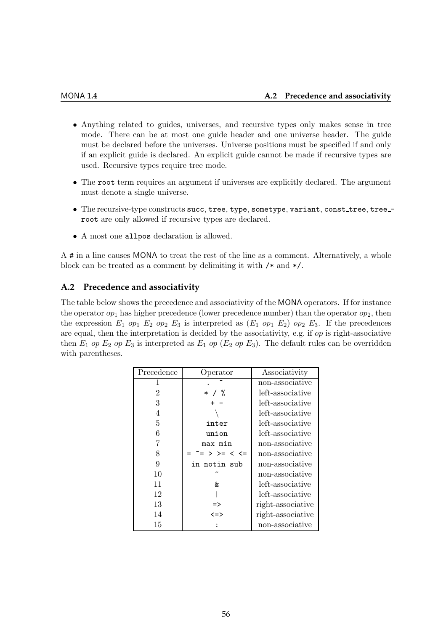- Anything related to guides, universes, and recursive types only makes sense in tree mode. There can be at most one guide header and one universe header. The guide must be declared before the universes. Universe positions must be specified if and only if an explicit guide is declared. An explicit guide cannot be made if recursive types are used. Recursive types require tree mode.
- The root term requires an argument if universes are explicitly declared. The argument must denote a single universe.
- The recursive-type constructs succ, tree, type, sometype, variant, const\_tree, tree\_root are only allowed if recursive types are declared.
- A most one allpos declaration is allowed.

A # in a line causes MONA to treat the rest of the line as a comment. Alternatively, a whole block can be treated as a comment by delimiting it with /\* and \*/.

# **A.2 Precedence and associativity**

The table below shows the precedence and associativity of the MONA operators. If for instance the operator  $op_1$  has higher precedence (lower precedence number) than the operator  $op_2$ , then the expression  $E_1$  op<sub>1</sub>  $E_2$  op<sub>2</sub>  $E_3$  is interpreted as  $(E_1$  op<sub>1</sub>  $E_2$ ) op<sub>2</sub>  $E_3$ . If the precedences are equal, then the interpretation is decided by the associativity, e.g. if  $op$  is right-associative then  $E_1$  op  $E_2$  op  $E_3$  is interpreted as  $E_1$  op  $(E_2$  op  $E_3)$ . The default rules can be overridden with parentheses.

| Precedence     | Operator                                 | Associativity     |
|----------------|------------------------------------------|-------------------|
|                |                                          | non-associative   |
| $\overline{2}$ | $/$ %<br>$\ast$                          | left-associative  |
| 3              |                                          | left-associative  |
| 4              |                                          | left-associative  |
| 5              | inter                                    | left-associative  |
| 6              | union                                    | left-associative  |
|                | max min                                  | non-associative   |
| 8              | = > >= < <=                              | non-associative   |
| 9              | in notin sub                             | non-associative   |
| 10             |                                          | non-associative   |
| 11             | &                                        | left-associative  |
| 12             |                                          | left-associative  |
| 13             | $\Rightarrow$                            | right-associative |
| 14             | $\left\langle \Rightarrow \right\rangle$ | right-associative |
| 15             |                                          | non-associative   |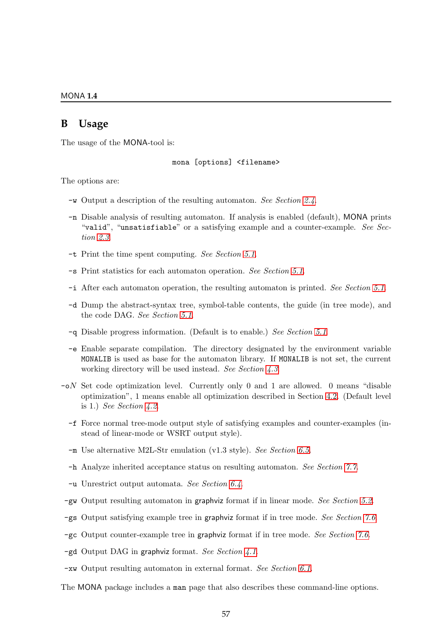# **B Usage**

The usage of the MONA-tool is:

mona [options] <filename>

The options are:

- -w Output a description of the resulting automaton. See Section [2.4](#page-13-0).
- -n Disable analysis of resulting automaton. If analysis is enabled (default), MONA prints "valid", "unsatisfiable" or a satisfying example and a counter-example. See Section [2.3](#page-12-0).
- -t Print the time spent computing. See Section [5.1](#page-33-1).
- -s Print statistics for each automaton operation. See Section [5.1](#page-32-1).
- -i After each automaton operation, the resulting automaton is printed. See Section [5.1](#page-33-2).
- -d Dump the abstract-syntax tree, symbol-table contents, the guide (in tree mode), and the code DAG. See Section [5.1](#page-32-0).
- -q Disable progress information. (Default is to enable.) See Section [5.1](#page-31-0).
- -e Enable separate compilation. The directory designated by the environment variable MONALIB is used as base for the automaton library. If MONALIB is not set, the current working directory will be used instead. See Section [4.3](#page-30-0).
- $\sim$  -oN Set code optimization level. Currently only 0 and 1 are allowed. 0 means "disable" optimization", 1 means enable all optimization described in Section [4.2.](#page-29-0) (Default level is 1.) See Section [4.2](#page-29-0).
	- -f Force normal tree-mode output style of satisfying examples and counter-examples (instead of linear-mode or WSRT output style).
	- -m Use alternative M2L-Str emulation (v1.3 style). See Section [6.5](#page-37-0).
	- -h Analyze inherited acceptance status on resulting automaton. See Section [7.7](#page-47-0).
	- -u Unrestrict output automata. See Section [6.4](#page-35-1).
- -gw Output resulting automaton in graphviz format if in linear mode. See Section [5.2](#page-33-0).
- -gs Output satisfying example tree in graphviz format if in tree mode. See Section [7.6](#page-45-1).
- -gc Output counter-example tree in graphviz format if in tree mode. See Section [7.6](#page-45-1).
- $-gd$  Output DAG in graphviz format. See Section [4.1](#page-28-0).
- -xw Output resulting automaton in external format. See Section [6.1](#page-34-0).

The MONA package includes a man page that also describes these command-line options.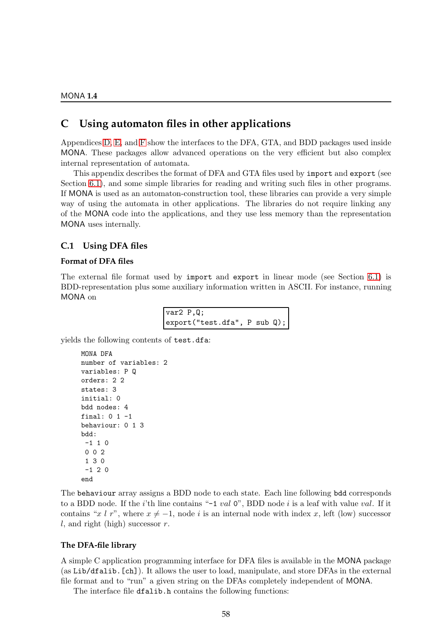# **C Using automaton files in other applications**

Appendices [D,](#page-63-0) [E,](#page-69-0) and [F](#page-74-0) show the interfaces to the DFA, GTA, and BDD packages used inside MONA. These packages allow advanced operations on the very efficient but also complex internal representation of automata.

This appendix describes the format of DFA and GTA files used by import and export (see Section [6.1\)](#page-34-0), and some simple libraries for reading and writing such files in other programs. If MONA is used as an automaton-construction tool, these libraries can provide a very simple way of using the automata in other applications. The libraries do not require linking any of the MONA code into the applications, and they use less memory than the representation MONA uses internally.

# <span id="page-59-0"></span>**C.1 Using DFA files**

# **Format of DFA files**

The external file format used by import and export in linear mode (see Section [6.1\)](#page-34-0) is BDD-representation plus some auxiliary information written in ASCII. For instance, running MONA on

| var2 P,Q;                                    |  |  |
|----------------------------------------------|--|--|
| $\vert$ export("test.dfa", P sub Q); $\vert$ |  |  |

yields the following contents of test.dfa:

```
MONA DFA
number of variables: 2
variables: P Q
orders: 2 2
states: 3
initial: 0
bdd nodes: 4
final: 0 \t1 -1behaviour: 0 1 3
bdd:
 -1 1 0
 0 0 2
 1 3 0
 -1 2 0
end
```
The behaviour array assigns a BDD node to each state. Each line following bdd corresponds to a BDD node. If the *i*'th line contains "-1 *val*  $0$ ", BDD node *i* is a leaf with value *val*. If it contains "x l r", where  $x \neq -1$ , node i is an internal node with index x, left (low) successor l, and right (high) successor  $r$ .

# **The DFA-file library**

A simple C application programming interface for DFA files is available in the MONA package (as Lib/dfalib.[ch]). It allows the user to load, manipulate, and store DFAs in the external file format and to "run" a given string on the DFAs completely independent of MONA.

The interface file dfalib.h contains the following functions: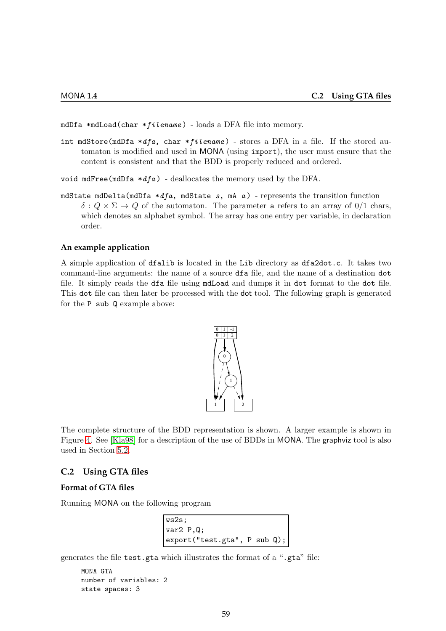mdDfa  $*$ mdLoad(char  $*fil$ ename) - loads a DFA file into memory.

int mdStore(mdDfa  $*dfa$ , char  $*filename$ ) - stores a DFA in a file. If the stored automaton is modified and used in MONA (using import), the user must ensure that the content is consistent and that the BDD is properly reduced and ordered.

void mdFree(mdDfa  $*dfa$ ) - deallocates the memory used by the DFA.

mdState mdDelta(mdDfa  $*dfa$ , mdState s, mA a) - represents the transition function  $\delta: Q \times \Sigma \to Q$  of the automaton. The parameter a refers to an array of  $0/1$  chars, which denotes an alphabet symbol. The array has one entry per variable, in declaration order.

#### **An example application**

A simple application of dfalib is located in the Lib directory as dfa2dot.c. It takes two command-line arguments: the name of a source dfa file, and the name of a destination dot file. It simply reads the dfa file using mdLoad and dumps it in dot format to the dot file. This dot file can then later be processed with the dot tool. The following graph is generated for the P sub Q example above:



The complete structure of the BDD representation is shown. A larger example is shown in Figure [4.](#page-15-0) See [\[Kla98\]](#page-78-2) for a description of the use of BDDs in MONA. The graphviz tool is also used in Section [5.2.](#page-33-0)

# <span id="page-60-0"></span>**C.2 Using GTA files**

# **Format of GTA files**

Running MONA on the following program

```
ws2s;
var2 P,Q;
export("test.gta", P sub Q);
```
generates the file test.gta which illustrates the format of a ".gta" file:

```
MONA GTA
number of variables: 2
state spaces: 3
```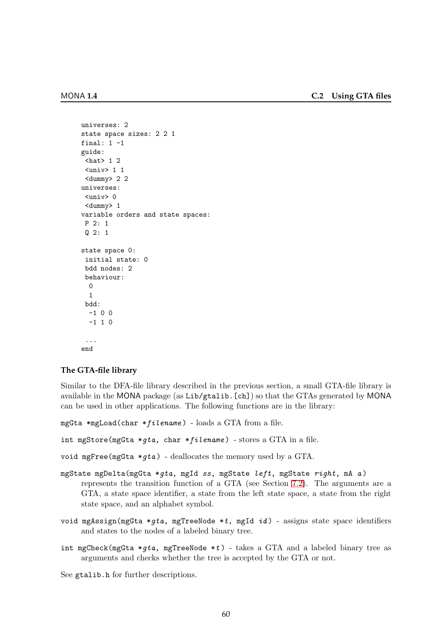```
universes: 2
state space sizes: 2 2 1
final: 1 -1
guide:
 \theta /hat > 1 2
 <univ> 1 1
 <dummy> 2 2
universes:
 <univ> 0
 <dummy> 1
variable orders and state spaces:
P 2: 1
 Q 2: 1
state space 0:
 initial state: 0
 bdd nodes: 2
 behaviour:
  0
  1
 bdd:
  -1 0 0
  -1 1 0
 ...
end
```
# **The GTA-file library**

Similar to the DFA-file library described in the previous section, a small GTA-file library is available in the MONA package (as Lib/gtalib.[ch]) so that the GTAs generated by MONA can be used in other applications. The following functions are in the library:

```
mgGta *mgLoad(char *filename) - loads a GTA from a file.
```

```
int mgStore(mgGta *qta, char *filename) - stores a GTA in a file.
```
void mgFree(mgGta  $*qta$ ) - deallocates the memory used by a GTA.

- mgState mgDelta(mgGta \*qta, mgId ss, mgState left, mgState right, mA a) represents the transition function of a GTA (see Section [7.2\)](#page-40-0). The arguments are a GTA, a state space identifier, a state from the left state space, a state from the right state space, and an alphabet symbol.
- void mgAssign(mgGta \*gta, mgTreeNode \*t, mgId  $id$ ) assigns state space identifiers and states to the nodes of a labeled binary tree.
- int mgCheck(mgGta \*gta, mgTreeNode \*t) takes a GTA and a labeled binary tree as arguments and checks whether the tree is accepted by the GTA or not.

See gtalib.h for further descriptions.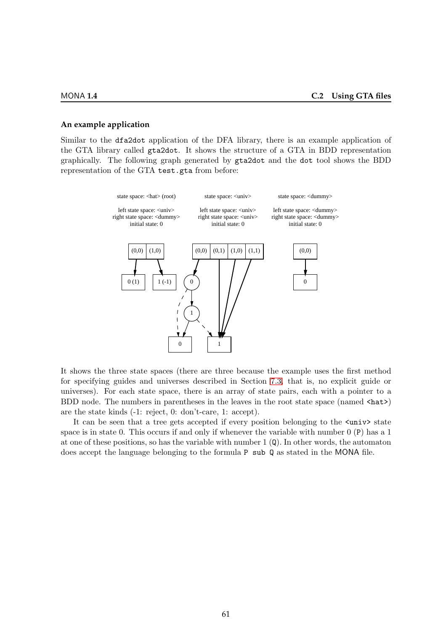#### **An example application**

Similar to the dfa2dot application of the DFA library, there is an example application of the GTA library called gta2dot. It shows the structure of a GTA in BDD representation graphically. The following graph generated by gta2dot and the dot tool shows the BDD representation of the GTA test.gta from before:



It shows the three state spaces (there are three because the example uses the first method for specifying guides and universes described in Section [7.3,](#page-42-0) that is, no explicit guide or universes). For each state space, there is an array of state pairs, each with a pointer to a BDD node. The numbers in parentheses in the leaves in the root state space (named  $\langle hat \rangle$ ) are the state kinds (-1: reject, 0: don't-care, 1: accept).

It can be seen that a tree gets accepted if every position belonging to the  $\langle \text{univ} \rangle$  state space is in state 0. This occurs if and only if whenever the variable with number 0 (P) has a 1 at one of these positions, so has the variable with number  $1(\mathbf{Q})$ . In other words, the automaton does accept the language belonging to the formula P sub Q as stated in the MONA file.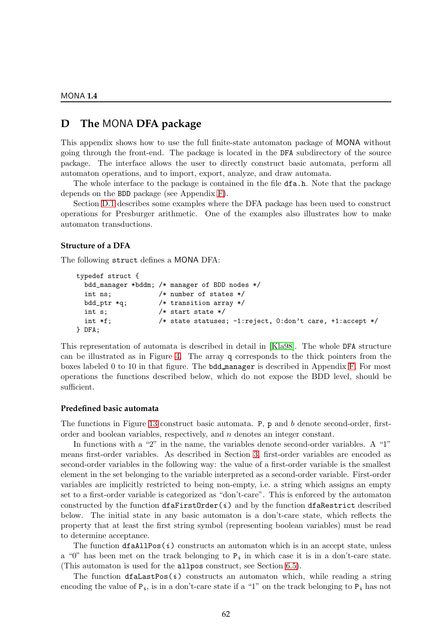# <span id="page-63-0"></span>**D The** MONA **DFA package**

This appendix shows how to use the full finite-state automaton package of MONA without going through the front-end. The package is located in the DFA subdirectory of the source package. The interface allows the user to directly construct basic automata, perform all automaton operations, and to import, export, analyze, and draw automata.

The whole interface to the package is contained in the file dfa.h. Note that the package depends on the BDD package (see Appendix [F\)](#page-74-0).

Section [D.1](#page-67-0) describes some examples where the DFA package has been used to construct operations for Presburger arithmetic. One of the examples also illustrates how to make automaton transductions.

#### **Structure of a DFA**

The following struct defines a MONA DFA:

```
typedef struct {
 bdd_manager *bddm; /* manager of BDD nodes */
 int ns; /* number of states */
 bdd_ptr *q; /* transition array */
 int s; /* start state */
 int *f; /* state statuses; -1:reject, 0:don't care, +1:accept */
} DFA;
```
This representation of automata is described in detail in [\[Kla98\]](#page-78-2). The whole DFA structure can be illustrated as in Figure [4.](#page-15-0) The array q corresponds to the thick pointers from the boxes labeled 0 to 10 in that figure. The bdd manager is described in Appendix [F.](#page-74-0) For most operations the functions described below, which do not expose the BDD level, should be sufficient.

# **Predefined basic automata**

The functions in Figure [13](#page-64-0) construct basic automata. P, p and b denote second-order, firstorder and boolean variables, respectively, and n denotes an integer constant.

In functions with a "2" in the name, the variables denote second-order variables. A "1" means first-order variables. As described in Section [3,](#page-19-0) first-order variables are encoded as second-order variables in the following way: the value of a first-order variable is the smallest element in the set belonging to the variable interpreted as a second-order variable. First-order variables are implicitly restricted to being non-empty, i.e. a string which assigns an empty set to a first-order variable is categorized as "don't-care". This is enforced by the automaton constructed by the function  $dfafirstOrder(i)$  and by the function dfaRestrict described below. The initial state in any basic automaton is a don't-care state, which reflects the property that at least the first string symbol (representing boolean variables) must be read to determine acceptance.

The function  $dfaAllPos(i)$  constructs an automaton which is in an accept state, unless a "0" has been met on the track belonging to  $P_i$  in which case it is in a don't-care state. (This automaton is used for the allpos construct, see Section [6.5\)](#page-37-0).

The function  $dfalastPos(i)$  constructs an automaton which, while reading a string encoding the value of  $P_i$ , is in a don't-care state if a "1" on the track belonging to  $P_i$  has not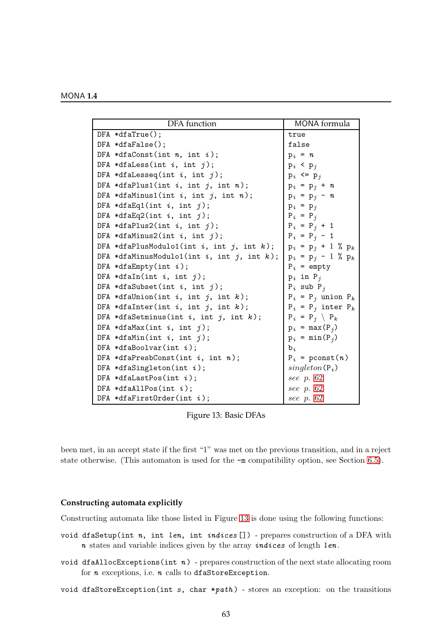| <b>DFA</b> function                                 | MONA formula              |
|-----------------------------------------------------|---------------------------|
| $DFA * dfaTrue()$ ;                                 | true                      |
| $DFA * dfaFalse()$ ;                                | false                     |
| DFA *dfaConst(int $n$ , int $i$ );                  | $p_i = n$                 |
| DFA *dfaLess(int $i$ , int $j$ );                   | $p_i$ < $p_j$             |
| DFA *dfaLesseq(int $i$ , int $j$ );                 | $p_i \le p_j$             |
| DFA *dfaPlus1(int $i$ , int $j$ , int $n$ );        | $p_i = p_j + n$           |
| DFA *dfaMinus1(int $i$ , int $j$ , int $n$ );       | $p_i = p_j - n$           |
| DFA *dfaEq1(int i, int j);                          | $p_i = p_j$               |
| DFA *dfaEq2(int i, int j);                          | $P_i = P_j$               |
| DFA *dfaPlus2(int i, int j);                        | $P_i = P_j + 1$           |
| DFA *dfaMinus2(int $i$ , int $j$ );                 | $P_i = P_j - 1$           |
| DFA *dfaPlusModulo1(int i, int j, int k);           | $p_i = p_j + 1$ % $p_k$   |
| DFA *dfaMinusModulo1(int $i$ , int $j$ , int $k$ ); | $p_i = p_j - 1$ % $p_k$   |
| DFA *dfaEmpty(int $i$ );                            | $P_i$ = empty             |
| DFA *dfaIn(int $i$ , int $j$ );                     | $p_i$ in $P_j$            |
| DFA *dfaSubset(int $i$ , int $j$ );                 | $P_i$ sub $P_j$           |
| DFA *dfaUnion(int i, int j, int k);                 | $P_i = P_j$ union $P_k$   |
| DFA *dfaInter(int $i$ , int $j$ , int $k$ );        | $P_i = P_j$ inter $P_k$   |
| DFA *dfaSetminus(int i, int j, int k);              | $P_i = P_j \setminus P_k$ |
| DFA *dfaMax(int $i$ , int $j$ );                    | $p_i = max(P_j)$          |
| DFA *dfaMin(int $i$ , int $j$ );                    | $p_i = min(P_i)$          |
| DFA *dfaBoolvar(int $i$ );                          | $b_i$                     |
| DFA *dfaPresbConst(int $i$ , int $n$ );             | $P_i$ = pconst(n)         |
| DFA *dfaSingleton(int $i$ );                        | $singleton(P_i)$          |
| DFA *dfaLastPos(int $i$ );                          | see p. 62                 |
| DFA *dfaAllPos(int $i$ );                           | see p. 62                 |
| DFA *dfaFirstOrder(int $i$ );                       | see p. 62                 |

<span id="page-64-0"></span>Figure 13: Basic DFAs

been met, in an accept state if the first "1" was met on the previous transition, and in a reject state otherwise. (This automaton is used for the -m compatibility option, see Section [6.5\)](#page-37-0).

## **Constructing automata explicitly**

Constructing automata like those listed in Figure [13](#page-64-0) is done using the following functions:

- void dfaSetup(int  $n$ , int len, int indices []) prepares construction of a DFA with  $n$  states and variable indices given by the array *indices* of length *len*.
- void dfaAllocExceptions(int  $n$ ) prepares construction of the next state allocating room for  $n$  exceptions, i.e.  $n$  calls to dfaStoreException.
- void dfaStoreException(int  $s$ , char  $*path$ ) stores an exception: on the transitions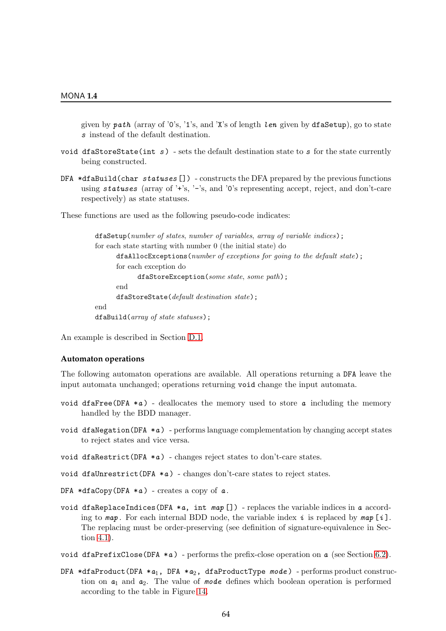given by  $path$  (array of '0's, '1's, and 'X's of length length using by dfaSetup), go to state s instead of the default destination.

- void dfaStoreState(int  $s$ ) sets the default destination state to s for the state currently being constructed.
- DFA  $*dfabuid(char statuses []$  constructs the DFA prepared by the previous functions using statuses (array of '+'s, '-'s, and '0's representing accept, reject, and don't-care respectively) as state statuses.

These functions are used as the following pseudo-code indicates:

```
dfaSetup(number of states, number of variables, array of variable indices);
for each state starting with number 0 (the initial state) do
      dfaAllocExceptions(number of exceptions for going to the default state);
      for each exception do
            dfaStoreException(some state, some path);
      end
      dfaStoreState(default destination state);
end
dfaBuild(array of state statuses);
```
An example is described in Section [D.1.](#page-67-0)

#### **Automaton operations**

The following automaton operations are available. All operations returning a DFA leave the input automata unchanged; operations returning void change the input automata.

- void dfaFree(DFA  $*a$ ) deallocates the memory used to store  $a$  including the memory handled by the BDD manager.
- void dfaNegation(DFA  $*a$ ) performs language complementation by changing accept states to reject states and vice versa.
- void dfaRestrict(DFA  $*a$ ) changes reject states to don't-care states.
- void dfaUnrestrict(DFA  $*a$ ) changes don't-care states to reject states.
- DFA  $*dfaCopy(DFA *a)$  creates a copy of  $a$ .
- void dfaReplaceIndices(DFA  $*a$ , int map []) replaces the variable indices in a according to  $map$ . For each internal BDD node, the variable index i is replaced by  $map[i]$ . The replacing must be order-preserving (see definition of signature-equivalence in Section [4.1\)](#page-28-0).
- void dfaPrefixClose(DFA  $*a$ ) performs the prefix-close operation on  $a$  (see Section [6.2\)](#page-35-2).
- DFA \*dfaProduct(DFA \*a<sub>1</sub>, DFA \*a<sub>2</sub>, dfaProductType mode) performs product construction on  $a_1$  and  $a_2$ . The value of mode defines which boolean operation is performed according to the table in Figure [14.](#page-66-0)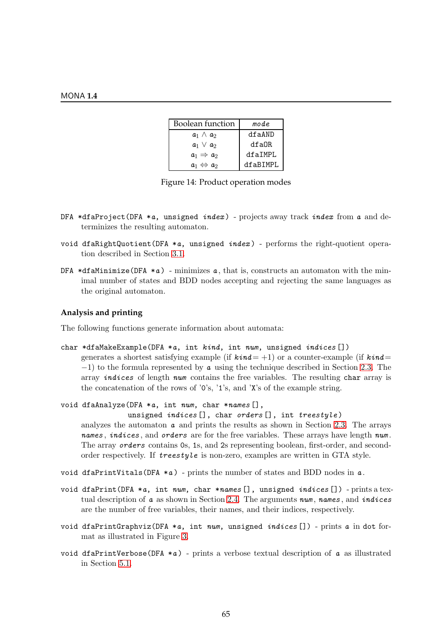| <b>Boolean function</b>   | mode     |  |
|---------------------------|----------|--|
| $a_1 \wedge a_2$          | dfaAND   |  |
| $a_1 \vee a_2$            | dfaOR    |  |
| $a_1 \Rightarrow a_2$     | dfaIMPL  |  |
| $a_1 \Leftrightarrow a_2$ | dfaBIMPL |  |

<span id="page-66-0"></span>Figure 14: Product operation modes

- DFA \*dfaProject(DFA \*a, unsigned *index*) projects away track *index* from a and determinizes the resulting automaton.
- void dfaRightQuotient(DFA  $*a$ , unsigned  $index$ ) performs the right-quotient operation described in Section [3.1.](#page-21-0)
- DFA \*dfaMinimize(DFA \*a) minimizes a, that is, constructs an automaton with the minimal number of states and BDD nodes accepting and rejecting the same languages as the original automaton.

# **Analysis and printing**

The following functions generate information about automata:

```
char *dfaMakeExample(DFA *a, int kind, int num, unsigned indices [])
```
generates a shortest satisfying example (if  $\textit{kind} = +1$ ) or a counter-example (if  $\textit{kind} =$  $-1$ ) to the formula represented by **a** using the technique described in Section [2.3.](#page-12-0) The array *indices* of length num contains the free variables. The resulting char array is the concatenation of the rows of '0's, '1's, and 'X's of the example string.

```
void dfaAnalyze(DFA *a, int num, char *names [],
```
unsigned *indices* [], char orders [], int treestyle)

analyzes the automaton  $\alpha$  and prints the results as shown in Section [2.3.](#page-12-0) The arrays names, indices, and orders are for the free variables. These arrays have length num. The array orders contains 0s, 1s, and 2s representing boolean, first-order, and secondorder respectively. If treestyle is non-zero, examples are written in GTA style.

- void dfaPrintVitals(DFA  $*a$ ) prints the number of states and BDD nodes in  $a$ .
- void dfaPrint(DFA  $*a$ , int num, char  $*$ names[], unsigned indices[]) prints a textual description of  $a$  as shown in Section [2.4.](#page-13-0) The arguments num, names, and indices are the number of free variables, their names, and their indices, respectively.
- void dfaPrintGraphviz(DFA  $*a$ , int num, unsigned indices []) prints a in dot format as illustrated in Figure [3.](#page-14-1)
- void dfaPrintVerbose(DFA  $*a$ ) prints a verbose textual description of  $a$  as illustrated in Section [5.1.](#page-33-2)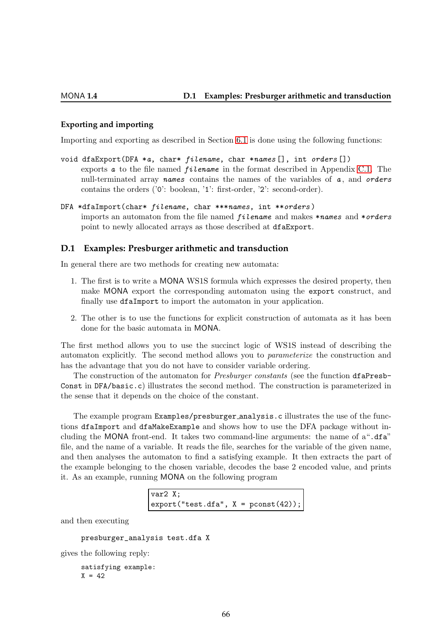# **Exporting and importing**

Importing and exporting as described in Section [6.1](#page-34-0) is done using the following functions:

- void dfaExport(DFA \*a, char\* filename, char \*names [], int orders []) exports  $a$  to the file named *filename* in the format described in Appendix [C.1.](#page-59-0) The null-terminated array names contains the names of the variables of  $a$ , and orders contains the orders ('0': boolean, '1': first-order, '2': second-order).
- DFA \*dfaImport(char\* filename, char \*\*\*names, int \*\*orders ) imports an automaton from the file named *filename* and makes \*names and \*orders point to newly allocated arrays as those described at dfaExport.

## <span id="page-67-0"></span>**D.1 Examples: Presburger arithmetic and transduction**

In general there are two methods for creating new automata:

- 1. The first is to write a MONA WS1S formula which expresses the desired property, then make MONA export the corresponding automaton using the export construct, and finally use dfaImport to import the automaton in your application.
- 2. The other is to use the functions for explicit construction of automata as it has been done for the basic automata in MONA.

The first method allows you to use the succinct logic of WS1S instead of describing the automaton explicitly. The second method allows you to parameterize the construction and has the advantage that you do not have to consider variable ordering.

The construction of the automaton for *Presburger constants* (see the function dfaPresb-Const in DFA/basic.c) illustrates the second method. The construction is parameterized in the sense that it depends on the choice of the constant.

The example program Examples/presburger analysis.c illustrates the use of the functions dfaImport and dfaMakeExample and shows how to use the DFA package without including the MONA front-end. It takes two command-line arguments: the name of a".dfa" file, and the name of a variable. It reads the file, searches for the variable of the given name, and then analyses the automaton to find a satisfying example. It then extracts the part of the example belonging to the chosen variable, decodes the base 2 encoded value, and prints it. As an example, running MONA on the following program

```
var2 X;
\text{export}("test.dfa", X = \text{pconst}(42));
```
and then executing

```
presburger_analysis test.dfa X
```
gives the following reply:

satisfying example:  $X = 42$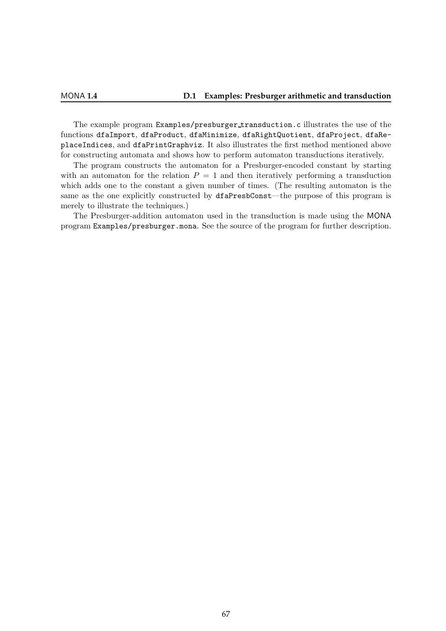The example program Examples/presburger transduction.c illustrates the use of the functions dfaImport, dfaProduct, dfaMinimize, dfaRightQuotient, dfaProject, dfaReplaceIndices, and dfaPrintGraphviz. It also illustrates the first method mentioned above for constructing automata and shows how to perform automaton transductions iteratively.

The program constructs the automaton for a Presburger-encoded constant by starting with an automaton for the relation  $P = 1$  and then iteratively performing a transduction which adds one to the constant a given number of times. (The resulting automaton is the same as the one explicitly constructed by dfaPresbConst—the purpose of this program is merely to illustrate the techniques.)

The Presburger-addition automaton used in the transduction is made using the MONA program Examples/presburger.mona. See the source of the program for further description.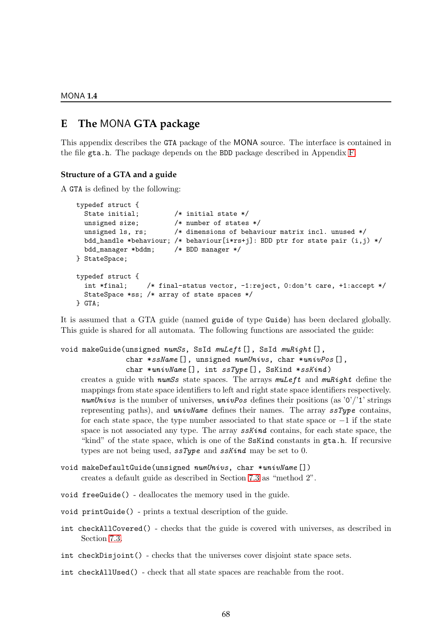MONA **1.4**

# <span id="page-69-0"></span>**E The** MONA **GTA package**

This appendix describes the GTA package of the MONA source. The interface is contained in the file gta.h. The package depends on the BDD package described in Appendix [F.](#page-74-0)

# **Structure of a GTA and a guide**

A GTA is defined by the following:

```
typedef struct {
 State initial; /* initial state */unsigned size; /* number of states */unsigned ls, rs; \frac{1}{2} /* dimensions of behaviour matrix incl. unused */
 bdd_handle *behaviour; /* behaviour[i*rs+j]: BDD ptr for state pair (i,j) */
 bdd_manager *bddm; /* BDD manager */
} StateSpace;
typedef struct {
  int *final; /* final-status vector, -1:reject, 0:don't care, +1:accept */
 StateSpace *ss; /* array of state spaces */
} GTA;
```
It is assumed that a GTA guide (named guide of type Guide) has been declared globally. This guide is shared for all automata. The following functions are associated the guide:

# void makeGuide(unsigned numSs, SsId muLeft[], SsId muRight[],

char \*ssName [], unsigned numUnivs, char \*univPos [],

```
char *univName [], int ssType [], SsKind *ssKind)
```
creates a guide with numSs state spaces. The arrays  $m \mathcal{L}$ eft and  $m \mathcal{L}$  and  $m \mathcal{L}$  define the mappings from state space identifiers to left and right state space identifiers respectively. numUnivs is the number of universes, universed defines their positions (as  $\langle 0'/1' \rangle$  strings representing paths), and  $univName$  defines their names. The array  $ssType$  contains, for each state space, the type number associated to that state space or  $-1$  if the state space is not associated any type. The array **sskind** contains, for each state space, the "kind" of the state space, which is one of the SsKind constants in gta.h. If recursive types are not being used,  $ssType$  and  $ssKind$  may be set to 0.

```
void makeDefaultGuide(unsigned numUnivs, char *univName[])
     creates a default guide as described in Section 7.3 as "method 2".
```

```
void freeGuide() - deallocates the memory used in the guide.
```

```
void printGuide() - prints a textual description of the guide.
```
int checkAllCovered() - checks that the guide is covered with universes, as described in Section [7.3.](#page-42-0)

```
int checkDisjoint() - checks that the universes cover disjoint state space sets.
```
int checkAllUsed() - check that all state spaces are reachable from the root.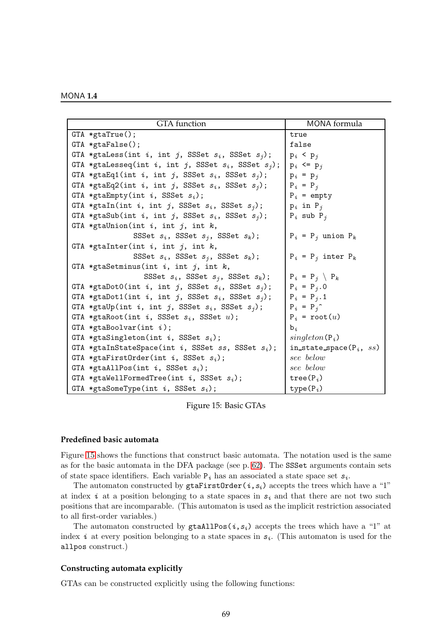| MONA 1.4 |  |  |  |  |  |
|----------|--|--|--|--|--|
|----------|--|--|--|--|--|

| <b>GTA</b> function                                        | MONA formula                |
|------------------------------------------------------------|-----------------------------|
| $GTA * gtaTrue();$                                         | true                        |
|                                                            |                             |
| $GTA * gtaFalse()$ ;                                       | false                       |
| GTA *gtaLess(int i, int j, SSSet $s_i$ , SSSet $s_j$ );    | $p_i$ < $p_j$               |
| GTA *gtaLesseq(int i, int j, SSSet $s_i$ , SSSet $s_j$ );  | $p_i \leq p_i$              |
| GTA *gtaEq1(int i, int j, SSSet $s_i$ , SSSet $s_j$ );     | $p_i = p_j$                 |
| GTA *gtaEq2(int i, int j, SSSet $s_i$ , SSSet $s_j$ );     | $P_i = P_j$                 |
| GTA *gtaEmpty(int $i$ , SSSet $s_i$ );                     | $P_i$ = empty               |
| GTA *gtaIn(int i, int j, SSSet $s_i$ , SSSet $s_j$ );      | $p_i$ in $P_j$              |
| GTA *gtaSub(int i, int j, SSSet $s_i$ , SSSet $s_j$ );     | $P_i$ sub $P_j$             |
| GTA *gtaUnion(int $i$ , int $j$ , int $k$ ,                |                             |
| SSSet $s_i$ , SSSet $s_j$ , SSSet $s_k$ );                 | $P_i = P_j$ union $P_k$     |
| GTA *gtaInter(int $i$ , int $j$ , int $k$ ,                |                             |
| SSSet $s_i$ , SSSet $s_j$ , SSSet $s_k$ );                 | $P_i = P_j$ inter $P_k$     |
| GTA *gtaSetminus(int $i$ , int $j$ , int $k$ ,             |                             |
| SSSet $s_i$ , SSSet $s_j$ , SSSet $s_k$ );                 | $P_i = P_j \setminus P_k$   |
| GTA *gtaDotO(int i, int j, SSSet $s_i$ , SSSet $s_j$ );    | $P_i = P_j . 0$             |
| GTA *gtaDot1(int i, int j, SSSet $s_i$ , SSSet $s_j$ );    | $P_i = P_j \cdot 1$         |
| GTA *gtaUp(int i, int j, SSSet $s_i$ , SSSet $s_j$ );      | $P_i = P_j$                 |
| GTA *gtaRoot(int i, SSSet $s_i$ , SSSet $u$ );             | $P_i = root(u)$             |
| GTA *gtaBoolvar(int $i$ );                                 | $b_i$                       |
| GTA *gtaSingleton(int $i$ , SSSet $s_i$ );                 | $singleton(P_i)$            |
| GTA *gtaInStateSpace(int $i$ , SSSet $ss$ , SSSet $s_i$ ); | in_state_space( $P_i$ , ss) |
| GTA *gtaFirstOrder(int $i$ , SSSet $s_i$ );                | see below                   |
| GTA *gtaAllPos(int i, SSSet $s_i$ );                       | see below                   |
| GTA *gtaWellFormedTree(int $i$ , SSSet $s_i$ );            | $tree(P_i)$                 |
| GTA *gtaSomeType(int $i$ , SSSet $s_i$ );                  | $type(P_i)$                 |

<span id="page-70-0"></span>Figure 15: Basic GTAs

## **Predefined basic automata**

Figure [15](#page-70-0) shows the functions that construct basic automata. The notation used is the same as for the basic automata in the DFA package (see p. [62\)](#page-64-0). The SSSet arguments contain sets of state space identifiers. Each variable  $P_i$  has an associated a state space set  $s_i$ .

The automaton constructed by  $g \text{taFirstOrder}(i, s_i)$  accepts the trees which have a "1" at index i at a position belonging to a state spaces in  $s_i$  and that there are not two such positions that are incomparable. (This automaton is used as the implicit restriction associated to all first-order variables.)

The automaton constructed by  $\text{grad} \Omega$  sta $\text{d} i$ ,  $s_i$ ) accepts the trees which have a "1" at index i at every position belonging to a state spaces in  $s_i$ . (This automaton is used for the allpos construct.)

# **Constructing automata explicitly**

GTAs can be constructed explicitly using the following functions: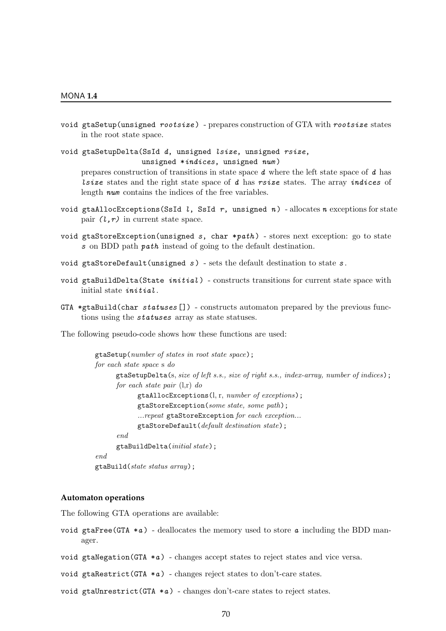void gtaSetup(unsigned rootsize ) - prepares construction of GTA with rootsize states in the root state space.

void gtaSetupDelta(SsId d, unsigned lsize, unsigned rsize, unsigned \*indices, unsigned num )

prepares construction of transitions in state space d where the left state space of d has *lsize* states and the right state space of  $d$  has rsize states. The array *indices* of length num contains the indices of the free variables.

- void gtaAllocExceptions(SsId l, SsId r, unsigned n) allocates n exceptions for state pair  $(l,r)$  in current state space.
- void gtaStoreException(unsigned s, char \*path) stores next exception: go to state s on BDD path path instead of going to the default destination.
- void gtaStoreDefault(unsigned  $s$ ) sets the default destination to state  $s$ .
- void gtaBuildDelta(State  $initial$ ) constructs transitions for current state space with initial state initial .
- GTA \*gtaBuild(char statuses []) constructs automaton prepared by the previous functions using the statuses array as state statuses.

The following pseudo-code shows how these functions are used:

```
gtaSetup(number of states in root state space);
for each state space s do
      gtaSetupDelta(s, size of left s.s., size of right s.s., index-array, number of indices);
      for each state pair (l,r) do
            gtaAllocExceptions(l, r, number of exceptions);
            gtaStoreException(some state, some path);
             ...repeat gtaStoreException for each exception...
            gtaStoreDefault(default destination state);
      end
      gtaBuildDelta(initial state);
end
gtaBuild(state status array);
```
# **Automaton operations**

The following GTA operations are available:

- void gtaFree(GTA  $*a$ ) deallocates the memory used to store  $a$  including the BDD manager.
- void gtaNegation(GTA  $*a$ ) changes accept states to reject states and vice versa.
- void gtaRestrict(GTA  $*a$ ) changes reject states to don't-care states.
- void gtaUnrestrict(GTA  $*a$ ) changes don't-care states to reject states.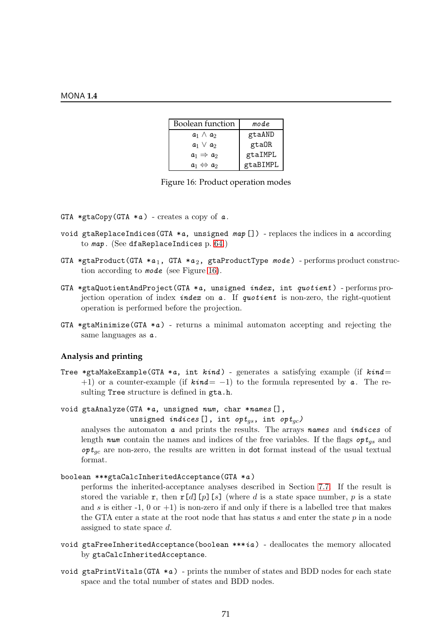| <b>Boolean function</b>   | mode     |
|---------------------------|----------|
| $a_1 \wedge a_2$          | gtaAND   |
| $a_1 \vee a_2$            | gtaOR    |
| $a_1 \Rightarrow a_2$     | gtaIMPL  |
| $a_1 \Leftrightarrow a_2$ | gtaBIMPL |

<span id="page-72-0"></span>

- GTA \*gtaCopy(GTA \*a) creates a copy of  $a$ .
- void gtaReplaceIndices(GTA  $*a$ , unsigned  $map$ []) replaces the indices in a according to map . (See dfaReplaceIndices p. [64.](#page-65-0))
- GTA \*gtaProduct(GTA \*a<sub>1</sub>, GTA \*a<sub>2</sub>, gtaProductType mode) performs product construction according to mode (see Figure [16\)](#page-72-0).
- GTA \*gtaQuotientAndProject(GTA \*a, unsigned index, int quotient) performs projection operation of index index on  $a$ . If quotient is non-zero, the right-quotient operation is performed before the projection.
- GTA \*gtaMinimize(GTA \*a) returns a minimal automaton accepting and rejecting the same languages as  $a$ .

#### **Analysis and printing**

Tree \*gtaMakeExample(GTA \*a, int  $kind$ ) - generates a satisfying example (if  $kind =$ +1) or a counter-example (if  $\textbf{k} \cdot \textbf{in} = -1$ ) to the formula represented by  $\textbf{a}$ . The resulting Tree structure is defined in gta.h.

void gtaAnalyze(GTA \*a, unsigned num, char \*names [],

```
unsigned indices [], int opt<sub>as</sub>, int opt<sub>ac</sub>)
```
analyses the automaton a and prints the results. The arrays names and indices of length num contain the names and indices of the free variables. If the flags  $opt_{qs}$  and  $\mathfrak{opt}_{ac}$  are non-zero, the results are written in dot format instead of the usual textual format.

```
boolean ***gtaCalcInheritedAcceptance(GTA *a )
```
performs the inherited-acceptance analyses described in Section [7.7.](#page-47-0) If the result is stored the variable r, then  $r[d]$  [p][s] (where d is a state space number, p is a state and s is either -1, 0 or +1) is non-zero if and only if there is a labelled tree that makes the GTA enter a state at the root node that has status s and enter the state  $p$  in a node assigned to state space d.

- void gtaFreeInheritedAcceptance(boolean \*\*\*ia) deallocates the memory allocated by gtaCalcInheritedAcceptance.
- void gtaPrintVitals(GTA  $*a$ ) prints the number of states and BDD nodes for each state space and the total number of states and BDD nodes.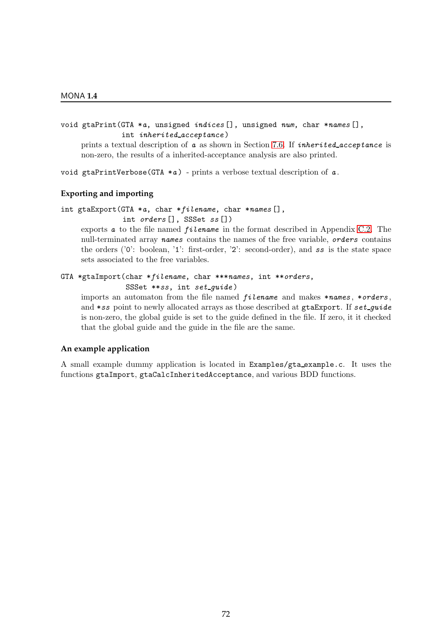## void gtaPrint(GTA \*a, unsigned indices [], unsigned num, char \*names [], int inherited acceptance )

prints a textual description of  $a$  as shown in Section [7.6.](#page-45-0) If *inherited\_acceptance* is non-zero, the results of a inherited-acceptance analysis are also printed.

void gtaPrintVerbose(GTA  $*a$ ) - prints a verbose textual description of  $a$ .

## **Exporting and importing**

int gtaExport(GTA \*a, char \*filename, char \*names [], int orders [], SSSet ss [])

exports  $a$  to the file named *filename* in the format described in Appendix [C.2.](#page-60-0) The null-terminated array names contains the names of the free variable, orders contains the orders ('0': boolean, '1': first-order, '2': second-order), and ss is the state space sets associated to the free variables.

## GTA \*gtaImport(char \*filename, char \*\*\*names, int \*\*orders, SSSet \*\*ss, int set\_quide)

imports an automaton from the file named  $filename$  and makes  $*names$ ,  $*orders$ , and  $*ss$  point to newly allocated arrays as those described at gtaExport. If  $set_{\text{quide}}$ is non-zero, the global guide is set to the guide defined in the file. If zero, it it checked that the global guide and the guide in the file are the same.

### **An example application**

A small example dummy application is located in Examples/gta example.c. It uses the functions gtaImport, gtaCalcInheritedAcceptance, and various BDD functions.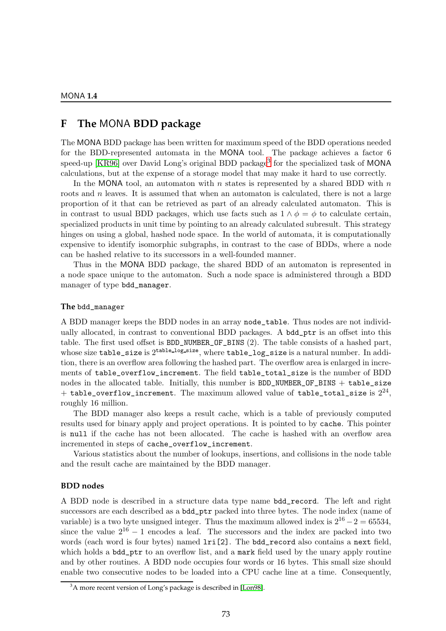## <span id="page-74-1"></span>**F The** MONA **BDD package**

The MONA BDD package has been written for maximum speed of the BDD operations needed for the BDD-represented automata in the MONA tool. The package achieves a factor 6 speed-up [\[KR96\]](#page-79-0) over David Long's original BDD package<sup>[3](#page-74-0)</sup> for the specialized task of MONA calculations, but at the expense of a storage model that may make it hard to use correctly.

In the MONA tool, an automaton with  $n$  states is represented by a shared BDD with  $n$ roots and n leaves. It is assumed that when an automaton is calculated, there is not a large proportion of it that can be retrieved as part of an already calculated automaton. This is in contrast to usual BDD packages, which use facts such as  $1 \wedge \phi = \phi$  to calculate certain, specialized products in unit time by pointing to an already calculated subresult. This strategy hinges on using a global, hashed node space. In the world of automata, it is computationally expensive to identify isomorphic subgraphs, in contrast to the case of BDDs, where a node can be hashed relative to its successors in a well-founded manner.

Thus in the MONA BDD package, the shared BDD of an automaton is represented in a node space unique to the automaton. Such a node space is administered through a BDD manager of type bdd\_manager.

#### **The** bdd\_manager

A BDD manager keeps the BDD nodes in an array node\_table. Thus nodes are not individually allocated, in contrast to conventional BDD packages. A bdd\_ptr is an offset into this table. The first used offset is BDD\_NUMBER\_OF\_BINS (2). The table consists of a hashed part, whose size table\_size is  $2^{\text{table_log\_size}}$ , where  $\text{table_log\_size}$  is a natural number. In addition, there is an overflow area following the hashed part. The overflow area is enlarged in increments of table\_overflow\_increment. The field table\_total\_size is the number of BDD nodes in the allocated table. Initially, this number is  $BDD_NUMBER_0F_BINS + table\_size$  $+$  table\_overflow\_increment. The maximum allowed value of table\_total\_size is  $2^{24},\,$ roughly 16 million.

The BDD manager also keeps a result cache, which is a table of previously computed results used for binary apply and project operations. It is pointed to by cache. This pointer is null if the cache has not been allocated. The cache is hashed with an overflow area incremented in steps of cache\_overflow\_increment.

Various statistics about the number of lookups, insertions, and collisions in the node table and the result cache are maintained by the BDD manager.

#### **BDD nodes**

A BDD node is described in a structure data type name bdd\_record. The left and right successors are each described as a bdd\_ptr packed into three bytes. The node index (name of variable) is a two byte unsigned integer. Thus the maximum allowed index is  $2^{16} - 2 = 65534$ , since the value  $2^{16} - 1$  encodes a leaf. The successors and the index are packed into two words (each word is four bytes) named lri[2]. The bdd\_record also contains a next field, which holds a **bdd\_ptr** to an overflow list, and a mark field used by the unary apply routine and by other routines. A BDD node occupies four words or 16 bytes. This small size should enable two consecutive nodes to be loaded into a CPU cache line at a time. Consequently,

<span id="page-74-0"></span><sup>&</sup>lt;sup>3</sup>A more recent version of Long's package is described in [\[Lon98\]](#page-79-1).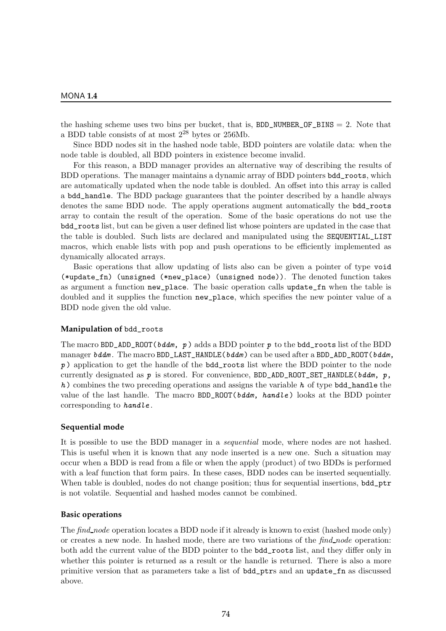the hashing scheme uses two bins per bucket, that is,  $BDD_NUMBER_0F_BINS = 2$ . Note that a BDD table consists of at most  $2^{28}$  bytes or  $256Mb$ .

Since BDD nodes sit in the hashed node table, BDD pointers are volatile data: when the node table is doubled, all BDD pointers in existence become invalid.

For this reason, a BDD manager provides an alternative way of describing the results of BDD operations. The manager maintains a dynamic array of BDD pointers bdd\_roots, which are automatically updated when the node table is doubled. An offset into this array is called a bdd\_handle. The BDD package guarantees that the pointer described by a handle always denotes the same BDD node. The apply operations augment automatically the bdd\_roots array to contain the result of the operation. Some of the basic operations do not use the bdd\_roots list, but can be given a user defined list whose pointers are updated in the case that the table is doubled. Such lists are declared and manipulated using the SEQUENTIAL\_LIST macros, which enable lists with pop and push operations to be efficiently implemented as dynamically allocated arrays.

Basic operations that allow updating of lists also can be given a pointer of type void (\*update\_fn) (unsigned (\*new\_place) (unsigned node)). The denoted function takes as argument a function new\_place. The basic operation calls update\_fn when the table is doubled and it supplies the function new\_place, which specifies the new pointer value of a BDD node given the old value.

#### **Manipulation of** bdd\_roots

The macro BDD\_ADD\_ROOT( $bdm$ ,  $p$ ) adds a BDD pointer  $p$  to the bdd\_roots list of the BDD manager bddm. The macro BDD\_LAST\_HANDLE(bddm) can be used after a BDD\_ADD\_ROOT(bddm, p ) application to get the handle of the bdd\_roots list where the BDD pointer to the node currently designated as  $p$  is stored. For convenience, BDD\_ADD\_ROOT\_SET\_HANDLE( $bdm$ ,  $p$ ,  $h$ ) combines the two preceding operations and assigns the variable h of type bdd\_handle the value of the last handle. The macro  $BDD_ROOT(\delta d\mathit{dm}, \mathit{handle})$  looks at the BDD pointer corresponding to handle.

#### **Sequential mode**

It is possible to use the BDD manager in a sequential mode, where nodes are not hashed. This is useful when it is known that any node inserted is a new one. Such a situation may occur when a BDD is read from a file or when the apply (product) of two BDDs is performed with a leaf function that form pairs. In these cases, BDD nodes can be inserted sequentially. When table is doubled, nodes do not change position; thus for sequential insertions, bdd\_ptr is not volatile. Sequential and hashed modes cannot be combined.

#### **Basic operations**

The *find node* operation locates a BDD node if it already is known to exist (hashed mode only) or creates a new node. In hashed mode, there are two variations of the  $find-node$  operation: both add the current value of the BDD pointer to the bdd\_roots list, and they differ only in whether this pointer is returned as a result or the handle is returned. There is also a more primitive version that as parameters take a list of bdd\_ptrs and an update\_fn as discussed above.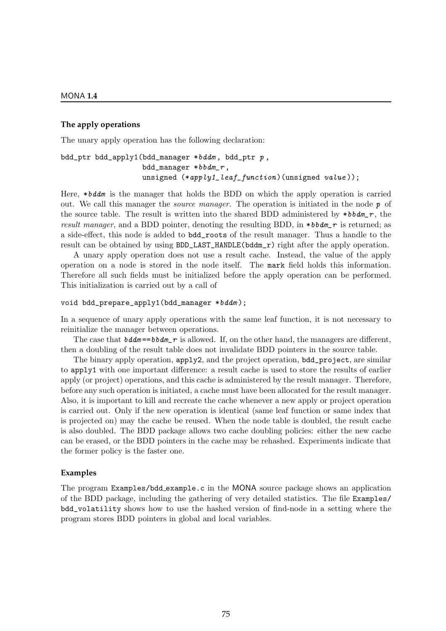#### **The apply operations**

The unary apply operation has the following declaration:

## bdd\_ptr bdd\_apply1(bdd\_manager \*bddm , bdd\_ptr p ,  $bdd\_manager *bbdm_r$ , unsigned  $(*apply1\_leaf\_function)(\text{unsigned value}$ ));

Here, \*bddm is the manager that holds the BDD on which the apply operation is carried out. We call this manager the *source manager*. The operation is initiated in the node  $p$  of the source table. The result is written into the shared BDD administered by  $*bbm_r$ , the result manager, and a BDD pointer, denoting the resulting BDD, in  $\ast b \cdot b \cdot d$  is returned; as a side-effect, this node is added to bdd\_roots of the result manager. Thus a handle to the result can be obtained by using BDD\_LAST\_HANDLE(bddm\_r) right after the apply operation.

A unary apply operation does not use a result cache. Instead, the value of the apply operation on a node is stored in the node itself. The mark field holds this information. Therefore all such fields must be initialized before the apply operation can be performed. This initialization is carried out by a call of

```
void bdd_prepare_apply1(bdd_manager *bddm);
```
In a sequence of unary apply operations with the same leaf function, it is not necessary to reinitialize the manager between operations.

The case that  $bdm = =bbdm \cdot r$  is allowed. If, on the other hand, the managers are different, then a doubling of the result table does not invalidate BDD pointers in the source table.

The binary apply operation, apply2, and the project operation, bdd\_project, are similar to apply1 with one important difference: a result cache is used to store the results of earlier apply (or project) operations, and this cache is administered by the result manager. Therefore, before any such operation is initiated, a cache must have been allocated for the result manager. Also, it is important to kill and recreate the cache whenever a new apply or project operation is carried out. Only if the new operation is identical (same leaf function or same index that is projected on) may the cache be reused. When the node table is doubled, the result cache is also doubled. The BDD package allows two cache doubling policies: either the new cache can be erased, or the BDD pointers in the cache may be rehashed. Experiments indicate that the former policy is the faster one.

#### **Examples**

The program Examples/bdd example.c in the MONA source package shows an application of the BDD package, including the gathering of very detailed statistics. The file Examples/ bdd\_volatility shows how to use the hashed version of find-node in a setting where the program stores BDD pointers in global and local variables.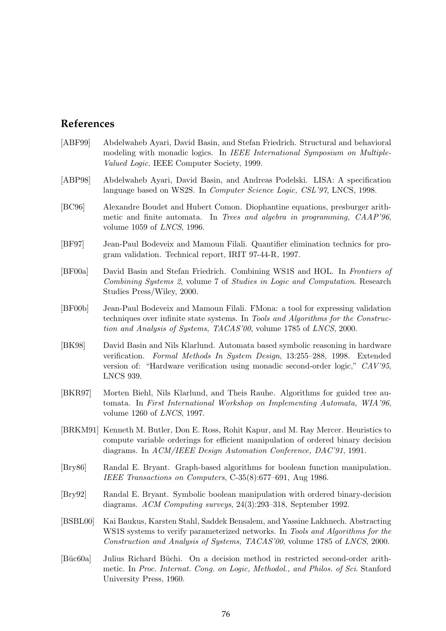# **References**

- [ABF99] Abdelwaheb Ayari, David Basin, and Stefan Friedrich. Structural and behavioral modeling with monadic logics. In IEEE International Symposium on Multiple-Valued Logic. IEEE Computer Society, 1999.
- [ABP98] Abdelwaheb Ayari, David Basin, and Andreas Podelski. LISA: A specification language based on WS2S. In *Computer Science Logic, CSL'97*, LNCS, 1998.
- [BC96] Alexandre Boudet and Hubert Comon. Diophantine equations, presburger arithmetic and finite automata. In Trees and algebra in programming, CAAP'96, volume 1059 of LNCS, 1996.
- [BF97] Jean-Paul Bodeveix and Mamoun Filali. Quantifier elimination technics for program validation. Technical report, IRIT 97-44-R, 1997.
- [BF00a] David Basin and Stefan Friedrich. Combining WS1S and HOL. In Frontiers of Combining Systems 2, volume 7 of Studies in Logic and Computation. Research Studies Press/Wiley, 2000.
- [BF00b] Jean-Paul Bodeveix and Mamoun Filali. FMona: a tool for expressing validation techniques over infinite state systems. In Tools and Algorithms for the Construction and Analysis of Systems, TACAS'00, volume 1785 of LNCS, 2000.
- [BK98] David Basin and Nils Klarlund. Automata based symbolic reasoning in hardware verification. Formal Methods In System Design, 13:255–288, 1998. Extended version of: "Hardware verification using monadic second-order logic," CAV'95, LNCS 939.
- [BKR97] Morten Biehl, Nils Klarlund, and Theis Rauhe. Algorithms for guided tree automata. In First International Workshop on Implementing Automata, WIA'96, volume 1260 of LNCS, 1997.
- [BRKM91] Kenneth M. Butler, Don E. Ross, Rohit Kapur, and M. Ray Mercer. Heuristics to compute variable orderings for efficient manipulation of ordered binary decision diagrams. In ACM/IEEE Design Automation Conference, DAC'91, 1991.
- [Bry86] Randal E. Bryant. Graph-based algorithms for boolean function manipulation. IEEE Transactions on Computers, C-35(8):677–691, Aug 1986.
- [Bry92] Randal E. Bryant. Symbolic boolean manipulation with ordered binary-decision diagrams. ACM Computing surveys, 24(3):293–318, September 1992.
- [BSBL00] Kai Baukus, Karsten Stahl, Saddek Bensalem, and Yassine Lakhnech. Abstracting WS1S systems to verify parameterized networks. In Tools and Algorithms for the Construction and Analysis of Systems, TACAS'00, volume 1785 of LNCS, 2000.
- [Büc60a] Julius Richard Büchi. On a decision method in restricted second-order arithmetic. In Proc. Internat. Cong. on Logic, Methodol., and Philos. of Sci. Stanford University Press, 1960.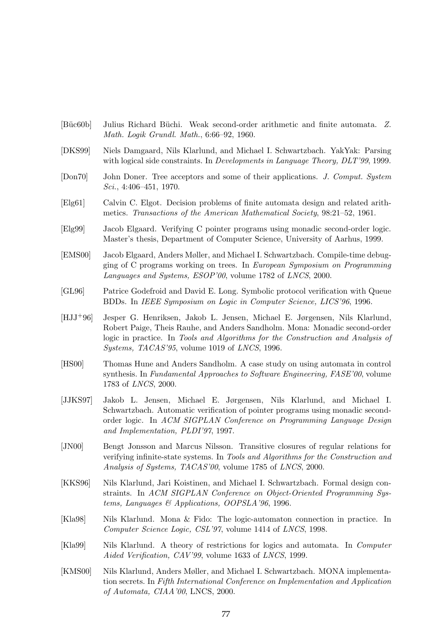- [Büc60b] Julius Richard Büchi. Weak second-order arithmetic and finite automata. Z. Math. Logik Grundl. Math., 6:66–92, 1960.
- [DKS99] Niels Damgaard, Nils Klarlund, and Michael I. Schwartzbach. YakYak: Parsing with logical side constraints. In *Developments in Language Theory, DLT'99*, 1999.
- [Don70] John Doner. Tree acceptors and some of their applications. J. Comput. System Sci., 4:406–451, 1970.
- [Elg61] Calvin C. Elgot. Decision problems of finite automata design and related arithmetics. Transactions of the American Mathematical Society, 98:21–52, 1961.
- [Elg99] Jacob Elgaard. Verifying C pointer programs using monadic second-order logic. Master's thesis, Department of Computer Science, University of Aarhus, 1999.
- [EMS00] Jacob Elgaard, Anders Møller, and Michael I. Schwartzbach. Compile-time debugging of C programs working on trees. In European Symposium on Programming Languages and Systems, ESOP'00, volume 1782 of LNCS, 2000.
- [GL96] Patrice Godefroid and David E. Long. Symbolic protocol verification with Queue BDDs. In IEEE Symposium on Logic in Computer Science, LICS'96, 1996.
- [HJJ+96] Jesper G. Henriksen, Jakob L. Jensen, Michael E. Jørgensen, Nils Klarlund, Robert Paige, Theis Rauhe, and Anders Sandholm. Mona: Monadic second-order logic in practice. In Tools and Algorithms for the Construction and Analysis of Systems, TACAS'95, volume 1019 of LNCS, 1996.
- [HS00] Thomas Hune and Anders Sandholm. A case study on using automata in control synthesis. In Fundamental Approaches to Software Engineering, FASE'00, volume 1783 of LNCS, 2000.
- [JJKS97] Jakob L. Jensen, Michael E. Jørgensen, Nils Klarlund, and Michael I. Schwartzbach. Automatic verification of pointer programs using monadic secondorder logic. In ACM SIGPLAN Conference on Programming Language Design and Implementation, PLDI'97, 1997.
- [JN00] Bengt Jonsson and Marcus Nilsson. Transitive closures of regular relations for verifying infinite-state systems. In Tools and Algorithms for the Construction and Analysis of Systems, TACAS'00, volume 1785 of LNCS, 2000.
- [KKS96] Nils Klarlund, Jari Koistinen, and Michael I. Schwartzbach. Formal design constraints. In ACM SIGPLAN Conference on Object-Oriented Programming Systems, Languages & Applications, OOPSLA'96, 1996.
- [Kla98] Nils Klarlund. Mona & Fido: The logic-automaton connection in practice. In Computer Science Logic, CSL'97, volume 1414 of LNCS, 1998.
- [Kla99] Nils Klarlund. A theory of restrictions for logics and automata. In Computer Aided Verification, CAV'99, volume 1633 of LNCS, 1999.
- [KMS00] Nils Klarlund, Anders Møller, and Michael I. Schwartzbach. MONA implementation secrets. In Fifth International Conference on Implementation and Application of Automata, CIAA'00, LNCS, 2000.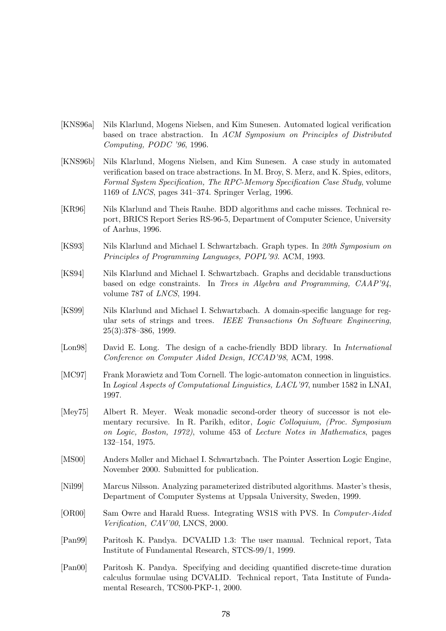- [KNS96a] Nils Klarlund, Mogens Nielsen, and Kim Sunesen. Automated logical verification based on trace abstraction. In ACM Symposium on Principles of Distributed Computing, PODC '96, 1996.
- [KNS96b] Nils Klarlund, Mogens Nielsen, and Kim Sunesen. A case study in automated verification based on trace abstractions. In M. Broy, S. Merz, and K. Spies, editors, Formal System Specification, The RPC-Memory Specification Case Study, volume 1169 of LNCS, pages 341–374. Springer Verlag, 1996.
- <span id="page-79-0"></span>[KR96] Nils Klarlund and Theis Rauhe. BDD algorithms and cache misses. Technical report, BRICS Report Series RS-96-5, Department of Computer Science, University of Aarhus, 1996.
- [KS93] Nils Klarlund and Michael I. Schwartzbach. Graph types. In 20th Symposium on Principles of Programming Languages, POPL'93. ACM, 1993.
- [KS94] Nils Klarlund and Michael I. Schwartzbach. Graphs and decidable transductions based on edge constraints. In Trees in Algebra and Programming, CAAP'94, volume 787 of LNCS, 1994.
- [KS99] Nils Klarlund and Michael I. Schwartzbach. A domain-specific language for regular sets of strings and trees. IEEE Transactions On Software Engineering, 25(3):378–386, 1999.
- <span id="page-79-1"></span>[Lon98] David E. Long. The design of a cache-friendly BDD library. In *International* Conference on Computer Aided Design, ICCAD'98, ACM, 1998.
- [MC97] Frank Morawietz and Tom Cornell. The logic-automaton connection in linguistics. In Logical Aspects of Computational Linguistics, LACL'97, number 1582 in LNAI, 1997.
- [Mey75] Albert R. Meyer. Weak monadic second-order theory of successor is not elementary recursive. In R. Parikh, editor, Logic Colloquium, (Proc. Symposium on Logic, Boston, 1972), volume 453 of Lecture Notes in Mathematics, pages 132–154, 1975.
- [MS00] Anders Møller and Michael I. Schwartzbach. The Pointer Assertion Logic Engine, November 2000. Submitted for publication.
- [Nil99] Marcus Nilsson. Analyzing parameterized distributed algorithms. Master's thesis, Department of Computer Systems at Uppsala University, Sweden, 1999.
- [OR00] Sam Owre and Harald Ruess. Integrating WS1S with PVS. In Computer-Aided Verification, CAV'00, LNCS, 2000.
- [Pan99] Paritosh K. Pandya. DCVALID 1.3: The user manual. Technical report, Tata Institute of Fundamental Research, STCS-99/1, 1999.
- [Pan00] Paritosh K. Pandya. Specifying and deciding quantified discrete-time duration calculus formulae using DCVALID. Technical report, Tata Institute of Fundamental Research, TCS00-PKP-1, 2000.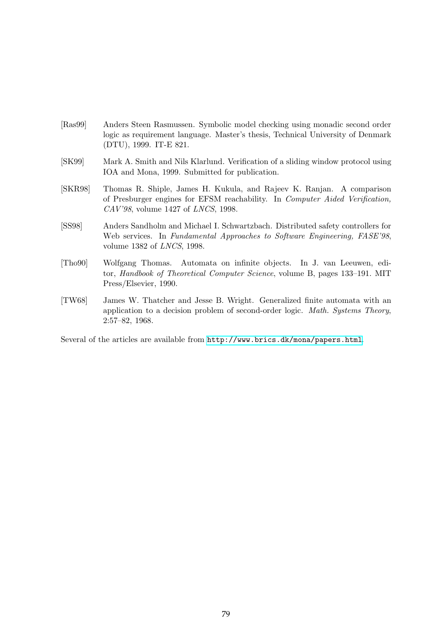- [Ras99] Anders Steen Rasmussen. Symbolic model checking using monadic second order logic as requirement language. Master's thesis, Technical University of Denmark (DTU), 1999. IT-E 821.
- [SK99] Mark A. Smith and Nils Klarlund. Verification of a sliding window protocol using IOA and Mona, 1999. Submitted for publication.
- [SKR98] Thomas R. Shiple, James H. Kukula, and Rajeev K. Ranjan. A comparison of Presburger engines for EFSM reachability. In Computer Aided Verification, CAV'98, volume 1427 of LNCS, 1998.
- [SS98] Anders Sandholm and Michael I. Schwartzbach. Distributed safety controllers for Web services. In Fundamental Approaches to Software Engineering, FASE'98, volume 1382 of LNCS, 1998.
- [Tho90] Wolfgang Thomas. Automata on infinite objects. In J. van Leeuwen, editor, Handbook of Theoretical Computer Science, volume B, pages 133–191. MIT Press/Elsevier, 1990.
- [TW68] James W. Thatcher and Jesse B. Wright. Generalized finite automata with an application to a decision problem of second-order logic. Math. Systems Theory, 2:57–82, 1968.

Several of the articles are available from <http://www.brics.dk/mona/papers.html>.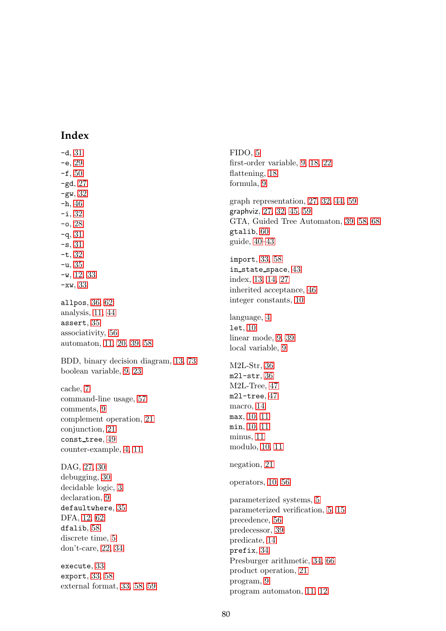# **Index**

-d, [31](#page-32-0)  $-e, 29$  $-e, 29$  $-**f**$ , [50](#page-51-0) -gd, [27](#page-28-0)  $-gw$ ,  $32$ -h, [46](#page-47-1) -i, [32](#page-33-0)  $-0, 28$  $-0, 28$  $-a, 31$  $-a, 31$  $-$ s, [31](#page-32-0) -t, [32](#page-33-0)  $-u, 35$  $-u, 35$  $-w$ , [12,](#page-13-0) [33](#page-34-0) -xw, [33](#page-34-0) allpos, [36,](#page-37-0) [62](#page-63-0) analysis, [11,](#page-12-0) [44](#page-45-1) assert, [35](#page-36-0) associativity, [56](#page-57-0) automaton, [11,](#page-12-0) [20,](#page-21-0) [39,](#page-40-0) [58](#page-59-0) BDD, binary decision diagram, [13,](#page-14-0) [73](#page-74-1) boolean variable, [9,](#page-10-0) [23](#page-24-0) cache, [7](#page-8-0) command-line usage, [57](#page-58-0) comments, [9](#page-10-0) complement operation, [21](#page-22-0) conjunction, [21](#page-22-0) const\_tree, [49](#page-50-0) counter-example, [4,](#page-5-0) [11](#page-12-0) DAG, [27,](#page-28-0) [30](#page-31-0) debugging, [30](#page-31-0) decidable logic, [3](#page-4-0) declaration, [9](#page-10-0) defaultwhere, [35](#page-36-0) DFA, [12,](#page-13-0) [62](#page-63-0) dfalib, [58](#page-59-0) discrete time, [5](#page-6-0) don't-care, [22,](#page-23-0) [34](#page-35-0) execute, [33](#page-34-0) export, [33,](#page-34-0) [58](#page-59-0) external format, [33,](#page-34-0) [58,](#page-59-0) [59](#page-60-1)

FIDO, [5](#page-6-0) first-order variable, [9,](#page-10-0) [18,](#page-19-0) [22](#page-23-0) flattening, [18](#page-19-0) formula, [9](#page-10-0) graph representation, [27,](#page-28-0) [32,](#page-33-0) [44,](#page-45-1) [59](#page-60-1) graphviz, [27,](#page-28-0) [32,](#page-33-0) [45,](#page-46-0) [59](#page-60-1) GTA, Guided Tree Automaton, [39,](#page-40-0) [58,](#page-59-0) [68](#page-69-0) gtalib, [60](#page-61-0) guide, [40–](#page-41-0)[43](#page-44-0) import, [33,](#page-34-0) [58](#page-59-0) in\_state\_space, [43](#page-44-0) index, [13,](#page-14-0) [14,](#page-15-0) [27](#page-28-0) inherited acceptance, [46](#page-47-1) integer constants, [10](#page-11-0) language, [4](#page-5-0) let, [10](#page-11-0) linear mode, [9,](#page-10-0) [39](#page-40-0) local variable, [9](#page-10-0) M2L-Str, [36](#page-37-0) m2l-str, [36](#page-37-0) M2L-Tree, [47](#page-48-0) m2l-tree, [47](#page-48-0) macro, [14](#page-15-0) max, [10,](#page-11-0) [11](#page-12-0) min, [10,](#page-11-0) [11](#page-12-0) minus, [11](#page-12-0) modulo, [10,](#page-11-0) [11](#page-12-0) negation, [21](#page-22-0) operators, [10,](#page-11-0) [56](#page-57-0) parameterized systems, [5](#page-6-0) parameterized verification, [5,](#page-6-0) [15](#page-16-0) precedence, [56](#page-57-0) predecessor, [39](#page-40-0) predicate, [14](#page-15-0) prefix, [34](#page-35-0) Presburger arithmetic, [34,](#page-35-0) [66](#page-67-0) product operation, [21](#page-22-0) program, [9](#page-10-0) program automaton, [11,](#page-12-0) [12](#page-13-0)